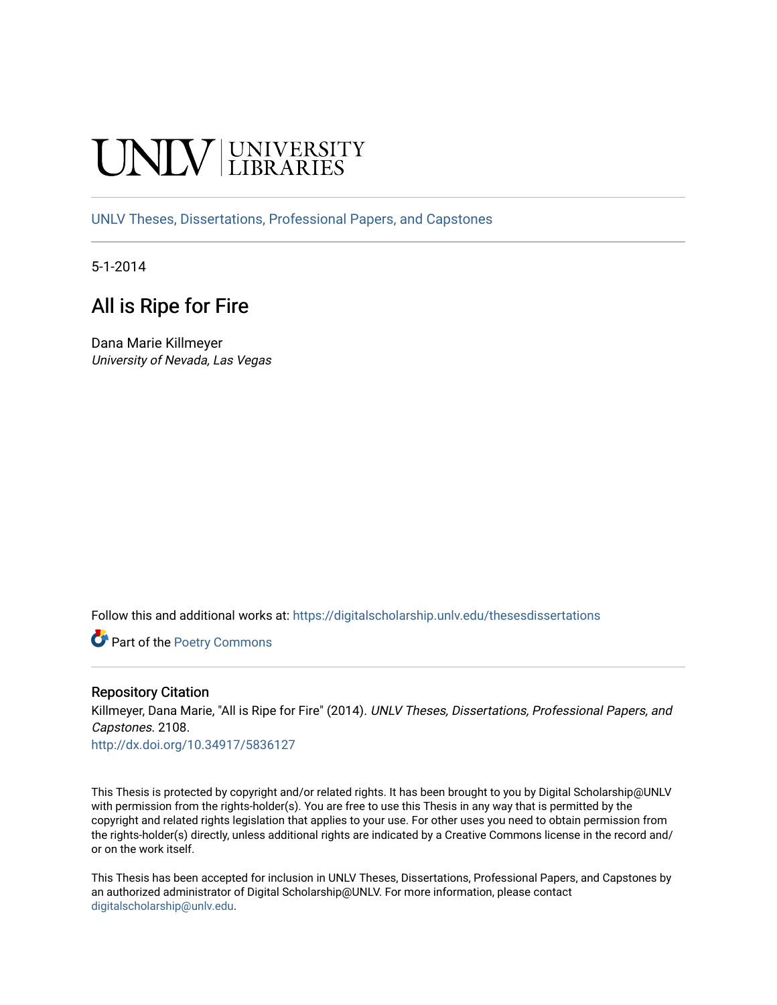# **INIVERSITY**

[UNLV Theses, Dissertations, Professional Papers, and Capstones](https://digitalscholarship.unlv.edu/thesesdissertations)

5-1-2014

## All is Ripe for Fire

Dana Marie Killmeyer University of Nevada, Las Vegas

Follow this and additional works at: [https://digitalscholarship.unlv.edu/thesesdissertations](https://digitalscholarship.unlv.edu/thesesdissertations?utm_source=digitalscholarship.unlv.edu%2Fthesesdissertations%2F2108&utm_medium=PDF&utm_campaign=PDFCoverPages)

Part of the [Poetry Commons](http://network.bepress.com/hgg/discipline/1153?utm_source=digitalscholarship.unlv.edu%2Fthesesdissertations%2F2108&utm_medium=PDF&utm_campaign=PDFCoverPages) 

#### Repository Citation

Killmeyer, Dana Marie, "All is Ripe for Fire" (2014). UNLV Theses, Dissertations, Professional Papers, and Capstones. 2108.

<http://dx.doi.org/10.34917/5836127>

This Thesis is protected by copyright and/or related rights. It has been brought to you by Digital Scholarship@UNLV with permission from the rights-holder(s). You are free to use this Thesis in any way that is permitted by the copyright and related rights legislation that applies to your use. For other uses you need to obtain permission from the rights-holder(s) directly, unless additional rights are indicated by a Creative Commons license in the record and/ or on the work itself.

This Thesis has been accepted for inclusion in UNLV Theses, Dissertations, Professional Papers, and Capstones by an authorized administrator of Digital Scholarship@UNLV. For more information, please contact [digitalscholarship@unlv.edu](mailto:digitalscholarship@unlv.edu).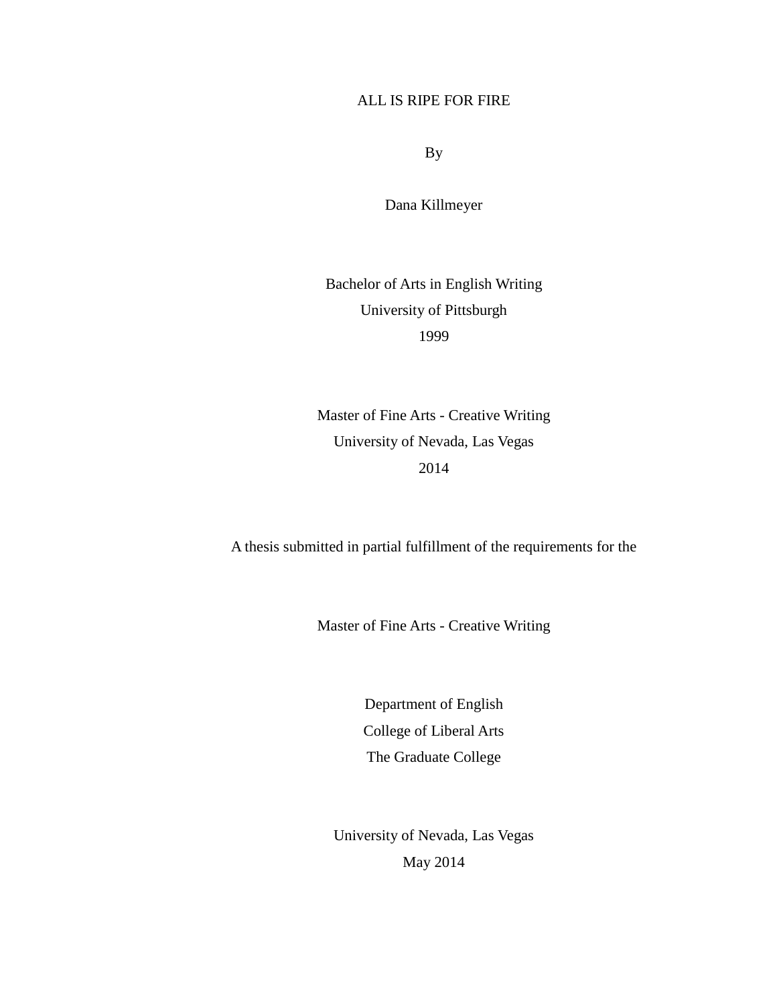#### ALL IS RIPE FOR FIRE

By

Dana Killmeyer

Bachelor of Arts in English Writing University of Pittsburgh 1999

Master of Fine Arts - Creative Writing University of Nevada, Las Vegas 2014

A thesis submitted in partial fulfillment of the requirements for the

Master of Fine Arts - Creative Writing

Department of English College of Liberal Arts The Graduate College

University of Nevada, Las Vegas May 2014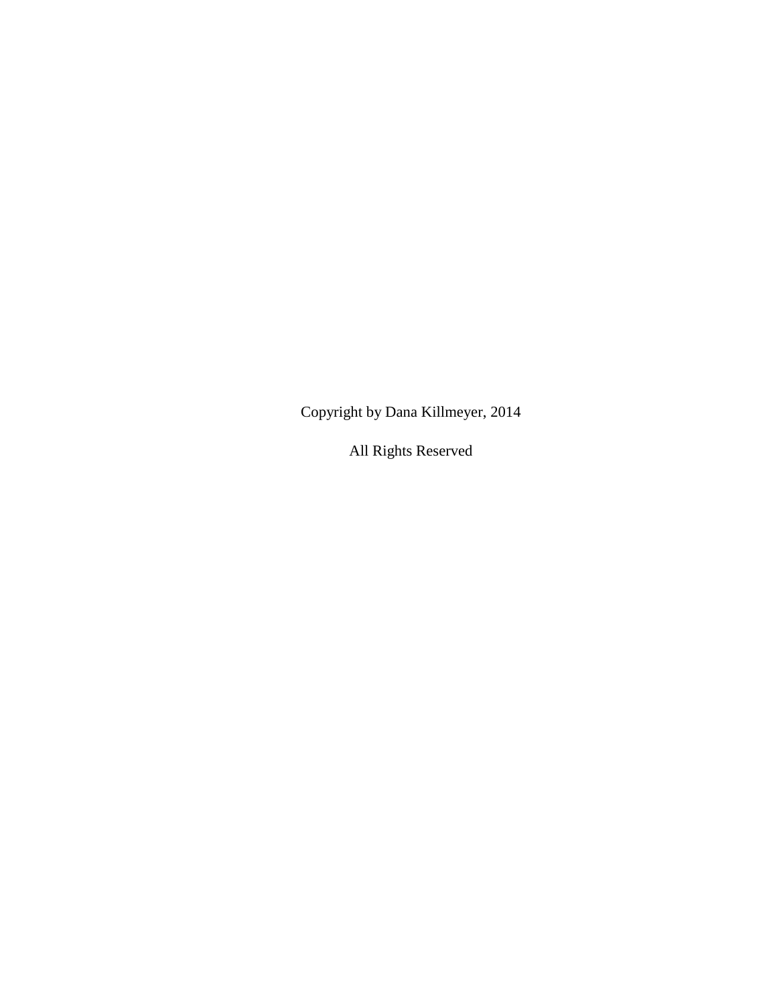Copyright by Dana Killmeyer, 2014

All Rights Reserved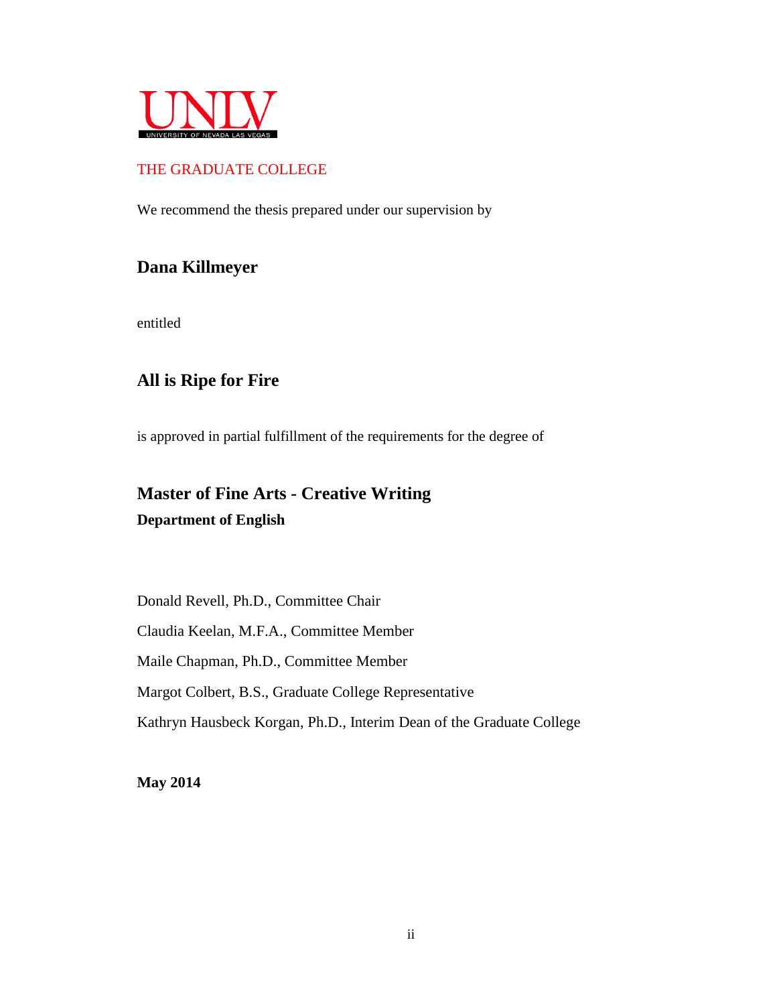

#### THE GRADUATE COLLEGE

We recommend the thesis prepared under our supervision by

### **Dana Killmeyer**

entitled

## **All is Ripe for Fire**

is approved in partial fulfillment of the requirements for the degree of

# **Master of Fine Arts - Creative Writing Department of English**

Donald Revell, Ph.D., Committee Chair Claudia Keelan, M.F.A., Committee Member Maile Chapman, Ph.D., Committee Member Margot Colbert, B.S., Graduate College Representative Kathryn Hausbeck Korgan, Ph.D., Interim Dean of the Graduate College

**May 2014**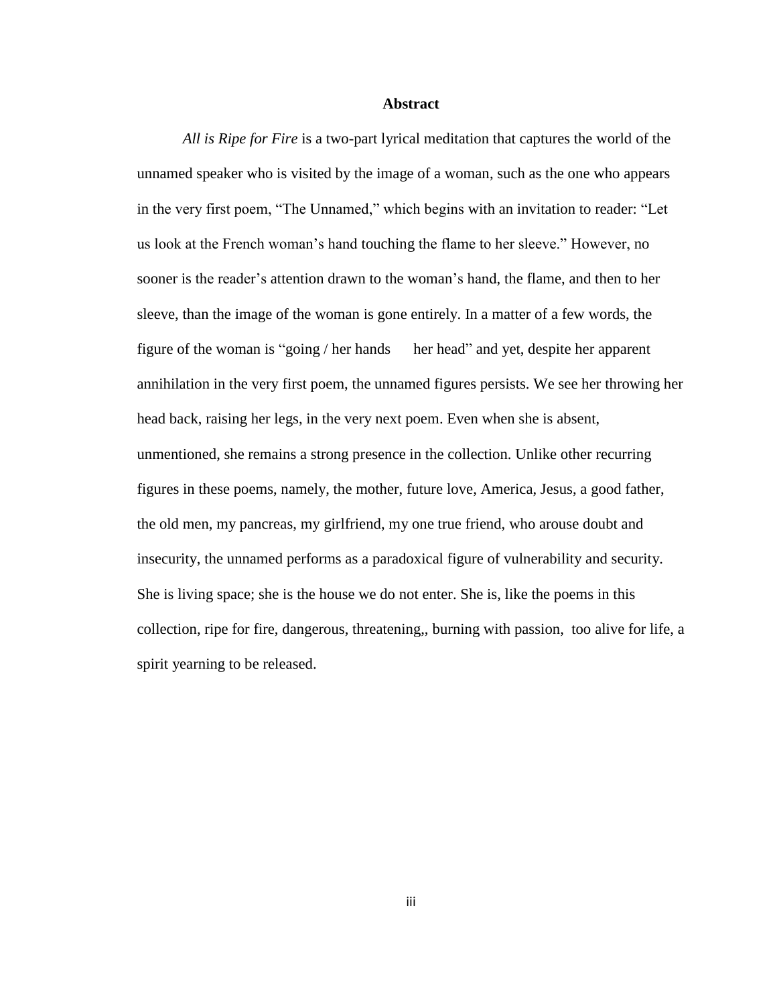#### **Abstract**

*All is Ripe for Fire* is a two-part lyrical meditation that captures the world of the unnamed speaker who is visited by the image of a woman, such as the one who appears in the very first poem, "The Unnamed," which begins with an invitation to reader: "Let us look at the French woman's hand touching the flame to her sleeve." However, no sooner is the reader's attention drawn to the woman's hand, the flame, and then to her sleeve, than the image of the woman is gone entirely. In a matter of a few words, the figure of the woman is "going / her hands her head" and yet, despite her apparent annihilation in the very first poem, the unnamed figures persists. We see her throwing her head back, raising her legs, in the very next poem. Even when she is absent, unmentioned, she remains a strong presence in the collection. Unlike other recurring figures in these poems, namely, the mother, future love, America, Jesus, a good father, the old men, my pancreas, my girlfriend, my one true friend, who arouse doubt and insecurity, the unnamed performs as a paradoxical figure of vulnerability and security. She is living space; she is the house we do not enter. She is, like the poems in this collection, ripe for fire, dangerous, threatening,, burning with passion, too alive for life, a spirit yearning to be released.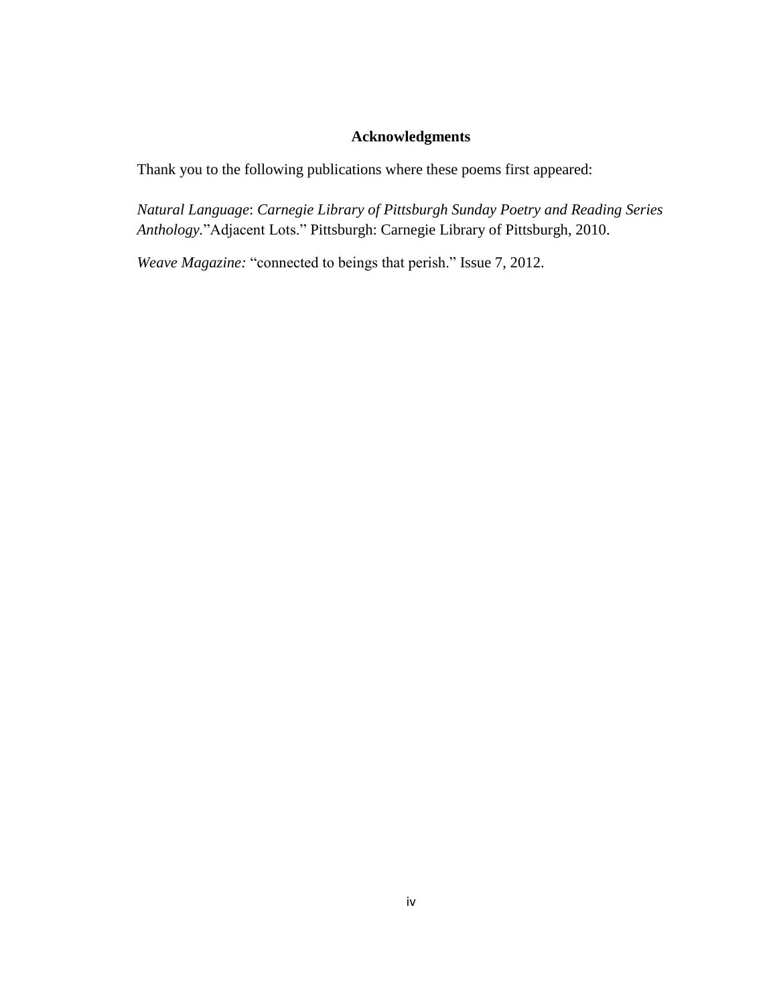#### **Acknowledgments**

Thank you to the following publications where these poems first appeared:

*Natural Language*: *Carnegie Library of Pittsburgh Sunday Poetry and Reading Series Anthology.*"Adjacent Lots." Pittsburgh: Carnegie Library of Pittsburgh, 2010.

*Weave Magazine:* "connected to beings that perish." Issue 7, 2012.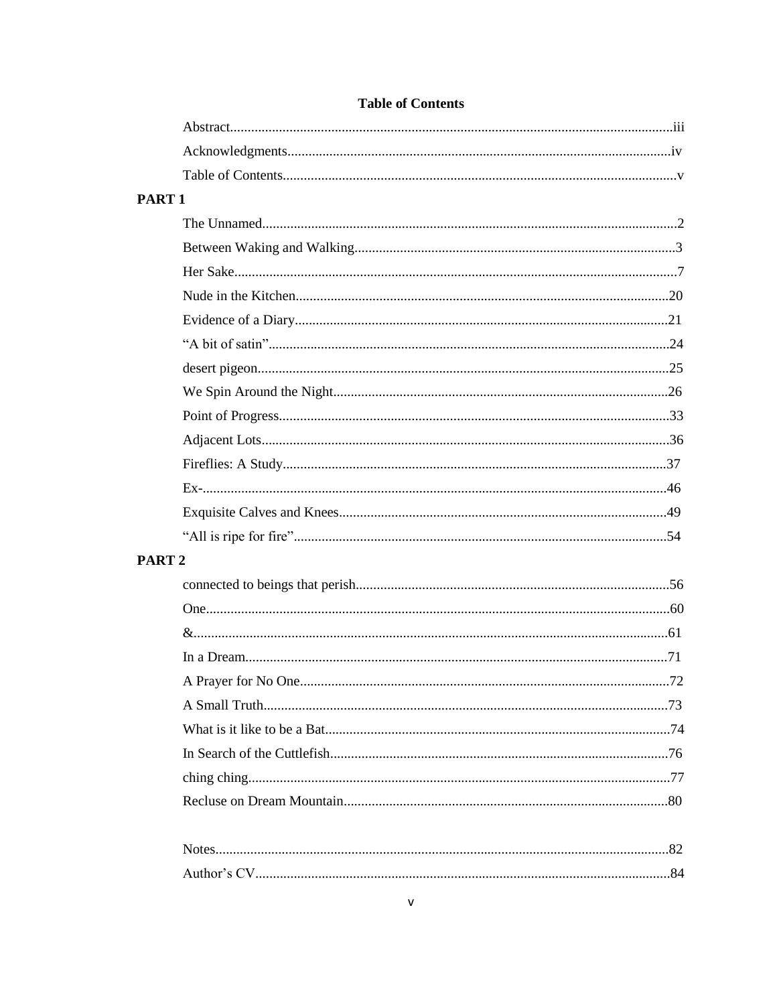| PART <sub>1</sub> |  |
|-------------------|--|
|                   |  |
|                   |  |
|                   |  |
|                   |  |
|                   |  |
|                   |  |
|                   |  |
|                   |  |
|                   |  |
|                   |  |
|                   |  |
|                   |  |
|                   |  |
|                   |  |
| PART <sub>2</sub> |  |
|                   |  |
|                   |  |
|                   |  |
|                   |  |
|                   |  |
|                   |  |
|                   |  |
|                   |  |
|                   |  |
|                   |  |
|                   |  |
|                   |  |

#### **Table of Contents**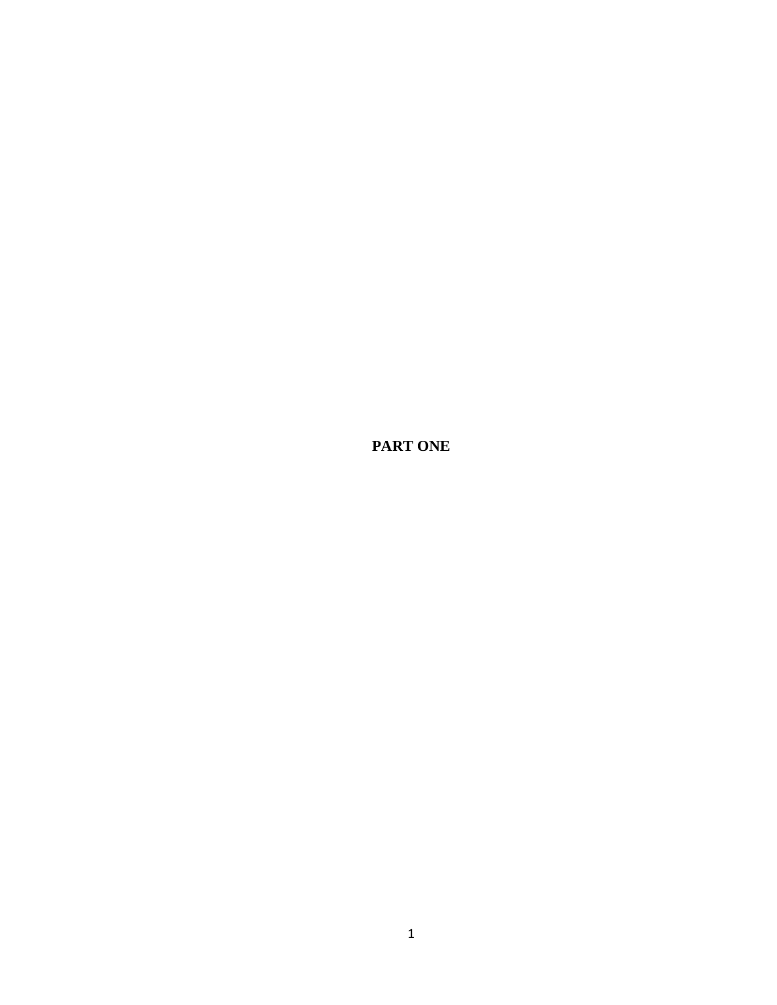**PART ONE**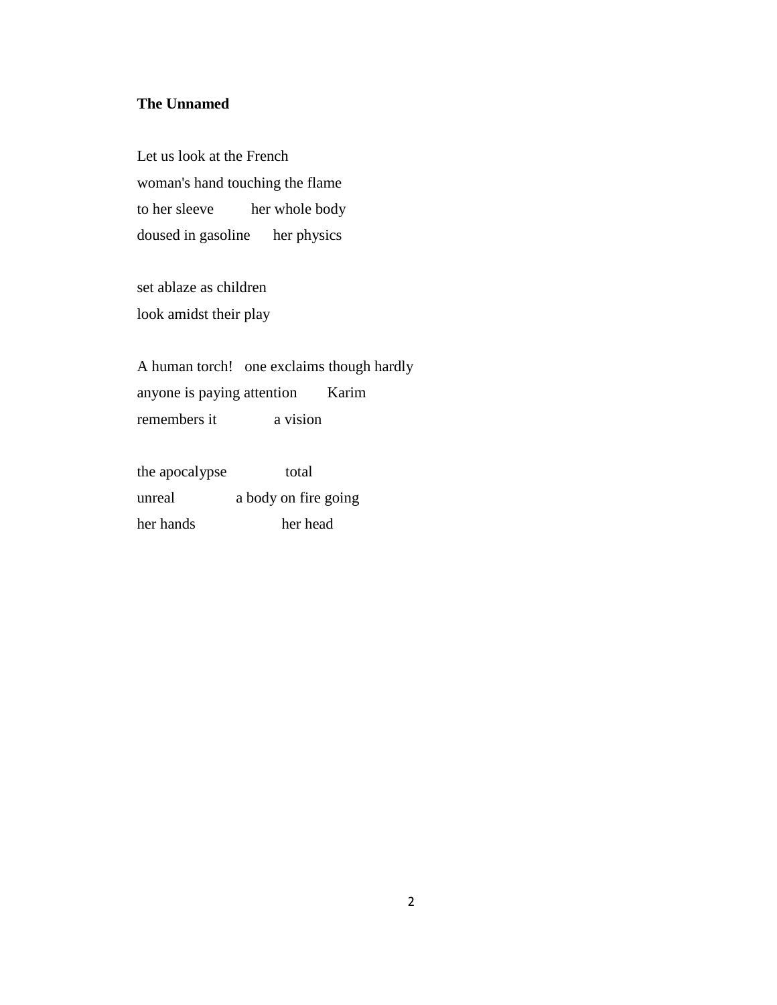#### **The Unnamed**

Let us look at the French woman's hand touching the flame to her sleeve her whole body doused in gasoline her physics

set ablaze as children look amidst their play

A human torch! one exclaims though hardly anyone is paying attention Karim remembers it a vision

the apocalypse total unreal a body on fire going her hands her head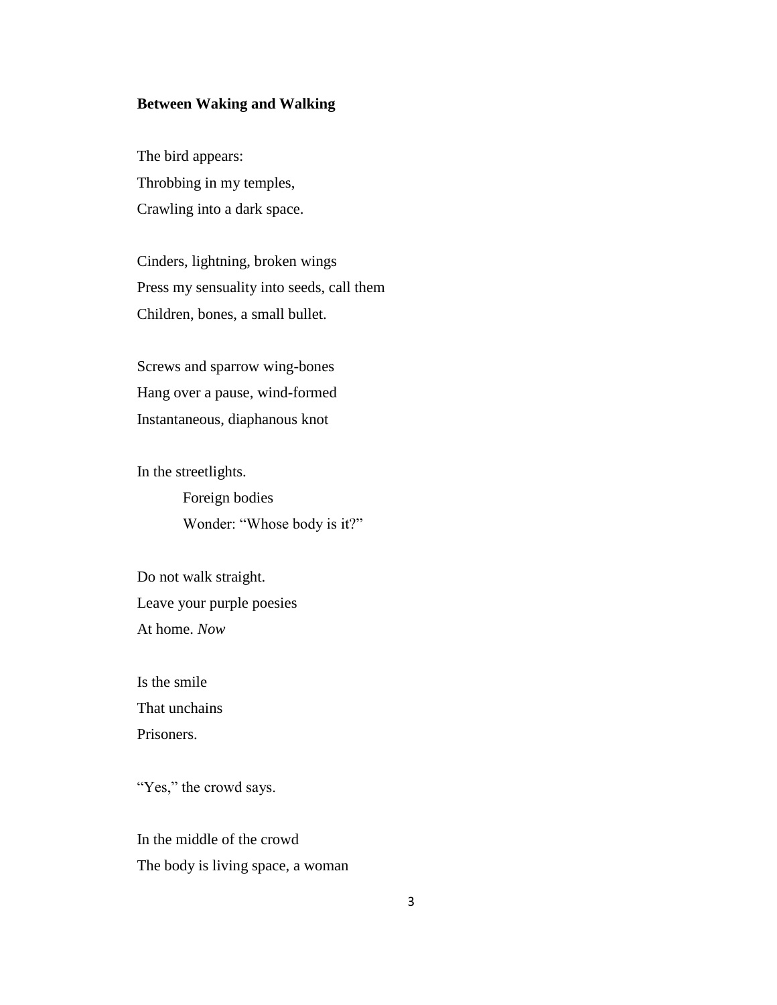#### **Between Waking and Walking**

The bird appears: Throbbing in my temples, Crawling into a dark space.

Cinders, lightning, broken wings Press my sensuality into seeds, call them Children, bones, a small bullet.

Screws and sparrow wing-bones Hang over a pause, wind-formed Instantaneous, diaphanous knot

In the streetlights. Foreign bodies

Wonder: "Whose body is it?"

Do not walk straight. Leave your purple poesies At home. *Now* 

Is the smile That unchains Prisoners.

"Yes," the crowd says.

In the middle of the crowd The body is living space, a woman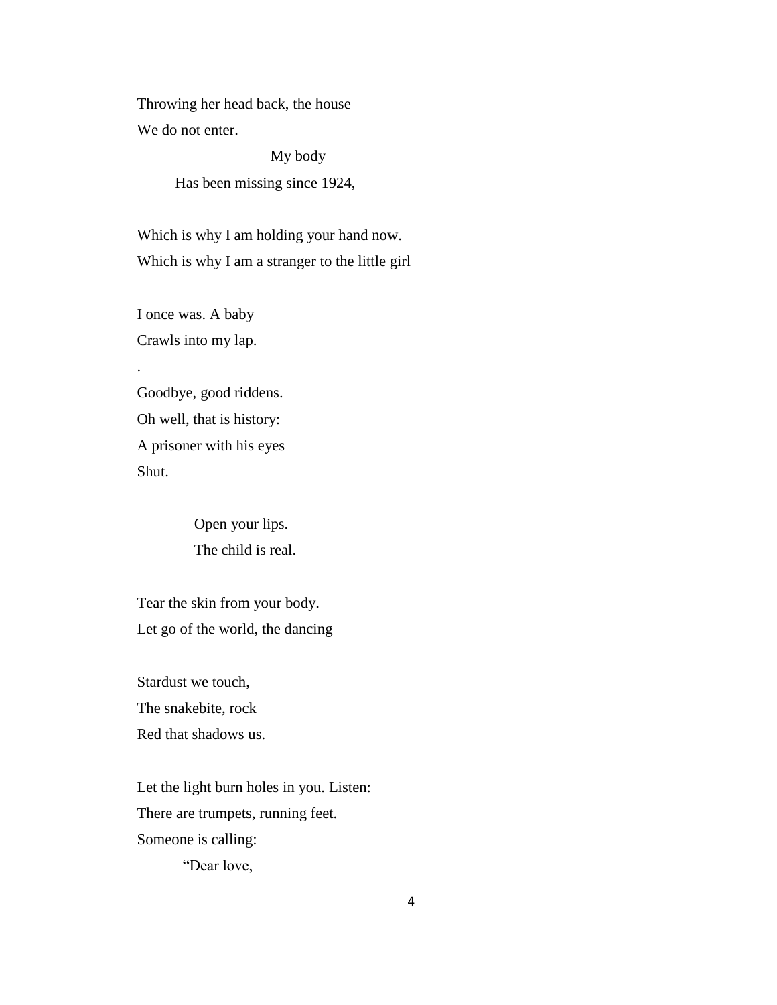Throwing her head back, the house We do not enter.

> My body Has been missing since 1924,

Which is why I am holding your hand now. Which is why I am a stranger to the little girl

I once was. A baby Crawls into my lap.

.

Goodbye, good riddens. Oh well, that is history: A prisoner with his eyes Shut.

> Open your lips. The child is real.

Tear the skin from your body. Let go of the world, the dancing

Stardust we touch, The snakebite, rock Red that shadows us.

Let the light burn holes in you. Listen: There are trumpets, running feet. Someone is calling:

"Dear love,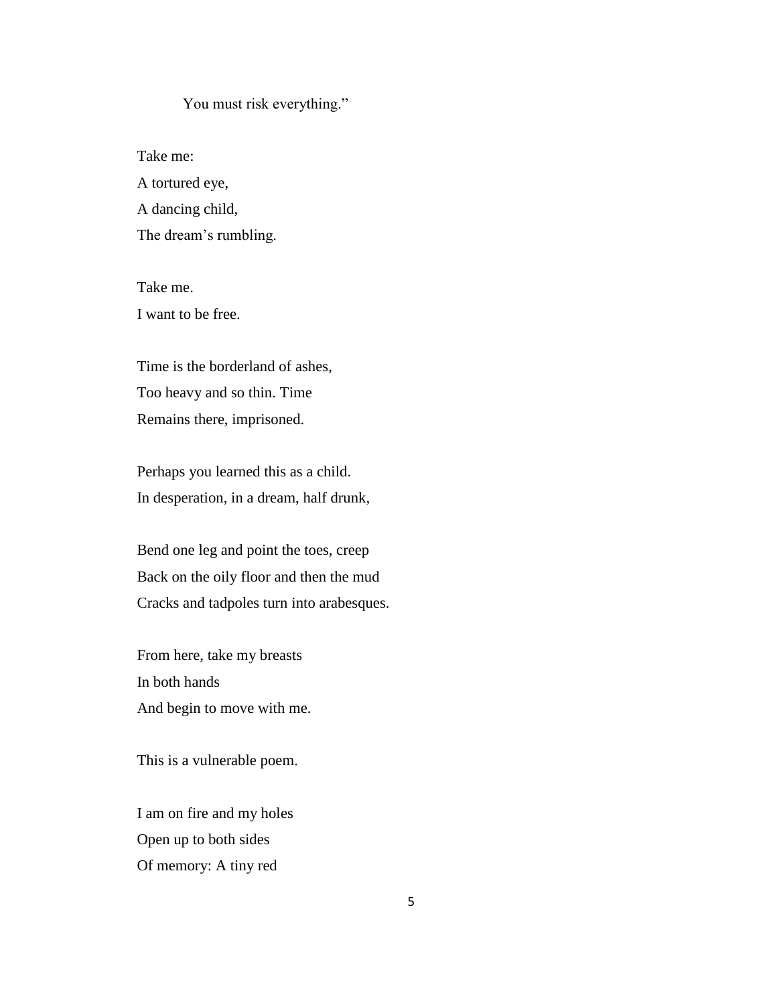#### You must risk everything."

Take me: A tortured eye, A dancing child, The dream's rumbling.

Take me. I want to be free.

Time is the borderland of ashes, Too heavy and so thin. Time Remains there, imprisoned.

Perhaps you learned this as a child. In desperation, in a dream, half drunk,

Bend one leg and point the toes, creep Back on the oily floor and then the mud Cracks and tadpoles turn into arabesques.

From here, take my breasts In both hands And begin to move with me.

This is a vulnerable poem.

I am on fire and my holes Open up to both sides Of memory: A tiny red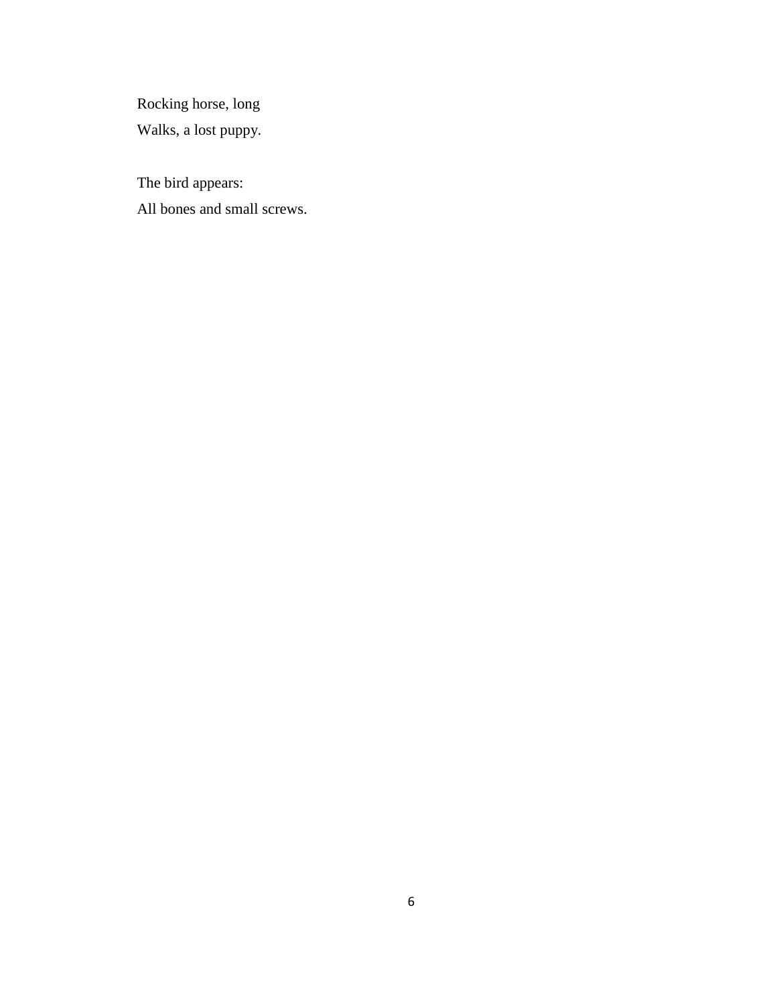Rocking horse, long

Walks, a lost puppy.

The bird appears: All bones and small screws.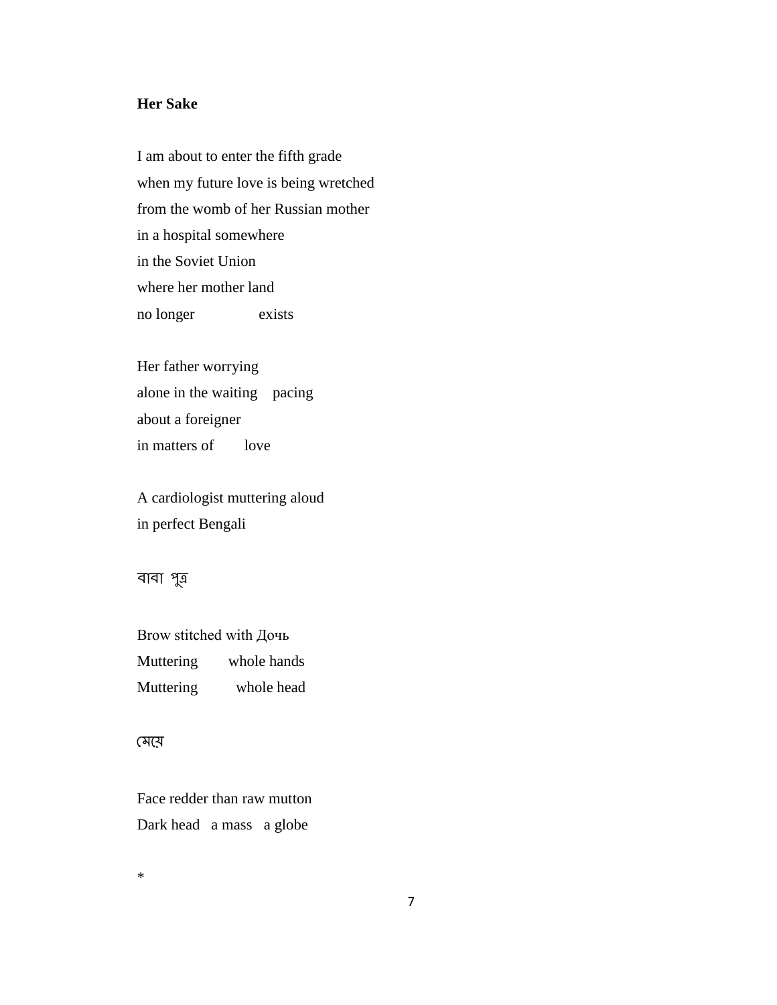#### **Her Sake**

I am about to enter the fifth grade when my future love is being wretched from the womb of her Russian mother in a hospital somewhere in the Soviet Union where her mother land no longer exists

Her father worrying alone in the waiting pacing about a foreigner in matters of love

A cardiologist muttering aloud in perfect Bengali

বাবা পুত্ৰ

Brow stitched with Дочь Muttering whole hands Muttering whole head

#### মেয়ে

Face redder than raw mutton Dark head a mass a globe

\*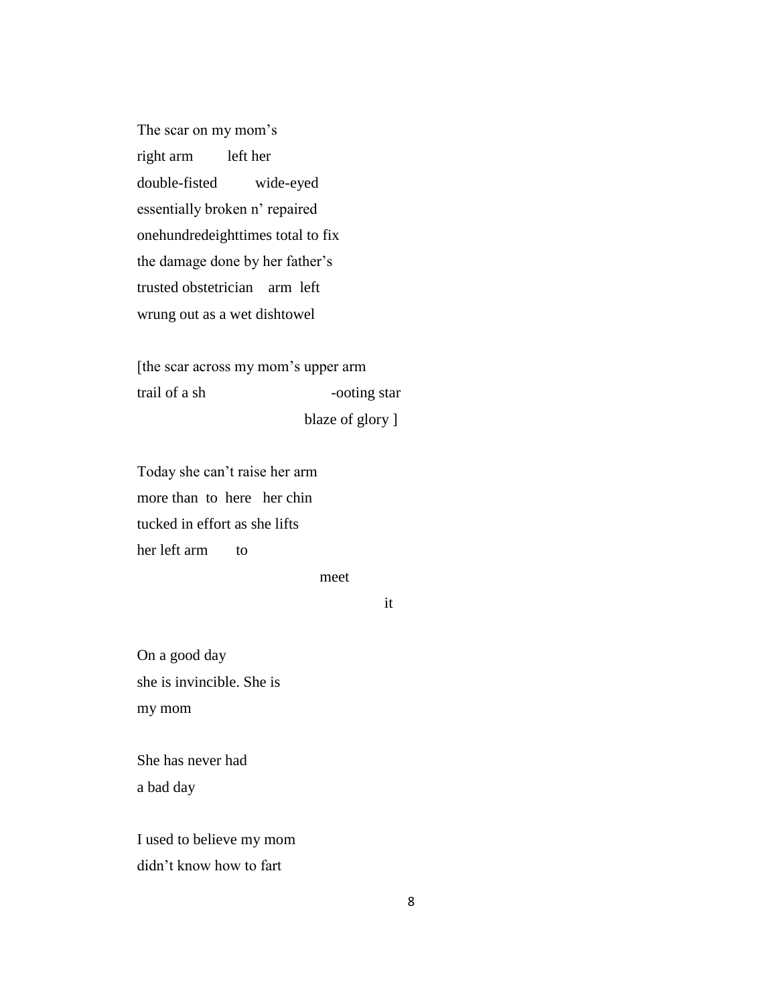The scar on my mom's right arm left her double-fisted wide-eyed essentially broken n' repaired onehundredeighttimes total to fix the damage done by her father's trusted obstetrician arm left wrung out as a wet dishtowel

[the scar across my mom's upper arm trail of a sh -ooting star

blaze of glory ]

Today she can't raise her arm more than to here her chin tucked in effort as she lifts her left arm to

meet

it

On a good day she is invincible. She is my mom

She has never had a bad day

I used to believe my mom didn't know how to fart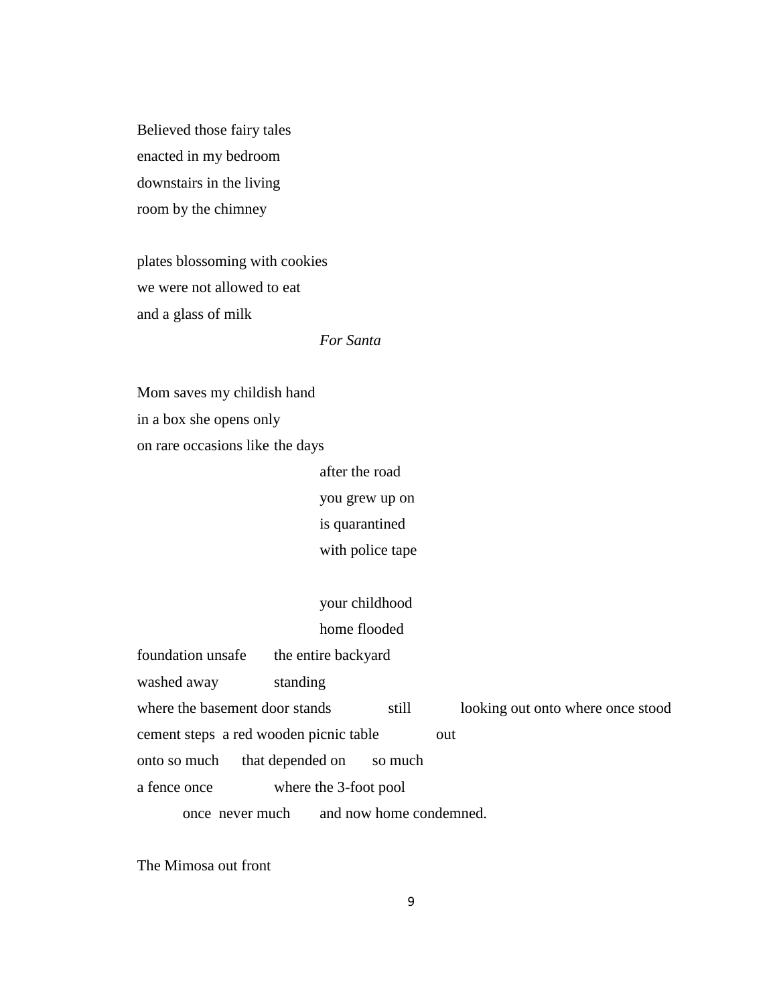Believed those fairy tales enacted in my bedroom downstairs in the living room by the chimney

plates blossoming with cookies we were not allowed to eat and a glass of milk

*For Santa*

Mom saves my childish hand in a box she opens only on rare occasions like the days

> after the road you grew up on is quarantined with police tape

your childhood home flooded

| foundation unsafe                      | the entire backyard   |                         |                                   |
|----------------------------------------|-----------------------|-------------------------|-----------------------------------|
| washed away                            | standing              |                         |                                   |
| where the basement door stands         |                       | still                   | looking out onto where once stood |
| cement steps a red wooden picnic table |                       |                         | out                               |
| onto so much                           | that depended on      | so much                 |                                   |
| a fence once                           | where the 3-foot pool |                         |                                   |
| once never much                        |                       | and now home condemned. |                                   |

The Mimosa out front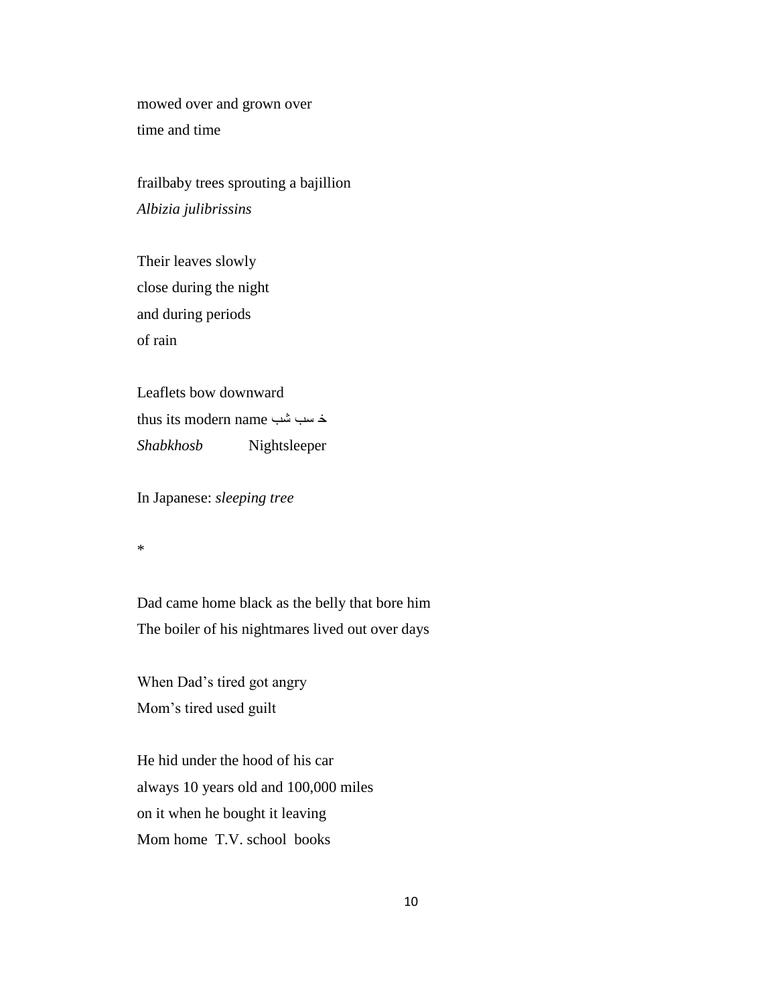mowed over and grown over time and time

frailbaby trees sprouting a bajillion *Albizia julibrissins*

Their leaves slowly close during the night and during periods of rain

Leaflets bow downward thus its modern name شب سب خ *Shabkhosb* Nightsleeper

In Japanese: *sleeping tree*

\*

Dad came home black as the belly that bore him The boiler of his nightmares lived out over days

When Dad's tired got angry Mom's tired used guilt

He hid under the hood of his car always 10 years old and 100,000 miles on it when he bought it leaving Mom home T.V. school books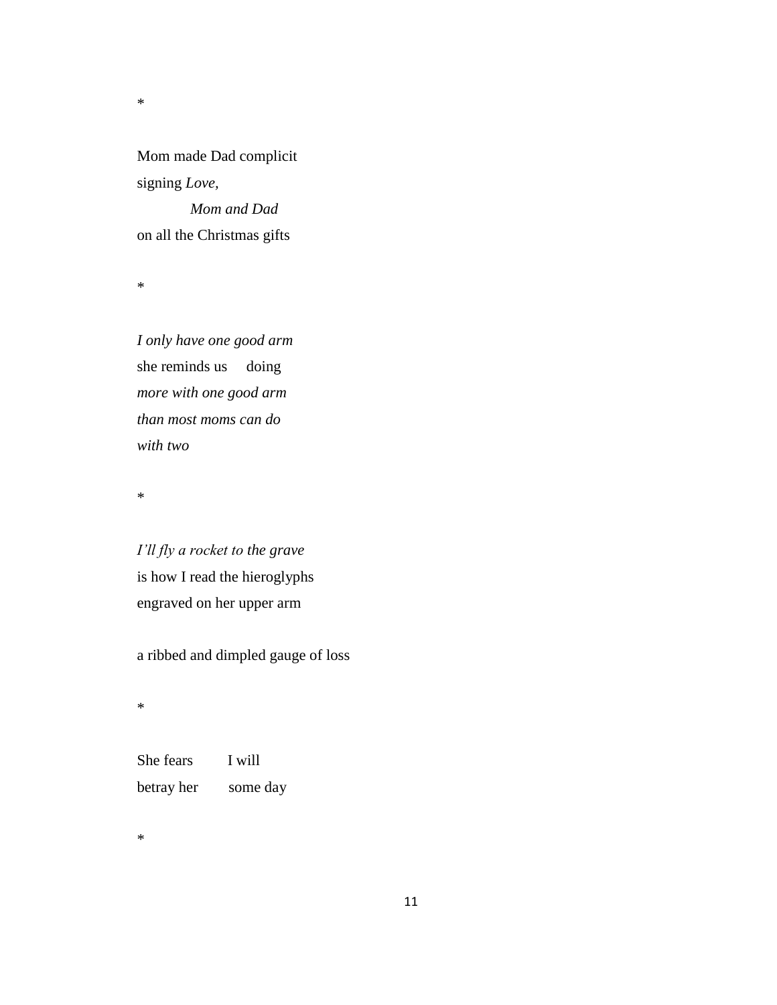Mom made Dad complicit signing *Love,*

 *Mom and Dad*  on all the Christmas gifts

\*

\*

*I only have one good arm* she reminds us doing *more with one good arm than most moms can do with two*

\*

*I'll fly a rocket to the grave* is how I read the hieroglyphs engraved on her upper arm

a ribbed and dimpled gauge of loss

\*

She fears I will betray her some day

\*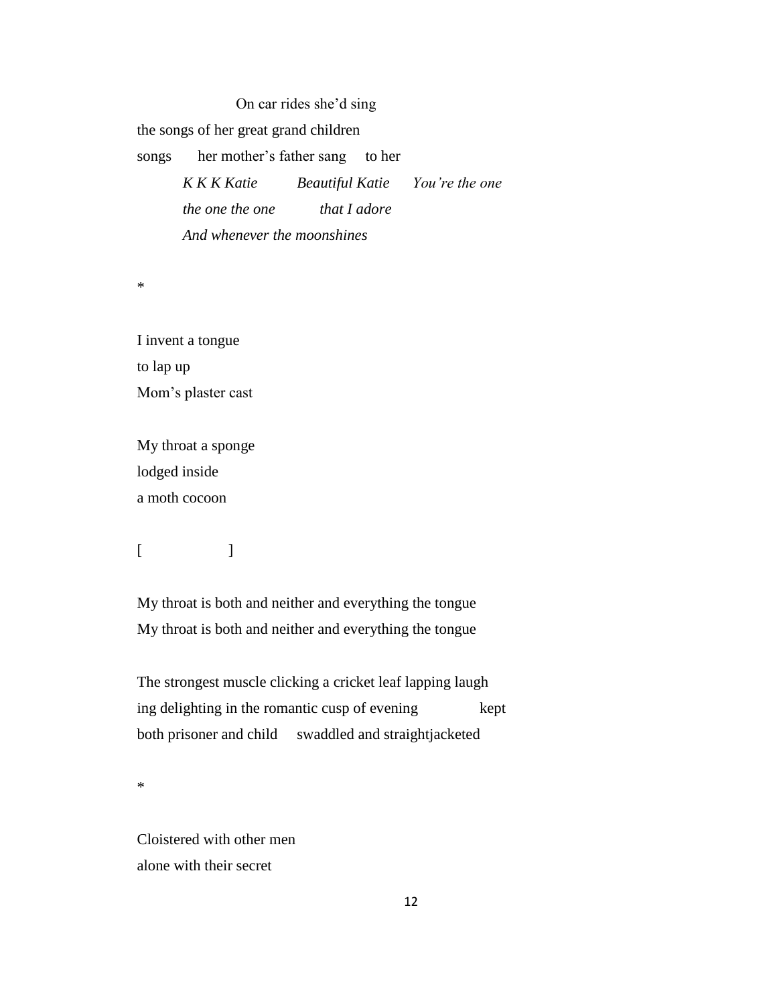On car rides she'd sing the songs of her great grand children songs her mother's father sang to her *K K K Katie Beautiful Katie You're the one the one the one that I adore And whenever the moonshines*

\*

I invent a tongue to lap up Mom's plaster cast

My throat a sponge lodged inside a moth cocoon

 $[$   $]$ 

My throat is both and neither and everything the tongue My throat is both and neither and everything the tongue

The strongest muscle clicking a cricket leaf lapping laugh ing delighting in the romantic cusp of evening kept both prisoner and child swaddled and straightjacketed

\*

Cloistered with other men alone with their secret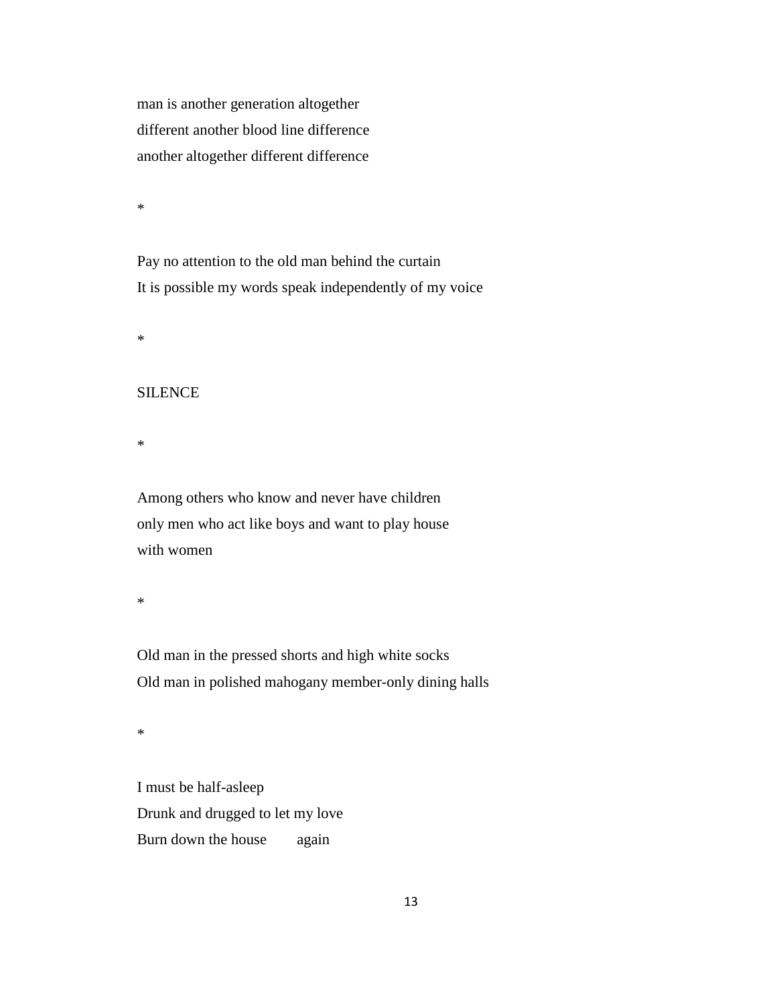man is another generation altogether different another blood line difference another altogether different difference

\*

Pay no attention to the old man behind the curtain It is possible my words speak independently of my voice

\*

#### SILENCE

\*

Among others who know and never have children only men who act like boys and want to play house with women

\*

Old man in the pressed shorts and high white socks Old man in polished mahogany member-only dining halls

\*

I must be half-asleep Drunk and drugged to let my love Burn down the house again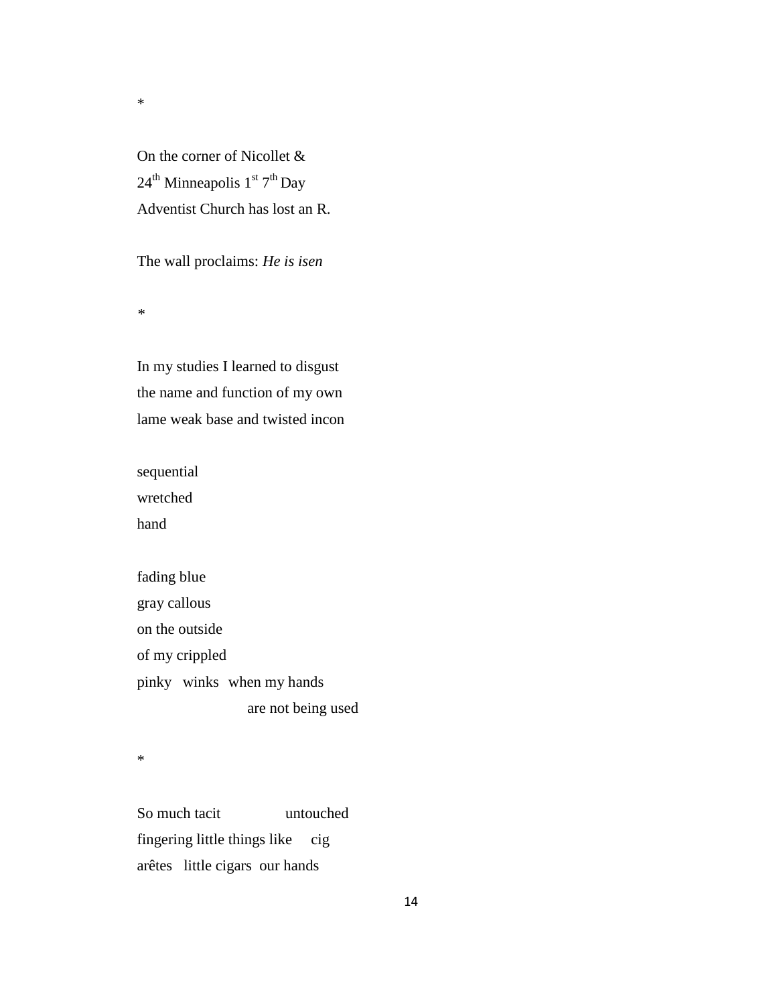On the corner of Nicollet &  $24^{\text{th}}$  Minneapolis  $1^{\text{st}}$   $7^{\text{th}}$  Day Adventist Church has lost an R.

The wall proclaims: *He is isen* 

*\**

\*

In my studies I learned to disgust the name and function of my own lame weak base and twisted incon

sequential wretched hand

fading blue gray callous on the outside of my crippled pinky winks when my hands are not being used

\*

So much tacit untouched fingering little things like cig arêtes little cigars our hands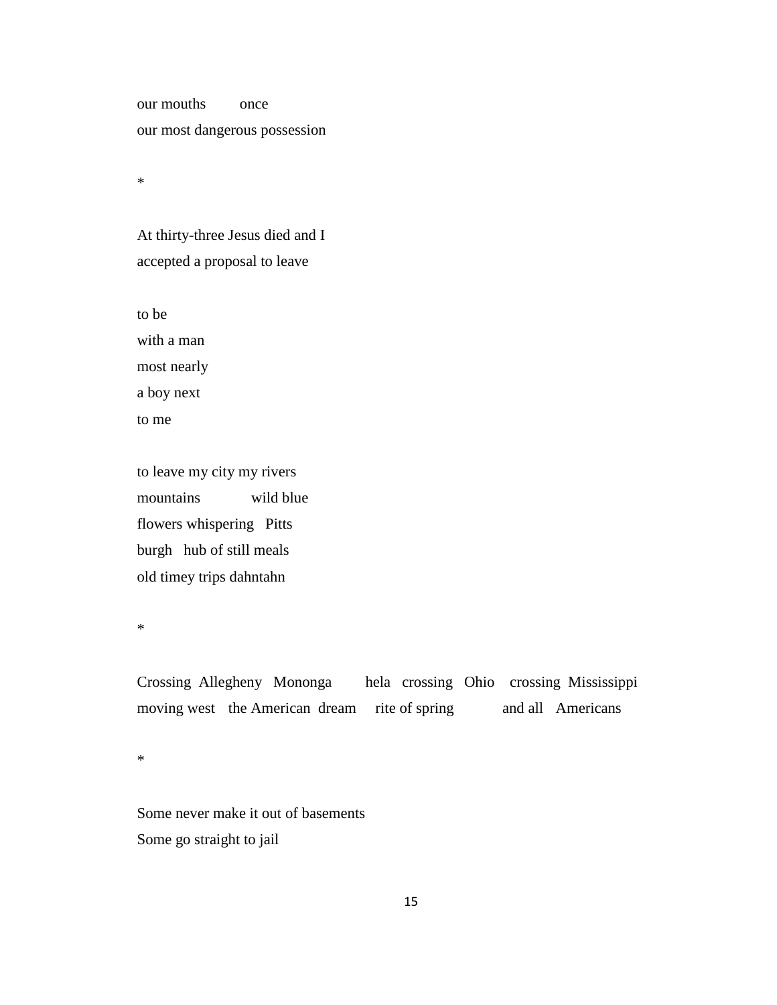our mouths once our most dangerous possession

\*

At thirty-three Jesus died and I accepted a proposal to leave

to be

with a man most nearly a boy next to me

to leave my city my rivers mountains wild blue flowers whispering Pitts burgh hub of still meals old timey trips dahntahn

\*

Crossing Allegheny Mononga hela crossing Ohio crossing Mississippi moving west the American dream rite of spring and all Americans

\*

Some never make it out of basements Some go straight to jail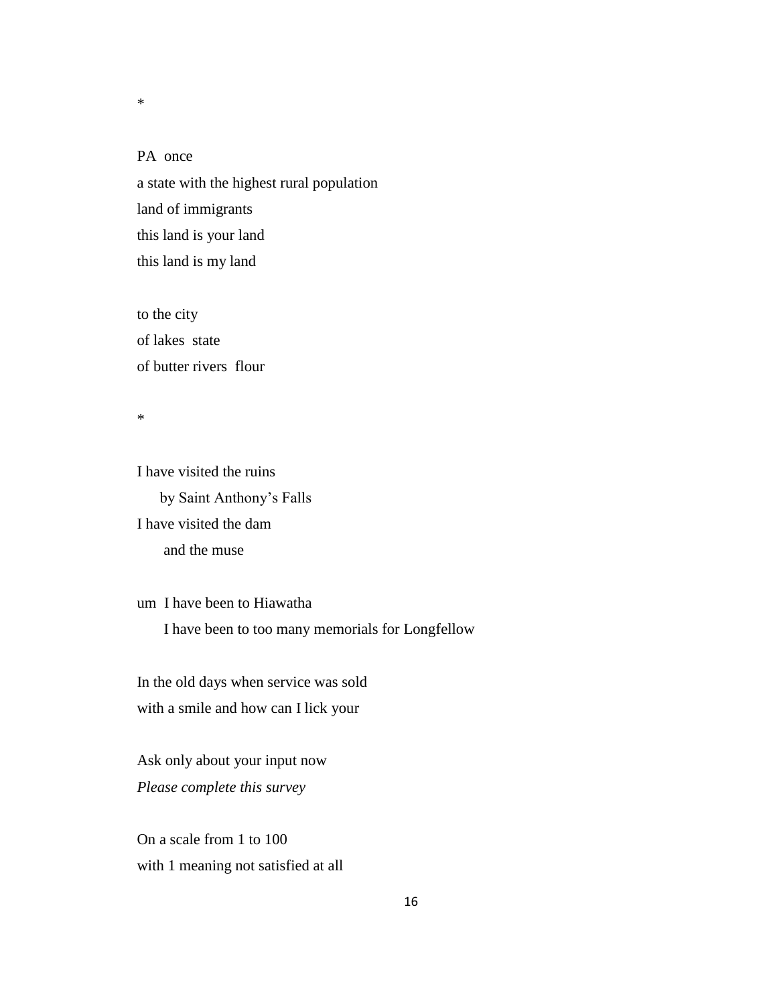PA once a state with the highest rural population land of immigrants this land is your land this land is my land

to the city of lakes state of butter rivers flour

\*

\*

I have visited the ruins by Saint Anthony's Falls I have visited the dam and the muse

um I have been to Hiawatha I have been to too many memorials for Longfellow

In the old days when service was sold with a smile and how can I lick your

Ask only about your input now *Please complete this survey*

On a scale from 1 to 100 with 1 meaning not satisfied at all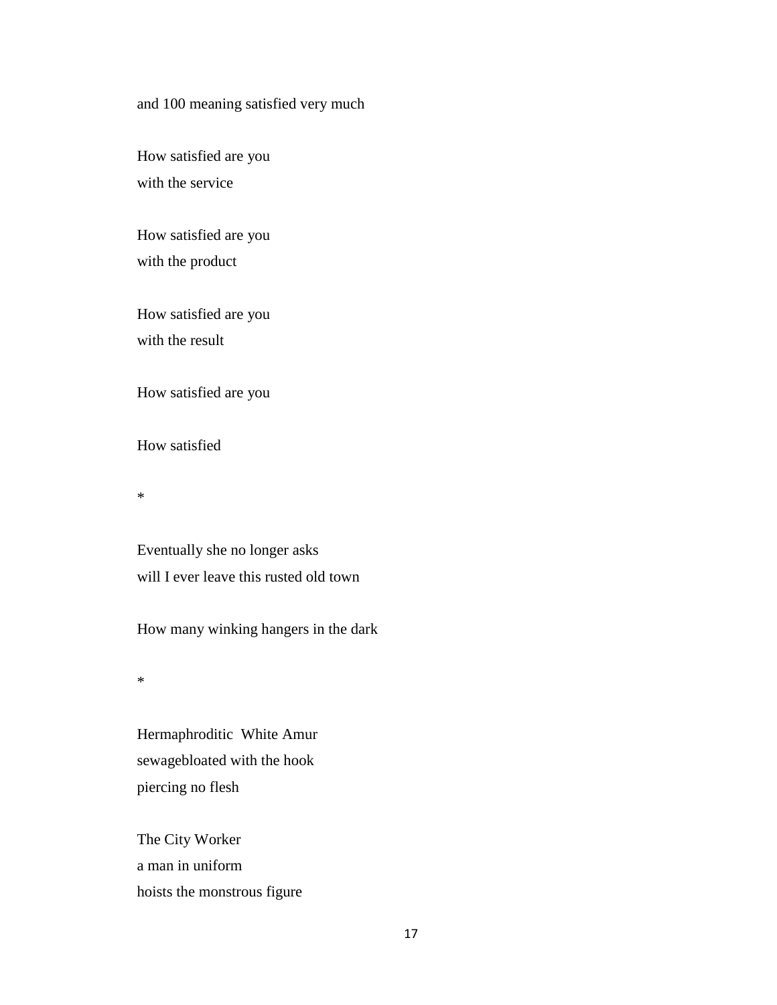#### and 100 meaning satisfied very much

How satisfied are you with the service

How satisfied are you with the product

How satisfied are you with the result

How satisfied are you

How satisfied

\*

Eventually she no longer asks will I ever leave this rusted old town

How many winking hangers in the dark

\*

Hermaphroditic White Amur sewagebloated with the hook piercing no flesh

The City Worker a man in uniform hoists the monstrous figure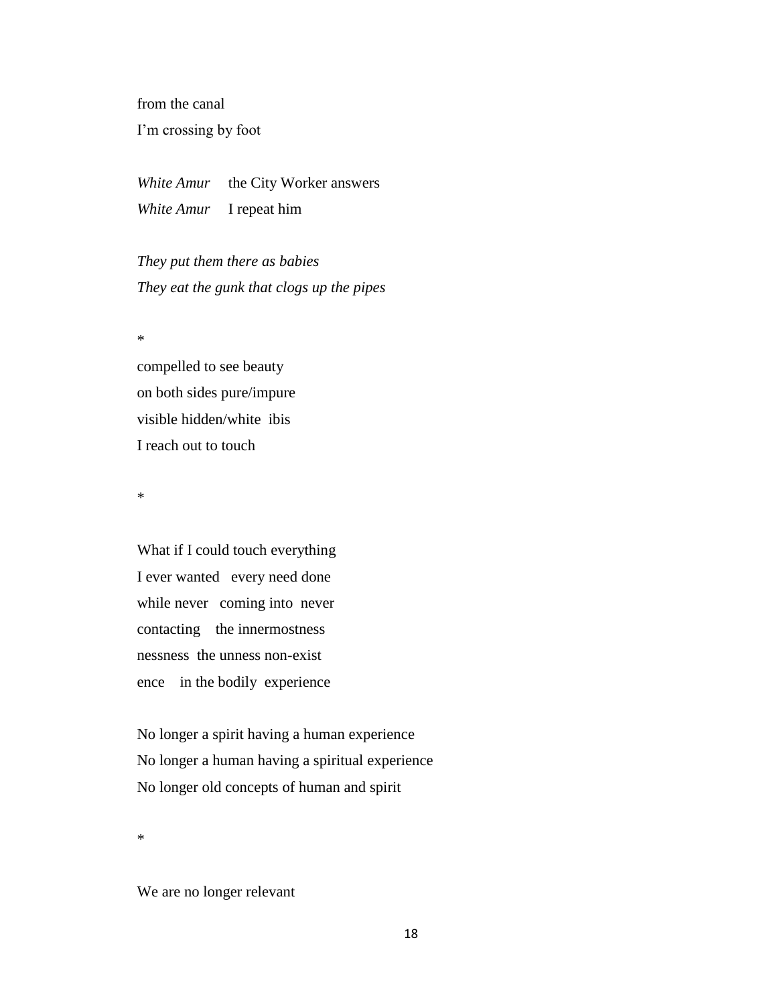from the canal I'm crossing by foot

*White Amur* the City Worker answers *White Amur* I repeat him

*They put them there as babies They eat the gunk that clogs up the pipes* 

\*

compelled to see beauty on both sides pure/impure visible hidden/white ibis I reach out to touch

\*

What if I could touch everything I ever wanted every need done while never coming into never contacting the innermostness nessness the unness non-exist ence in the bodily experience

No longer a spirit having a human experience No longer a human having a spiritual experience No longer old concepts of human and spirit

\*

We are no longer relevant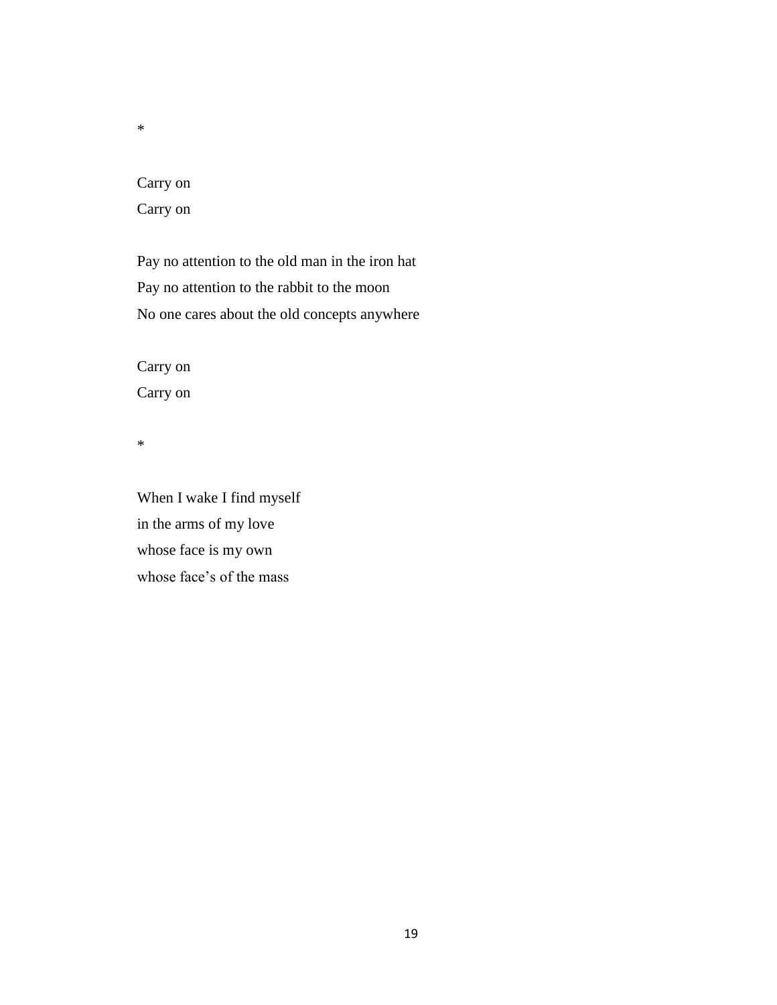\*

# Carry on Carry on

Pay no attention to the old man in the iron hat Pay no attention to the rabbit to the moon No one cares about the old concepts anywhere

Carry on Carry on

\*

When I wake I find myself in the arms of my love whose face is my own whose face's of the mass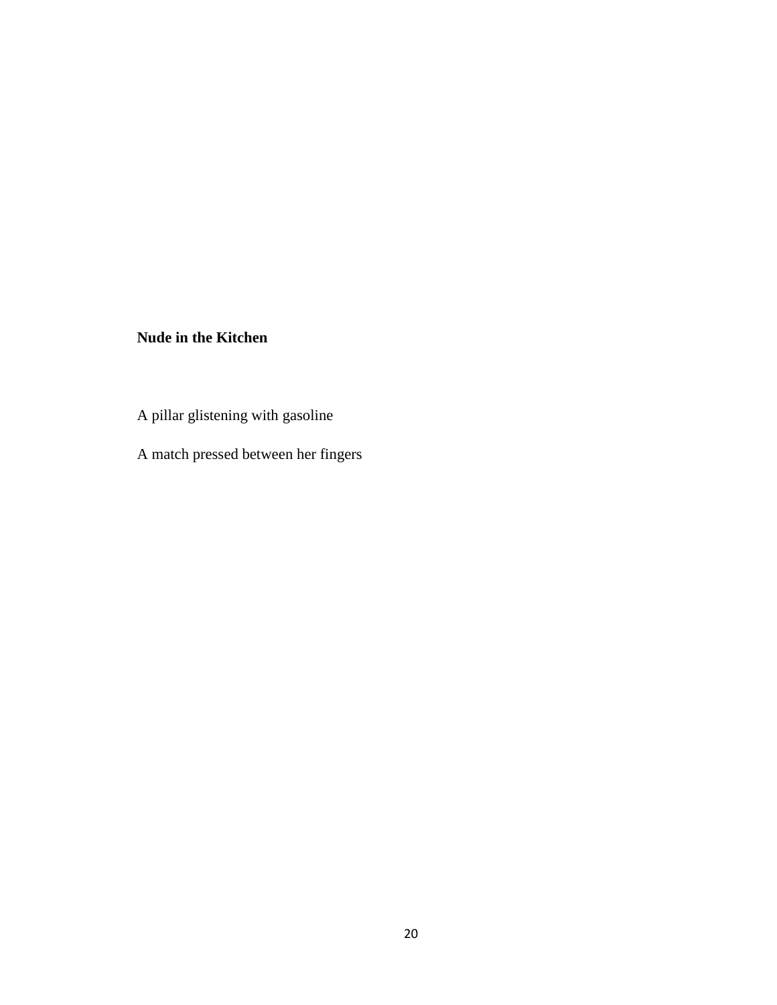## **Nude in the Kitchen**

A pillar glistening with gasoline

A match pressed between her fingers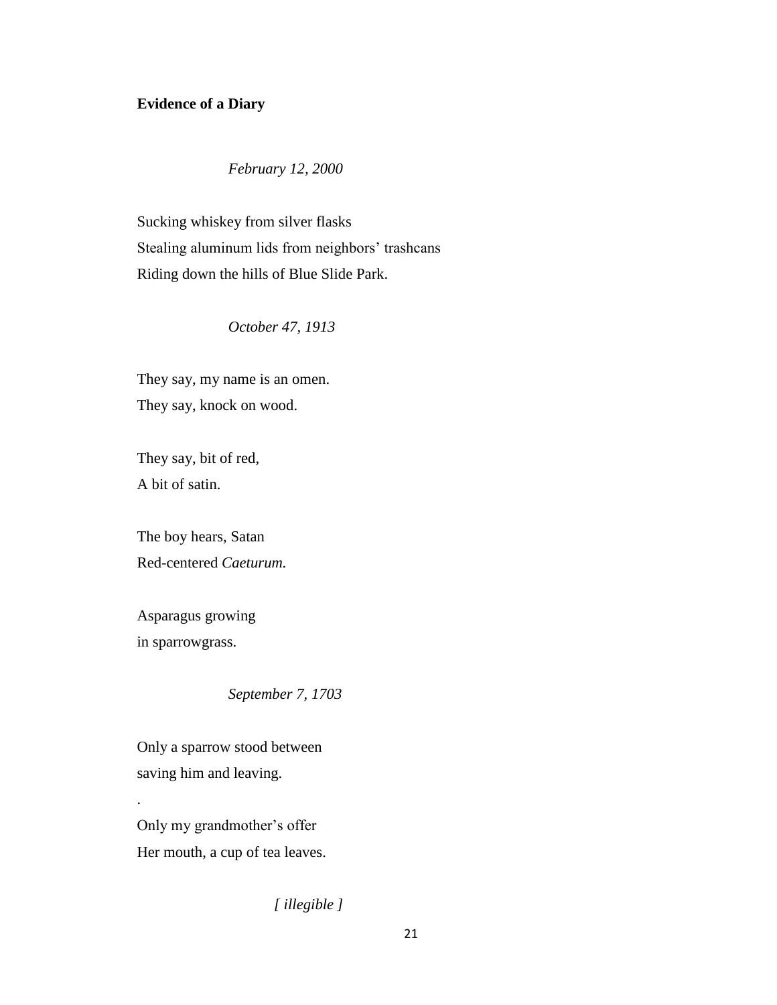#### **Evidence of a Diary**

*February 12, 2000*

Sucking whiskey from silver flasks Stealing aluminum lids from neighbors' trashcans Riding down the hills of Blue Slide Park.

*October 47, 1913*

They say, my name is an omen. They say, knock on wood.

They say, bit of red, A bit of satin.

The boy hears, Satan Red-centered *Caeturum.*

Asparagus growing in sparrowgrass.

.

*September 7, 1703*

Only a sparrow stood between saving him and leaving.

Only my grandmother's offer Her mouth, a cup of tea leaves.

*[ illegible ]*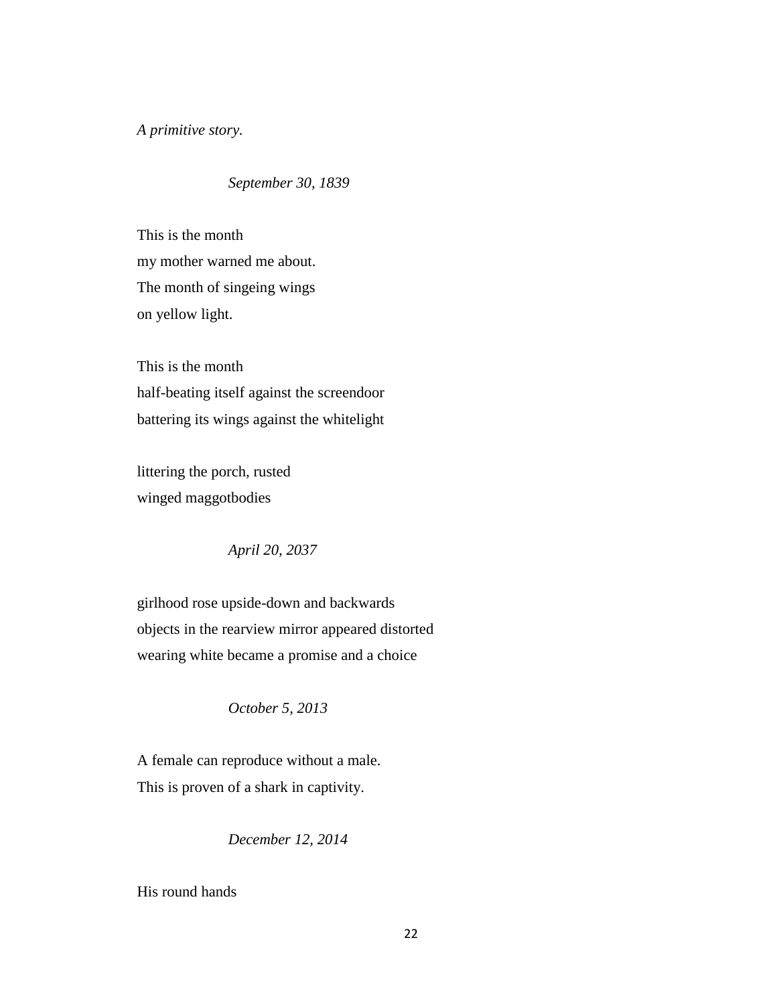*A primitive story.* 

*September 30, 1839*

This is the month my mother warned me about. The month of singeing wings on yellow light.

This is the month half-beating itself against the screendoor battering its wings against the whitelight

littering the porch, rusted winged maggotbodies

*April 20, 2037*

girlhood rose upside-down and backwards objects in the rearview mirror appeared distorted wearing white became a promise and a choice

*October 5, 2013*

A female can reproduce without a male. This is proven of a shark in captivity.

*December 12, 2014*

His round hands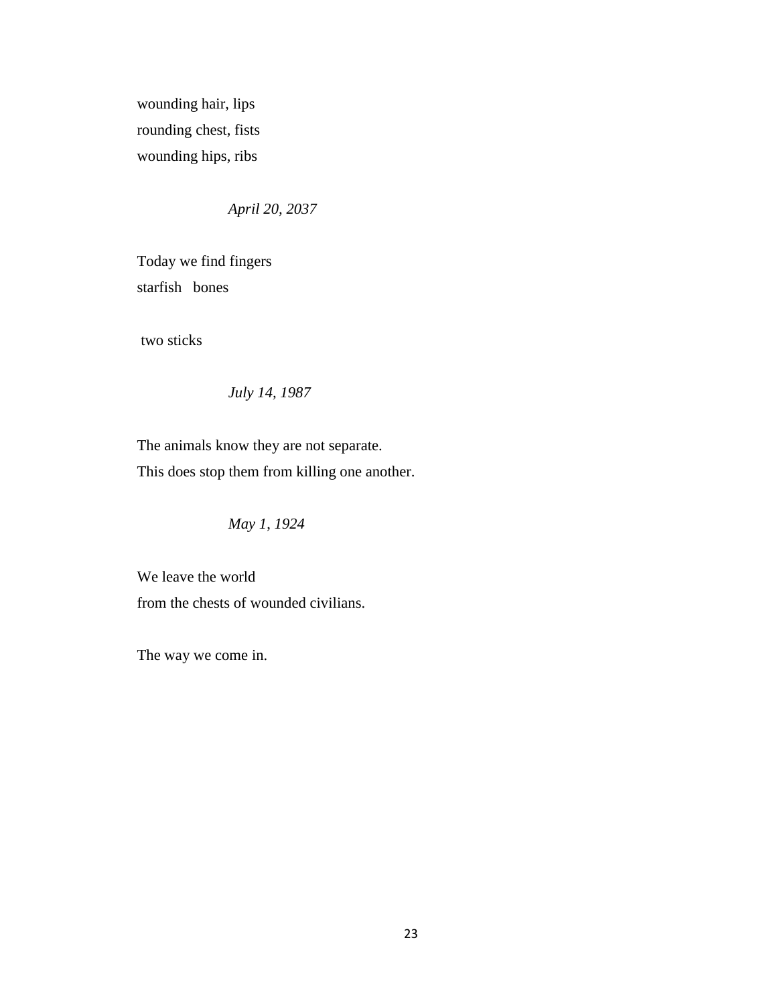wounding hair, lips rounding chest, fists wounding hips, ribs

*April 20, 2037*

Today we find fingers starfish bones

two sticks

*July 14, 1987*

The animals know they are not separate. This does stop them from killing one another.

*May 1*, *1924*

We leave the world from the chests of wounded civilians.

The way we come in.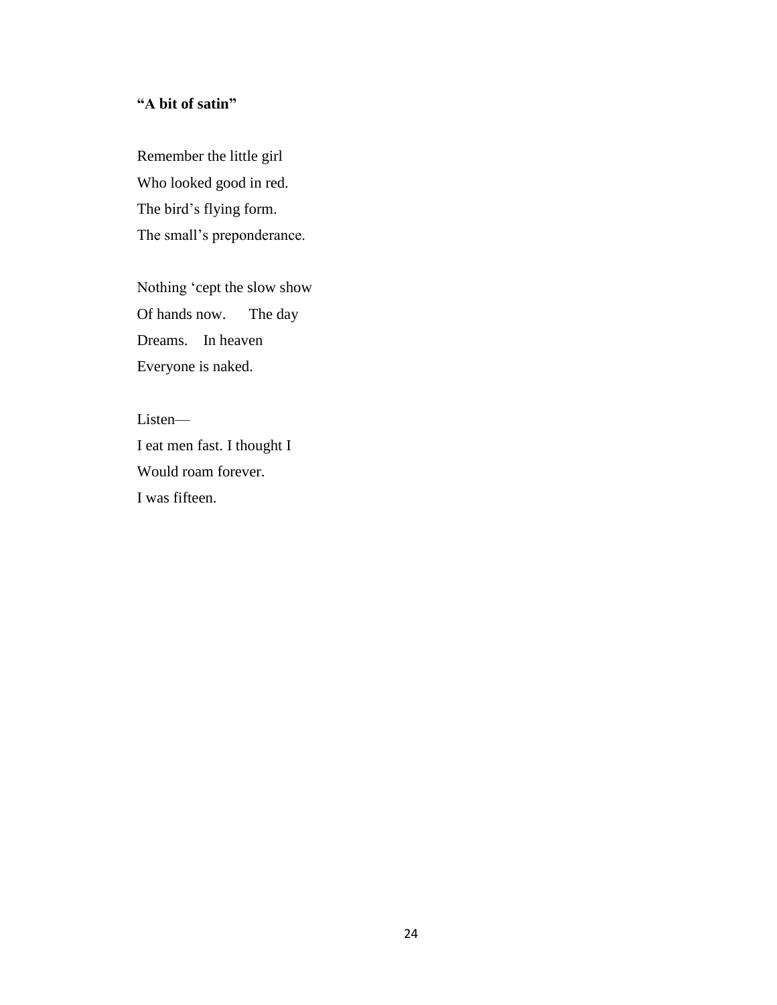#### **"A bit of satin"**

Remember the little girl Who looked good in red. The bird's flying form. The small's preponderance.

Nothing 'cept the slow show Of hands now. The day Dreams. In heaven Everyone is naked.

Listen— I eat men fast. I thought I Would roam forever. I was fifteen.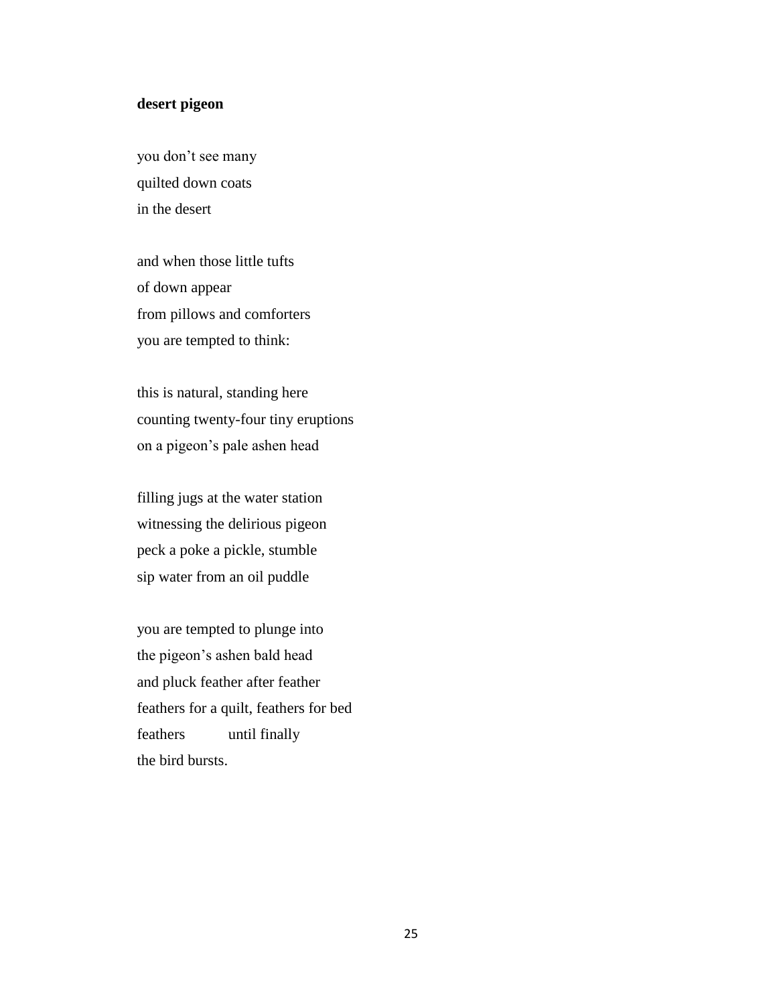#### **desert pigeon**

you don't see many quilted down coats in the desert

and when those little tufts of down appear from pillows and comforters you are tempted to think:

this is natural, standing here counting twenty-four tiny eruptions on a pigeon's pale ashen head

filling jugs at the water station witnessing the delirious pigeon peck a poke a pickle, stumble sip water from an oil puddle

you are tempted to plunge into the pigeon's ashen bald head and pluck feather after feather feathers for a quilt, feathers for bed feathers until finally the bird bursts.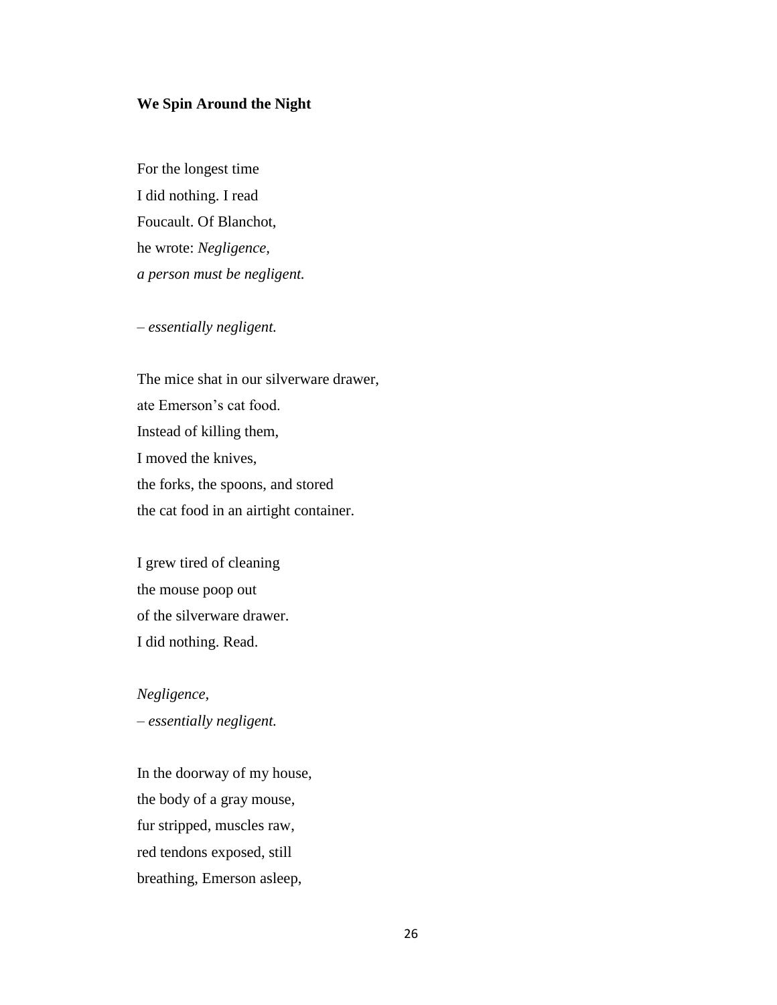#### **We Spin Around the Night**

For the longest time I did nothing. I read Foucault. Of Blanchot, he wrote: *Negligence, a person must be negligent.*

*– essentially negligent.*

The mice shat in our silverware drawer, ate Emerson's cat food. Instead of killing them, I moved the knives, the forks, the spoons, and stored the cat food in an airtight container.

I grew tired of cleaning the mouse poop out of the silverware drawer. I did nothing. Read.

*Negligence, – essentially negligent.* 

In the doorway of my house, the body of a gray mouse, fur stripped, muscles raw, red tendons exposed, still breathing, Emerson asleep,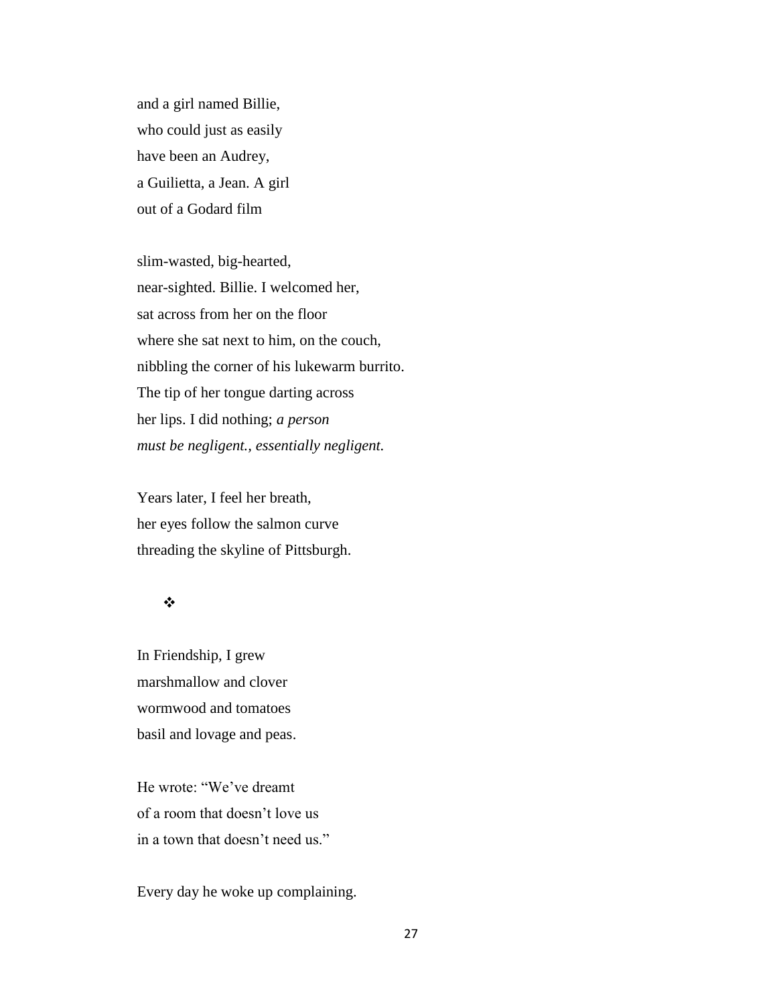and a girl named Billie, who could just as easily have been an Audrey, a Guilietta, a Jean. A girl out of a Godard film

slim-wasted, big-hearted, near-sighted. Billie. I welcomed her, sat across from her on the floor where she sat next to him, on the couch, nibbling the corner of his lukewarm burrito. The tip of her tongue darting across her lips. I did nothing; *a person must be negligent., essentially negligent.* 

Years later, I feel her breath, her eyes follow the salmon curve threading the skyline of Pittsburgh.

#### $\frac{1}{2}$

In Friendship, I grew marshmallow and clover wormwood and tomatoes basil and lovage and peas.

He wrote: "We've dreamt of a room that doesn't love us in a town that doesn't need us."

Every day he woke up complaining.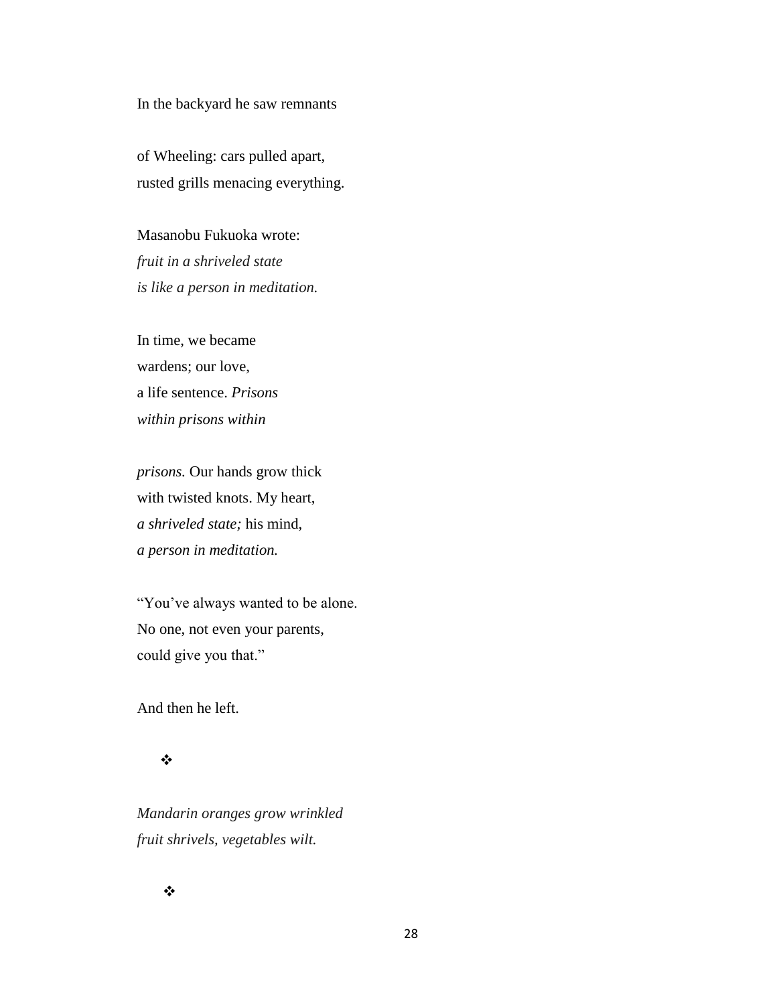In the backyard he saw remnants

of Wheeling: cars pulled apart, rusted grills menacing everything.

Masanobu Fukuoka wrote: *fruit in a shriveled state is like a person in meditation.*

In time, we became wardens; our love, a life sentence. *Prisons within prisons within* 

*prisons.* Our hands grow thick with twisted knots. My heart, *a shriveled state;* his mind, *a person in meditation.* 

"You've always wanted to be alone. No one, not even your parents, could give you that."

And then he left.

#### $\frac{1}{2}$

*Mandarin oranges grow wrinkled fruit shrivels, vegetables wilt.* 

 $\frac{1}{2}$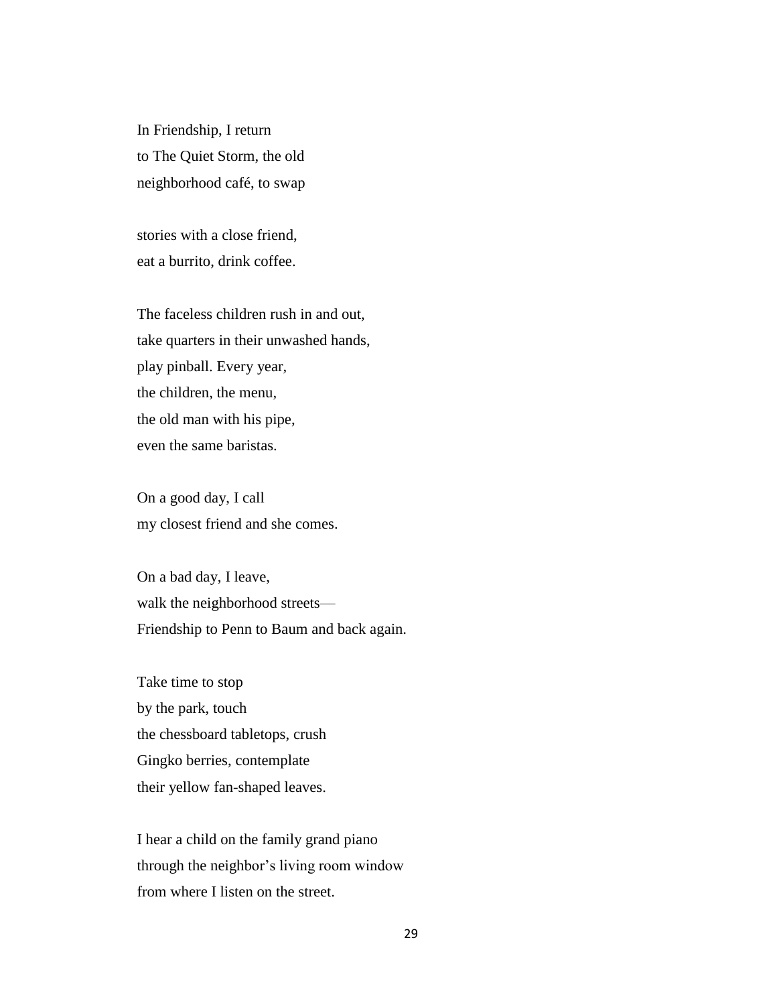In Friendship, I return to The Quiet Storm, the old neighborhood café, to swap

stories with a close friend, eat a burrito, drink coffee.

The faceless children rush in and out, take quarters in their unwashed hands, play pinball. Every year, the children, the menu, the old man with his pipe, even the same baristas.

On a good day, I call my closest friend and she comes.

On a bad day, I leave, walk the neighborhood streets— Friendship to Penn to Baum and back again.

Take time to stop by the park, touch the chessboard tabletops, crush Gingko berries, contemplate their yellow fan-shaped leaves.

I hear a child on the family grand piano through the neighbor's living room window from where I listen on the street.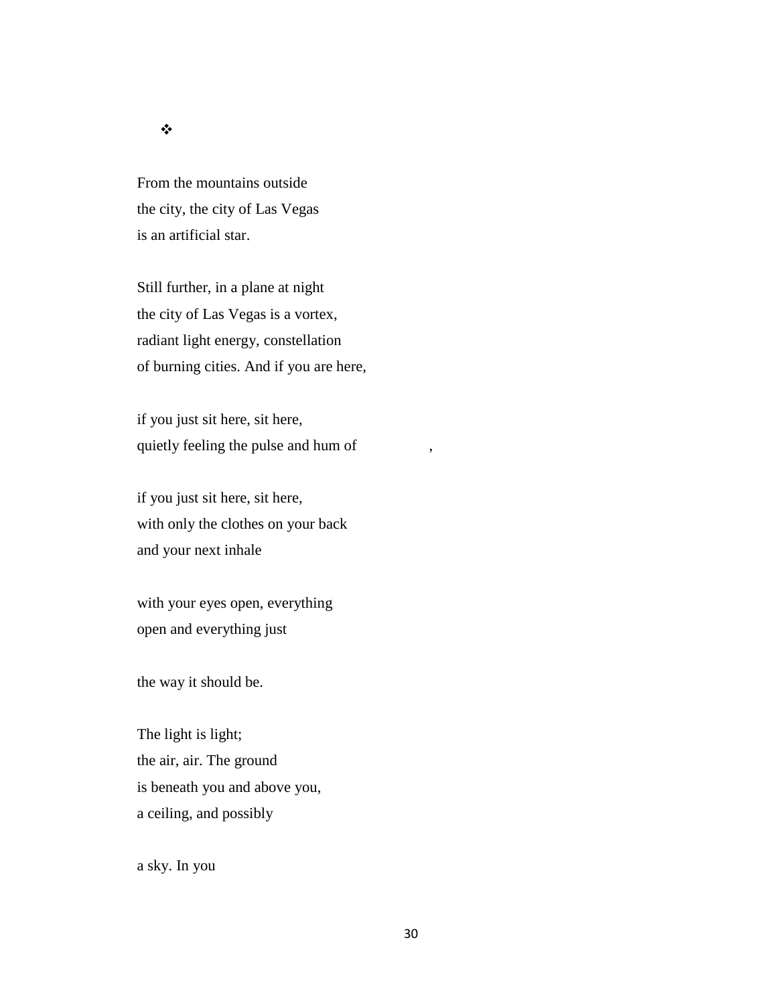#### $\bullet^{\bullet}_{\bullet} \bullet$

From the mountains outside the city, the city of Las Vegas is an artificial star.

Still further, in a plane at night the city of Las Vegas is a vortex, radiant light energy, constellation of burning cities. And if you are here,

if you just sit here, sit here, quietly feeling the pulse and hum of

if you just sit here, sit here, with only the clothes on your back and your next inhale

with your eyes open, everything open and everything just

the way it should be.

The light is light; the air, air. The ground is beneath you and above you, a ceiling, and possibly

a sky. In you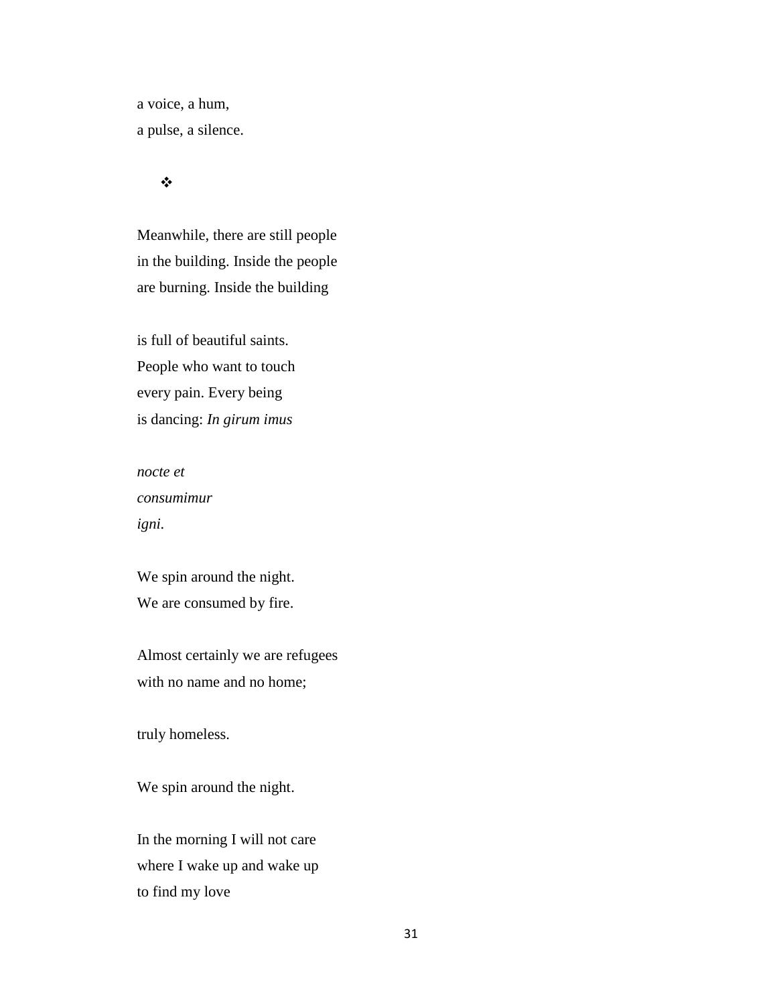a voice, a hum, a pulse, a silence.

# $\bullet^{\bullet}_{\bullet} \bullet$

Meanwhile, there are still people in the building. Inside the people are burning. Inside the building

is full of beautiful saints. People who want to touch every pain. Every being is dancing: *In girum imus* 

*nocte et consumimur igni.*

We spin around the night. We are consumed by fire.

Almost certainly we are refugees with no name and no home;

truly homeless.

We spin around the night.

In the morning I will not care where I wake up and wake up to find my love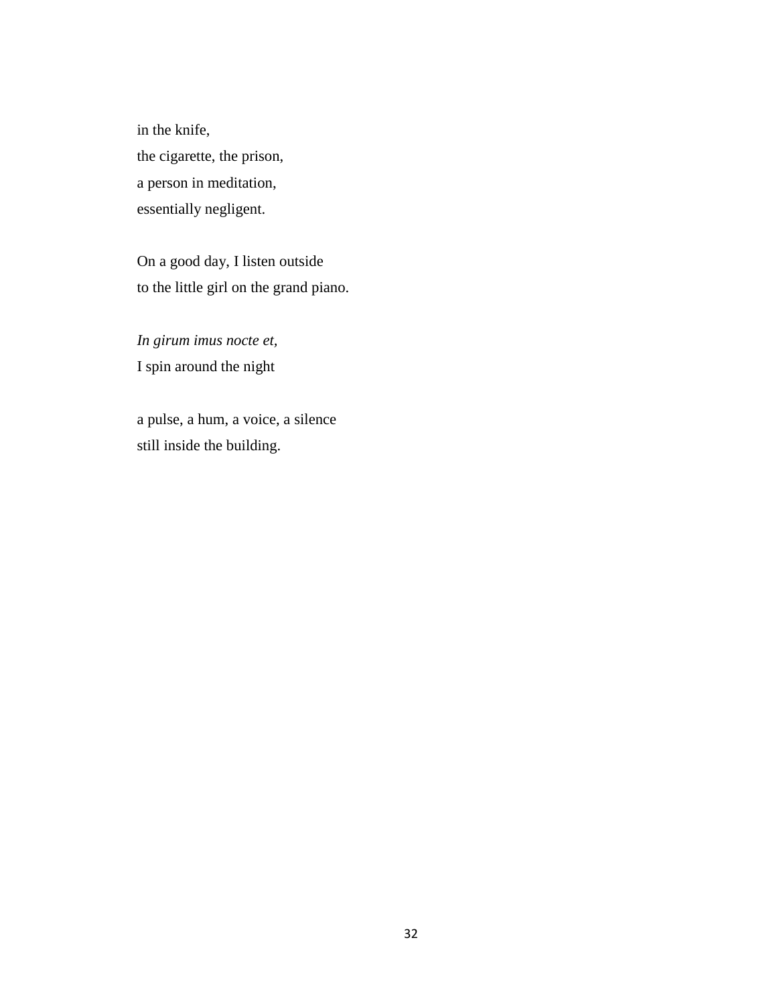in the knife, the cigarette, the prison, a person in meditation, essentially negligent.

On a good day, I listen outside to the little girl on the grand piano.

*In girum imus nocte et,*  I spin around the night

a pulse, a hum, a voice, a silence still inside the building.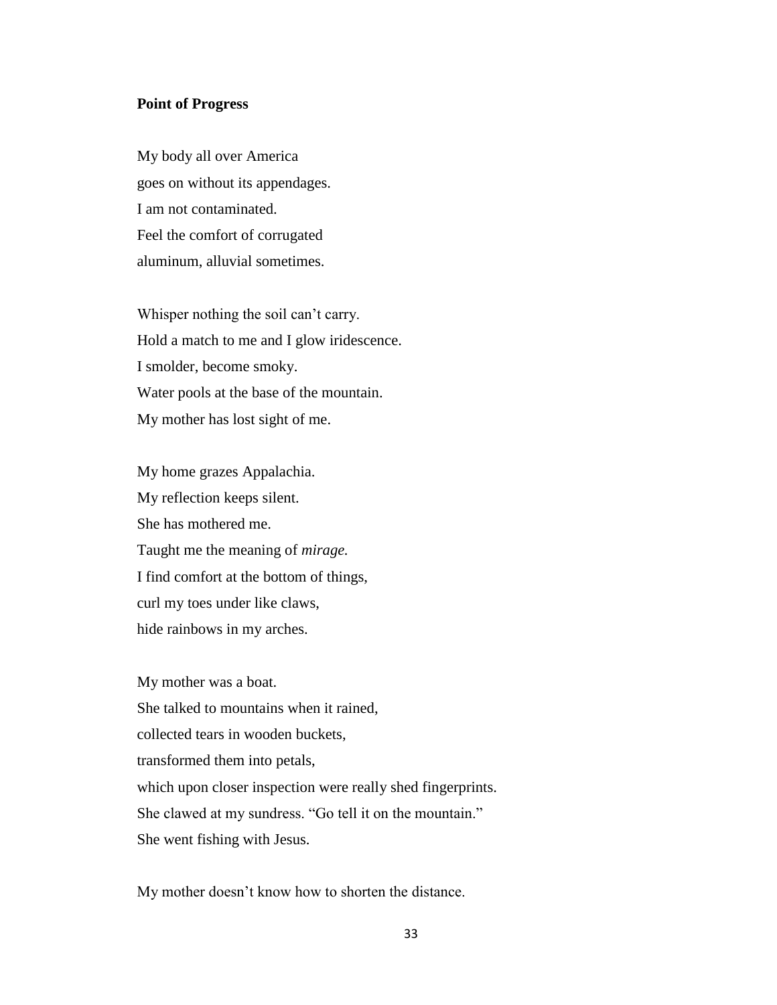#### **Point of Progress**

My body all over America goes on without its appendages. I am not contaminated. Feel the comfort of corrugated aluminum, alluvial sometimes.

Whisper nothing the soil can't carry. Hold a match to me and I glow iridescence. I smolder, become smoky. Water pools at the base of the mountain. My mother has lost sight of me.

My home grazes Appalachia. My reflection keeps silent. She has mothered me. Taught me the meaning of *mirage.* I find comfort at the bottom of things, curl my toes under like claws, hide rainbows in my arches.

My mother was a boat. She talked to mountains when it rained, collected tears in wooden buckets, transformed them into petals, which upon closer inspection were really shed fingerprints. She clawed at my sundress. "Go tell it on the mountain." She went fishing with Jesus.

My mother doesn't know how to shorten the distance.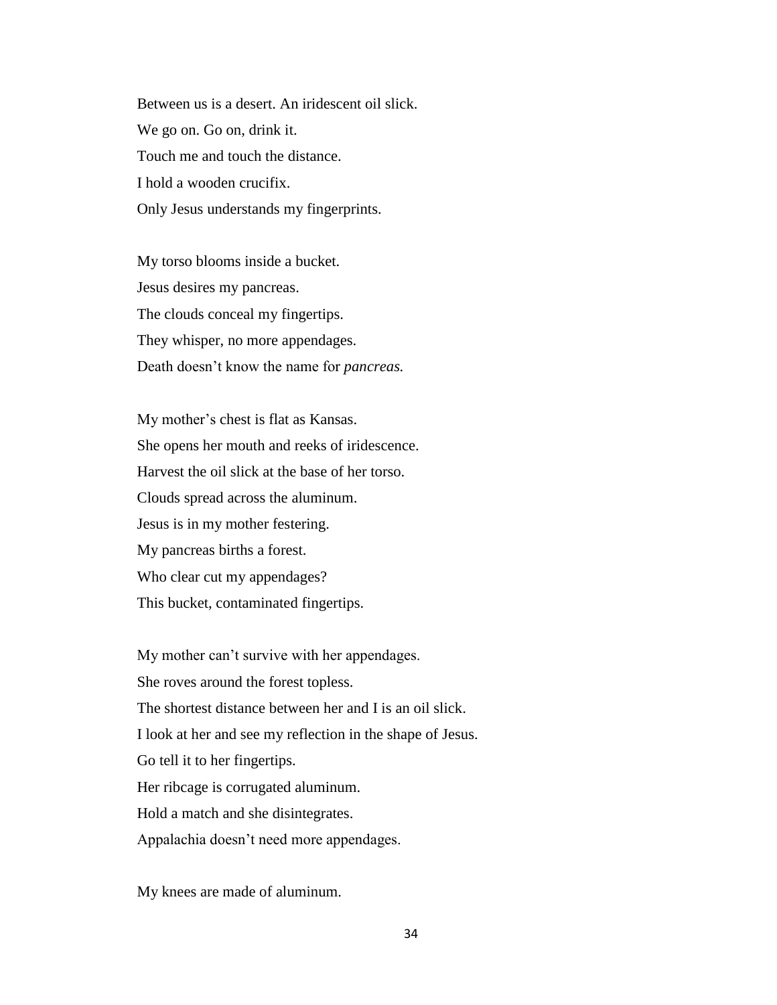Between us is a desert. An iridescent oil slick. We go on. Go on, drink it. Touch me and touch the distance. I hold a wooden crucifix. Only Jesus understands my fingerprints.

My torso blooms inside a bucket. Jesus desires my pancreas. The clouds conceal my fingertips. They whisper, no more appendages. Death doesn't know the name for *pancreas.*

My mother's chest is flat as Kansas. She opens her mouth and reeks of iridescence. Harvest the oil slick at the base of her torso. Clouds spread across the aluminum. Jesus is in my mother festering. My pancreas births a forest. Who clear cut my appendages? This bucket, contaminated fingertips.

My mother can't survive with her appendages. She roves around the forest topless. The shortest distance between her and I is an oil slick. I look at her and see my reflection in the shape of Jesus. Go tell it to her fingertips. Her ribcage is corrugated aluminum. Hold a match and she disintegrates. Appalachia doesn't need more appendages.

My knees are made of aluminum.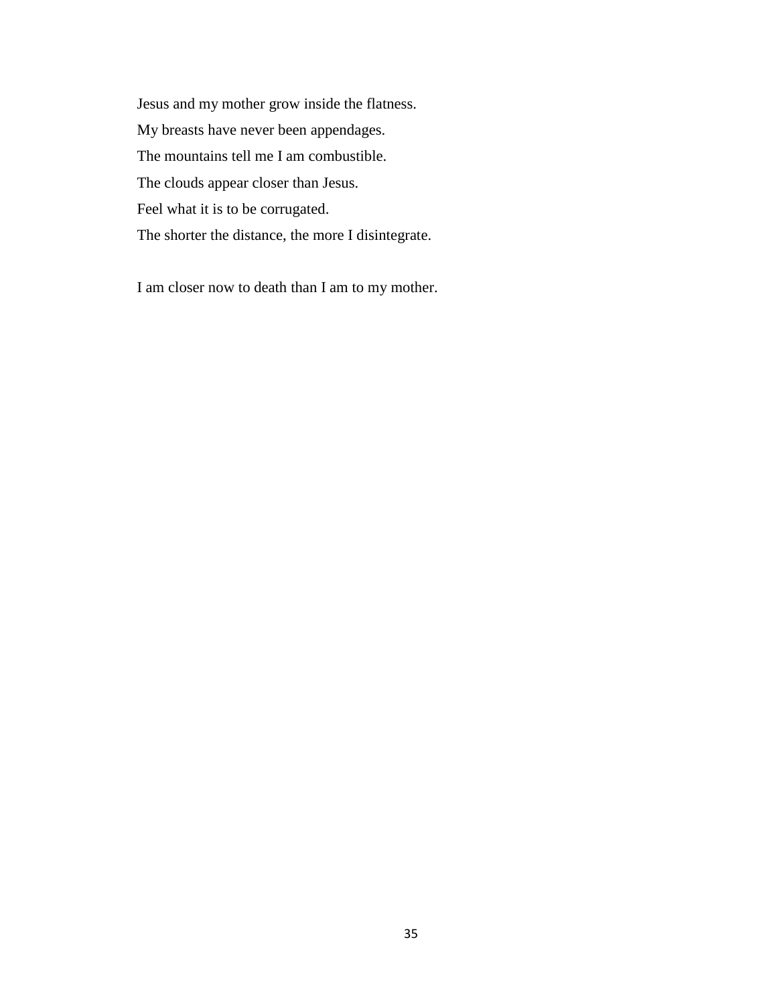Jesus and my mother grow inside the flatness. My breasts have never been appendages. The mountains tell me I am combustible. The clouds appear closer than Jesus. Feel what it is to be corrugated. The shorter the distance, the more I disintegrate.

I am closer now to death than I am to my mother.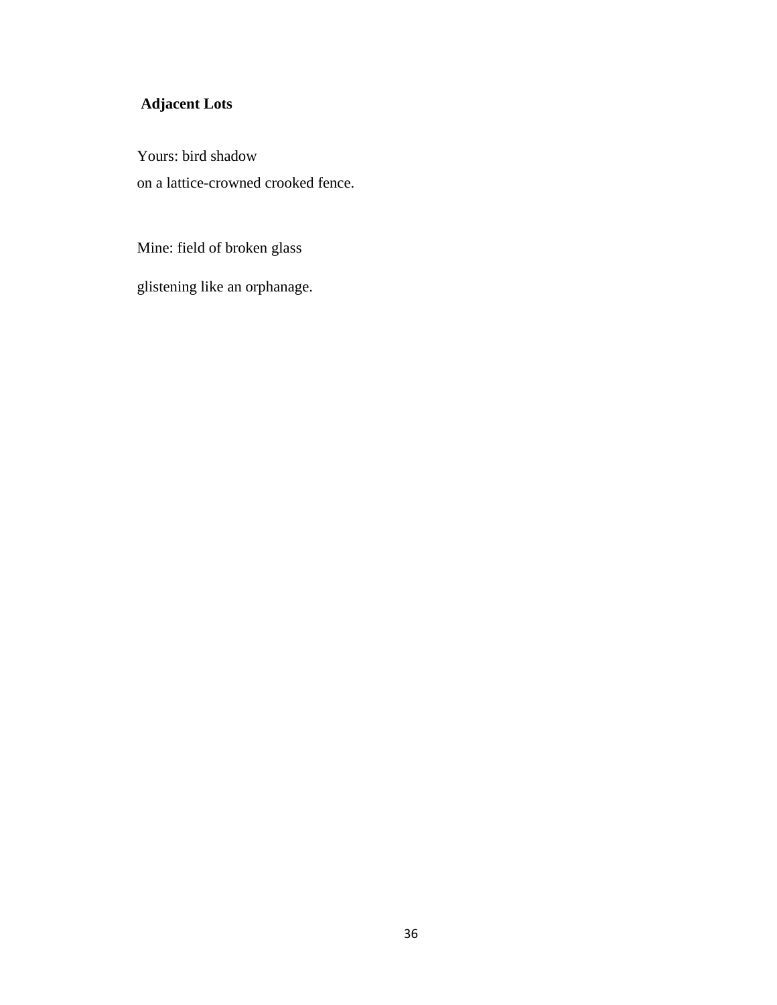# **Adjacent Lots**

Yours: bird shadow on a lattice-crowned crooked fence.

Mine: field of broken glass

glistening like an orphanage.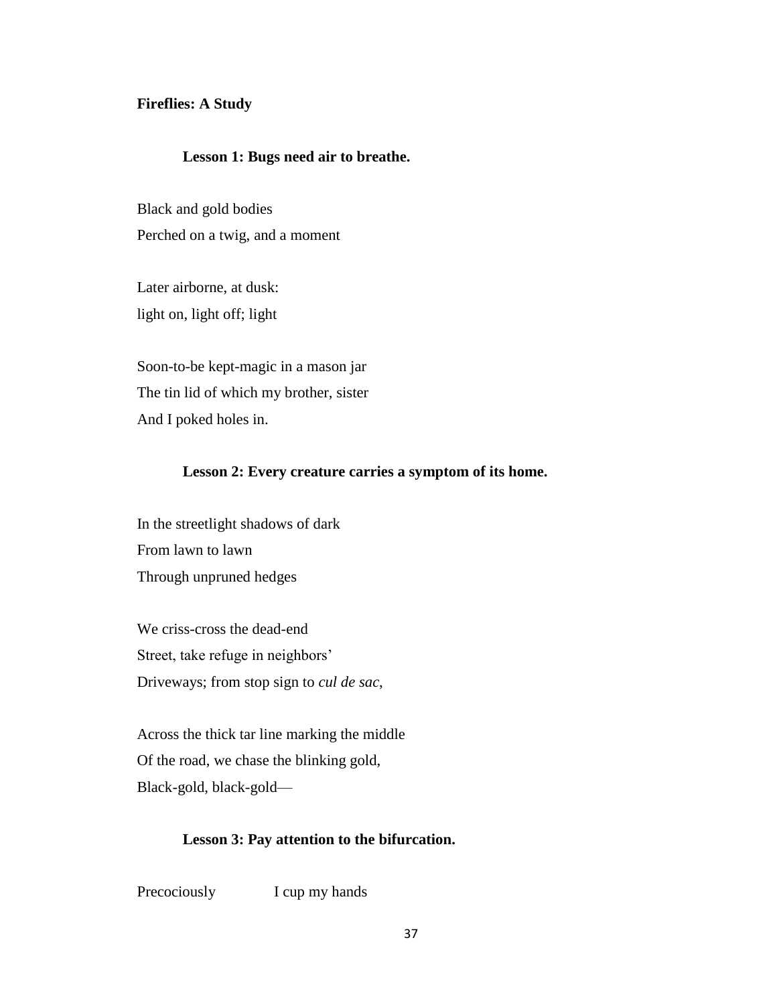#### **Fireflies: A Study**

#### **Lesson 1: Bugs need air to breathe.**

Black and gold bodies Perched on a twig, and a moment

Later airborne, at dusk: light on, light off; light

Soon-to-be kept-magic in a mason jar The tin lid of which my brother, sister And I poked holes in.

#### **Lesson 2: Every creature carries a symptom of its home.**

In the streetlight shadows of dark From lawn to lawn Through unpruned hedges

We criss-cross the dead-end Street, take refuge in neighbors' Driveways; from stop sign to *cul de sac*,

Across the thick tar line marking the middle Of the road, we chase the blinking gold, Black-gold, black-gold—

#### **Lesson 3: Pay attention to the bifurcation.**

Precociously I cup my hands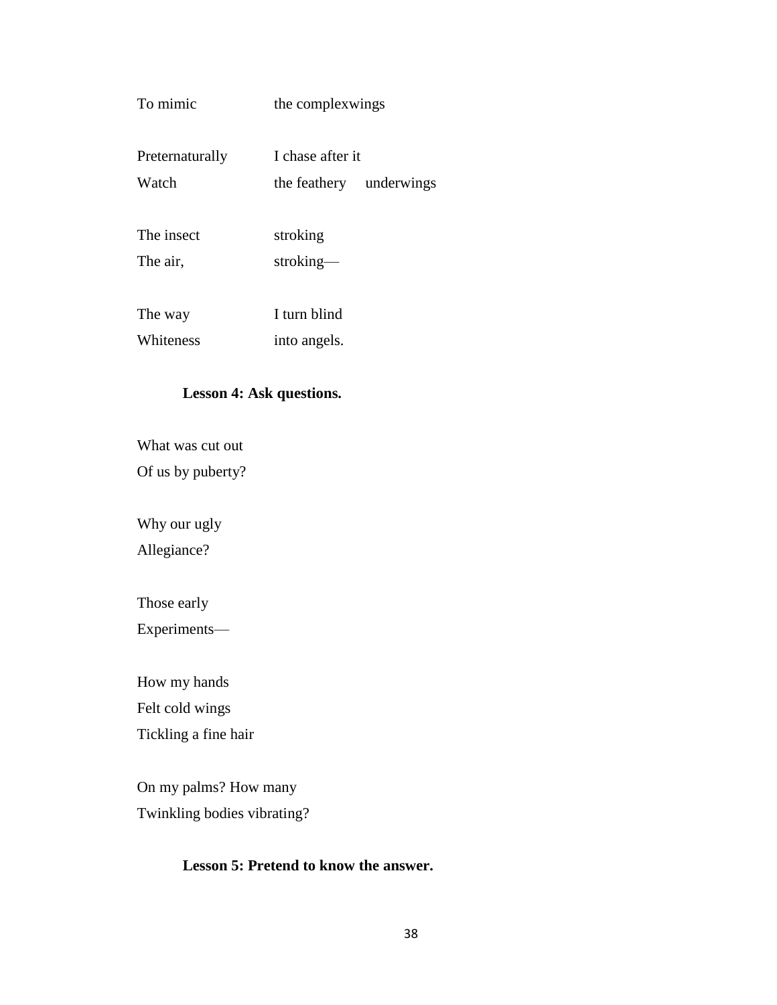# To mimic the complexwings

| Preternaturally | I chase after it        |  |  |  |
|-----------------|-------------------------|--|--|--|
| Watch           | the feathery underwings |  |  |  |

The insect stroking The air, stroking—

The way I turn blind Whiteness into angels.

### **Lesson 4: Ask questions.**

What was cut out

Of us by puberty?

Why our ugly

Allegiance?

Those early

Experiments—

How my hands Felt cold wings Tickling a fine hair

On my palms? How many Twinkling bodies vibrating?

# **Lesson 5: Pretend to know the answer.**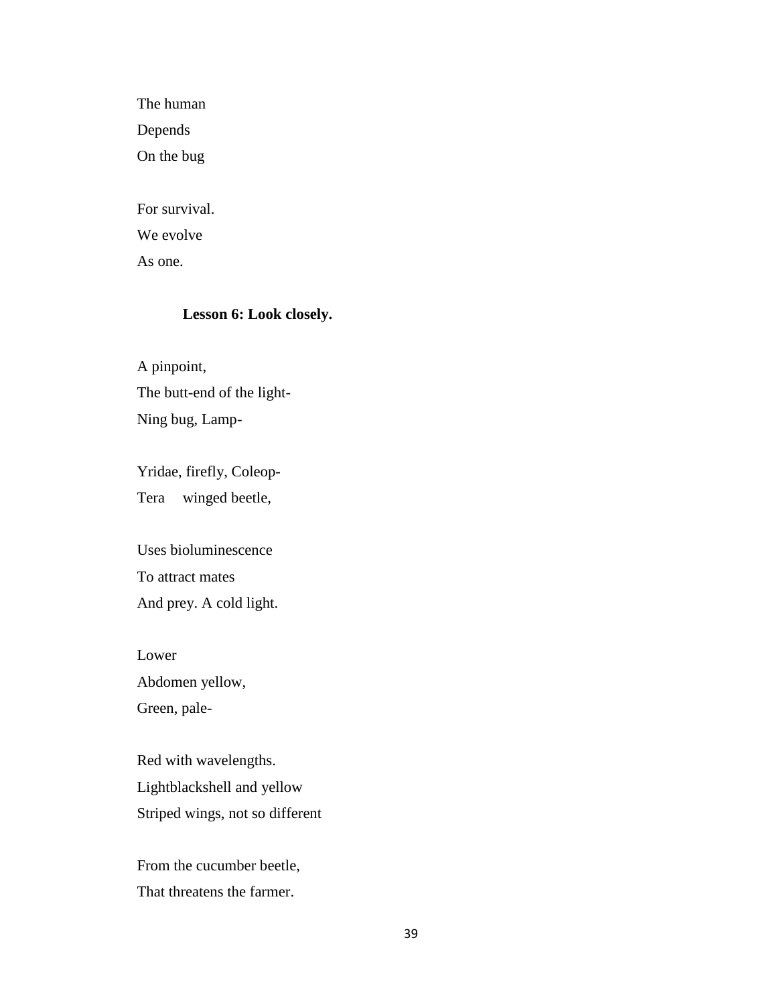The human Depends On the bug

For survival. We evolve

As one.

# **Lesson 6: Look closely.**

A pinpoint, The butt-end of the light-Ning bug, Lamp-

Yridae, firefly, Coleop-Tera winged beetle,

Uses bioluminescence To attract mates And prey. A cold light.

Lower Abdomen yellow, Green, pale-

Red with wavelengths. Lightblackshell and yellow Striped wings, not so different

From the cucumber beetle, That threatens the farmer.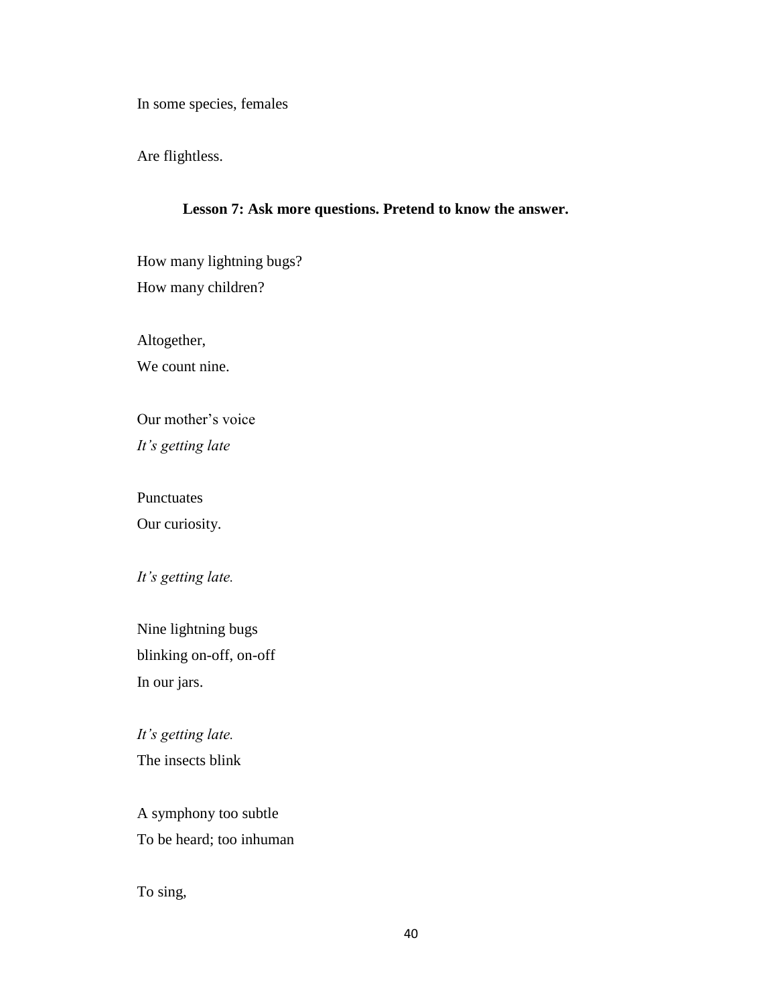In some species, females

Are flightless.

#### **Lesson 7: Ask more questions. Pretend to know the answer.**

How many lightning bugs? How many children?

Altogether,

We count nine.

Our mother's voice *It's getting late*

Punctuates Our curiosity.

*It's getting late.*

Nine lightning bugs blinking on-off, on-off In our jars.

*It's getting late.* The insects blink

A symphony too subtle To be heard; too inhuman

To sing,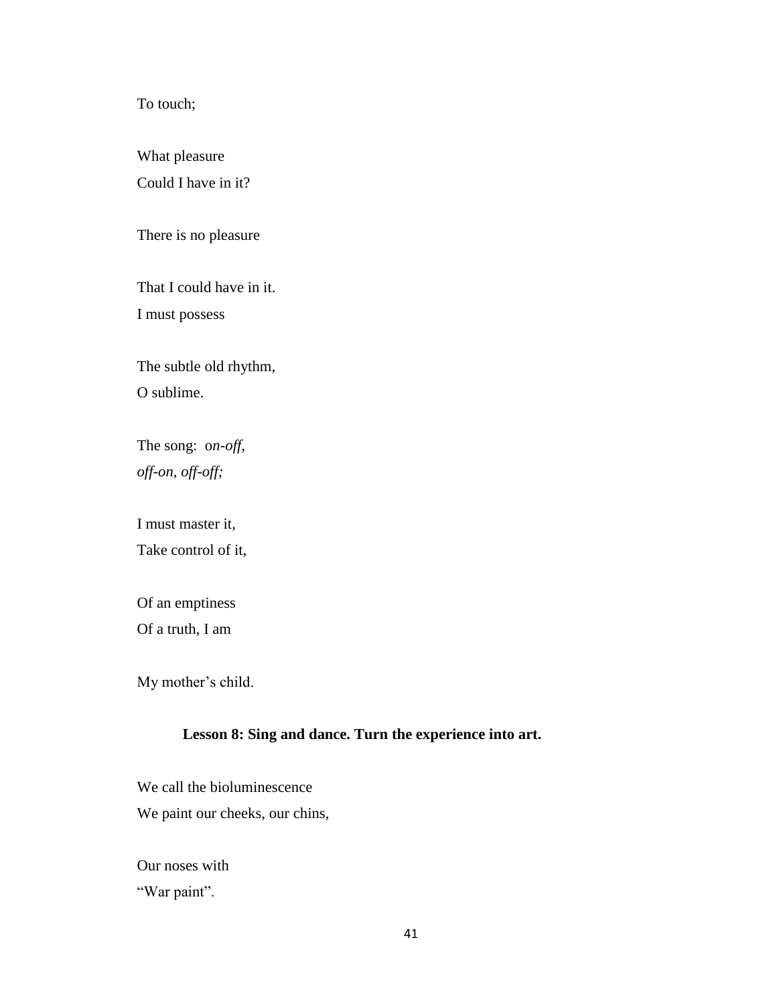To touch;

What pleasure Could I have in it?

There is no pleasure

That I could have in it. I must possess

The subtle old rhythm, O sublime.

The song: o*n-off, off-on, off-off;*

I must master it,

Take control of it,

Of an emptiness Of a truth, I am

My mother's child.

### **Lesson 8: Sing and dance. Turn the experience into art.**

We call the bioluminescence We paint our cheeks, our chins,

Our noses with "War paint".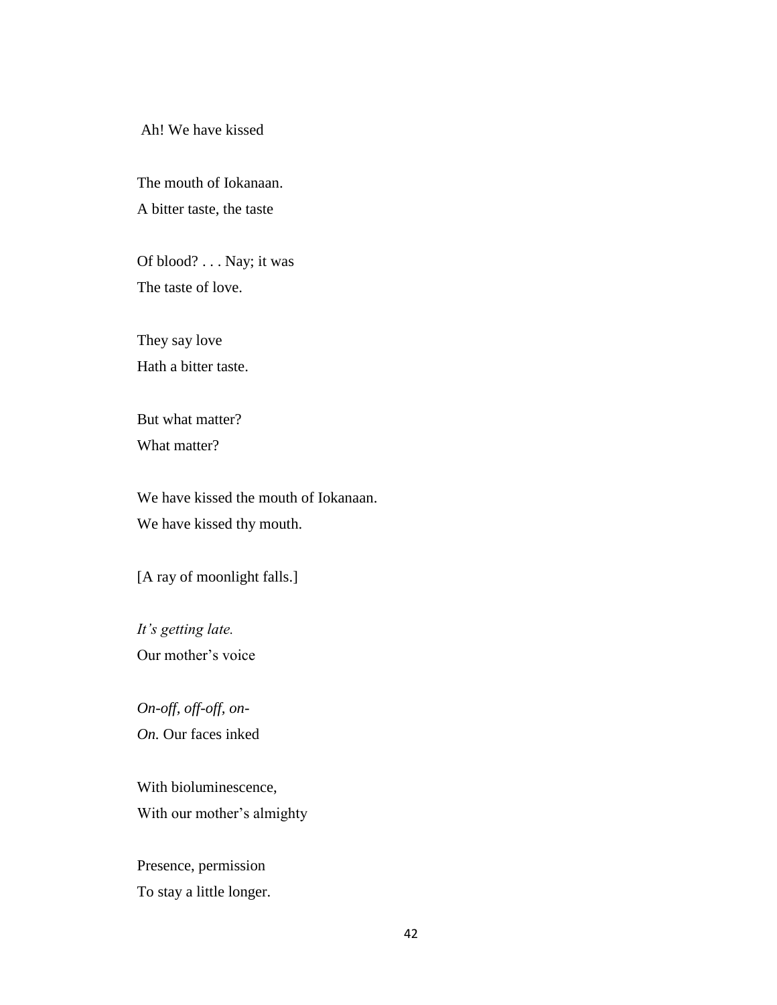Ah! We have kissed

The mouth of Iokanaan. A bitter taste, the taste

Of blood? . . . Nay; it was The taste of love.

They say love Hath a bitter taste.

But what matter? What matter?

We have kissed the mouth of Iokanaan. We have kissed thy mouth.

[A ray of moonlight falls.]

*It's getting late.* Our mother's voice

*On-off, off-off, on-On.* Our faces inked

With bioluminescence, With our mother's almighty

Presence, permission To stay a little longer.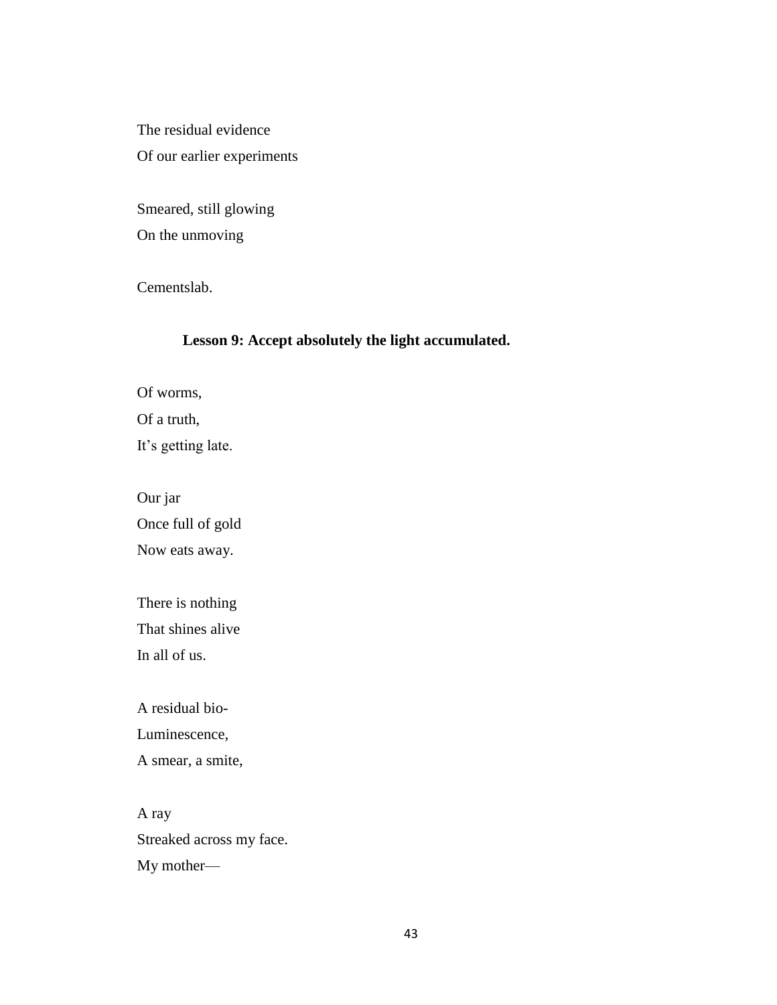The residual evidence Of our earlier experiments

Smeared, still glowing On the unmoving

Cementslab.

## **Lesson 9: Accept absolutely the light accumulated.**

Of worms, Of a truth, It's getting late.

Our jar Once full of gold Now eats away.

There is nothing That shines alive In all of us.

A residual bio-Luminescence,

A smear, a smite,

A ray Streaked across my face. My mother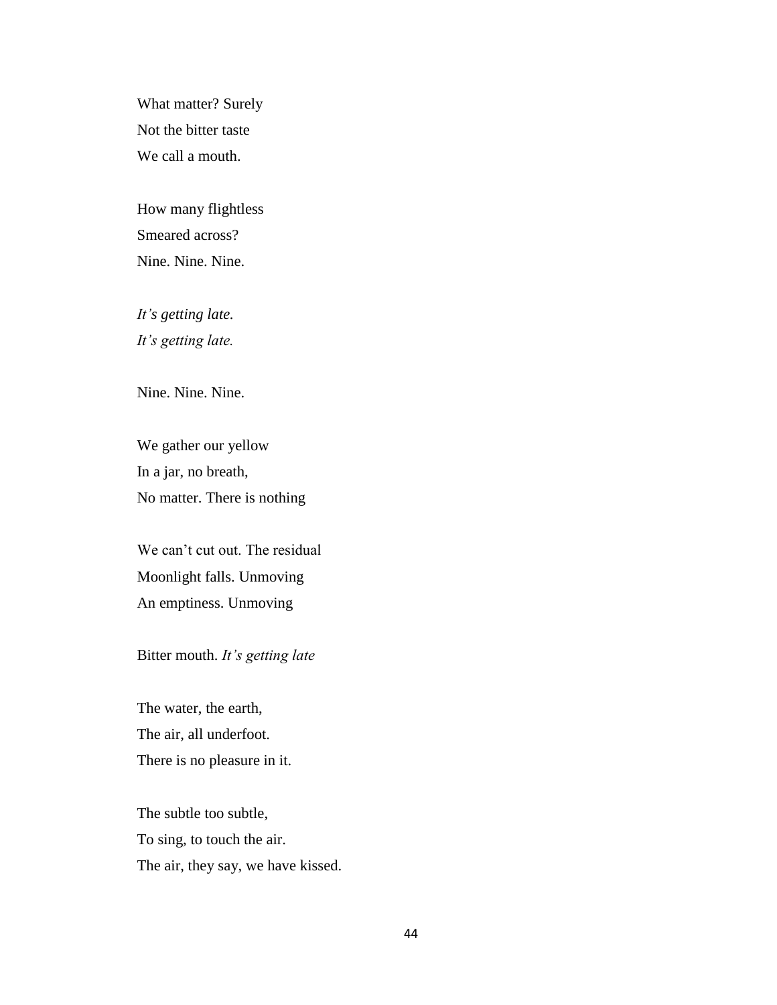What matter? Surely Not the bitter taste We call a mouth.

How many flightless Smeared across? Nine. Nine. Nine.

*It's getting late. It's getting late.* 

Nine. Nine. Nine.

We gather our yellow In a jar, no breath, No matter. There is nothing

We can't cut out. The residual Moonlight falls. Unmoving An emptiness. Unmoving

Bitter mouth. *It's getting late*

The water, the earth, The air, all underfoot. There is no pleasure in it.

The subtle too subtle, To sing, to touch the air. The air, they say, we have kissed.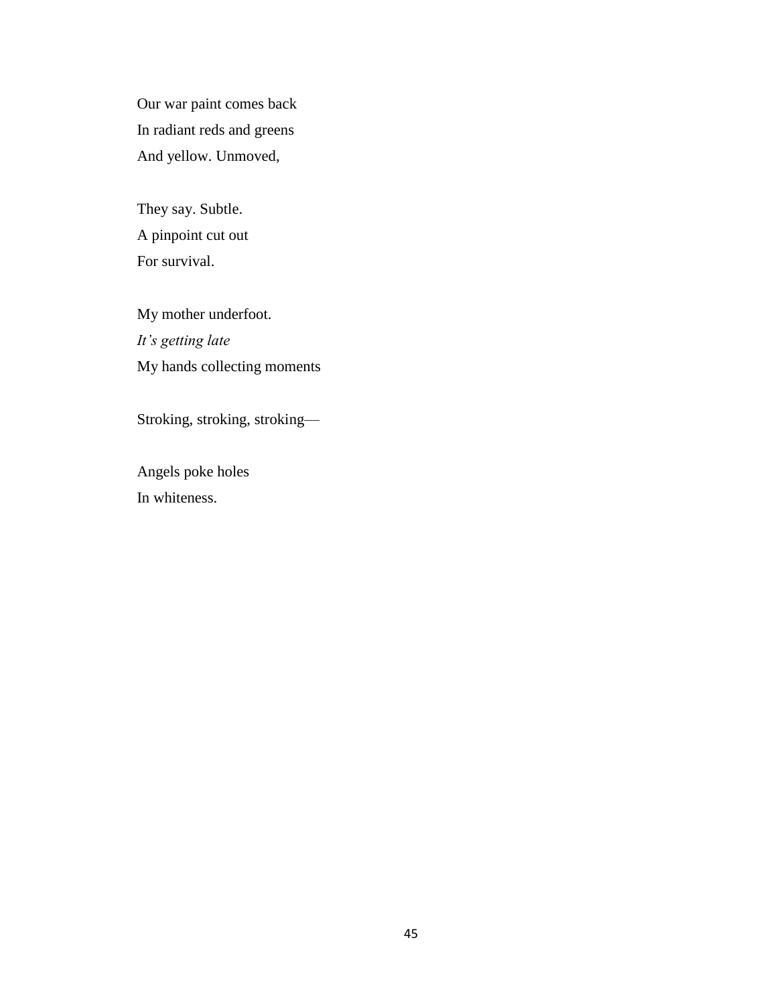Our war paint comes back In radiant reds and greens And yellow. Unmoved,

They say. Subtle. A pinpoint cut out For survival.

My mother underfoot. *It's getting late* My hands collecting moments

Stroking, stroking, stroking—

Angels poke holes In whiteness.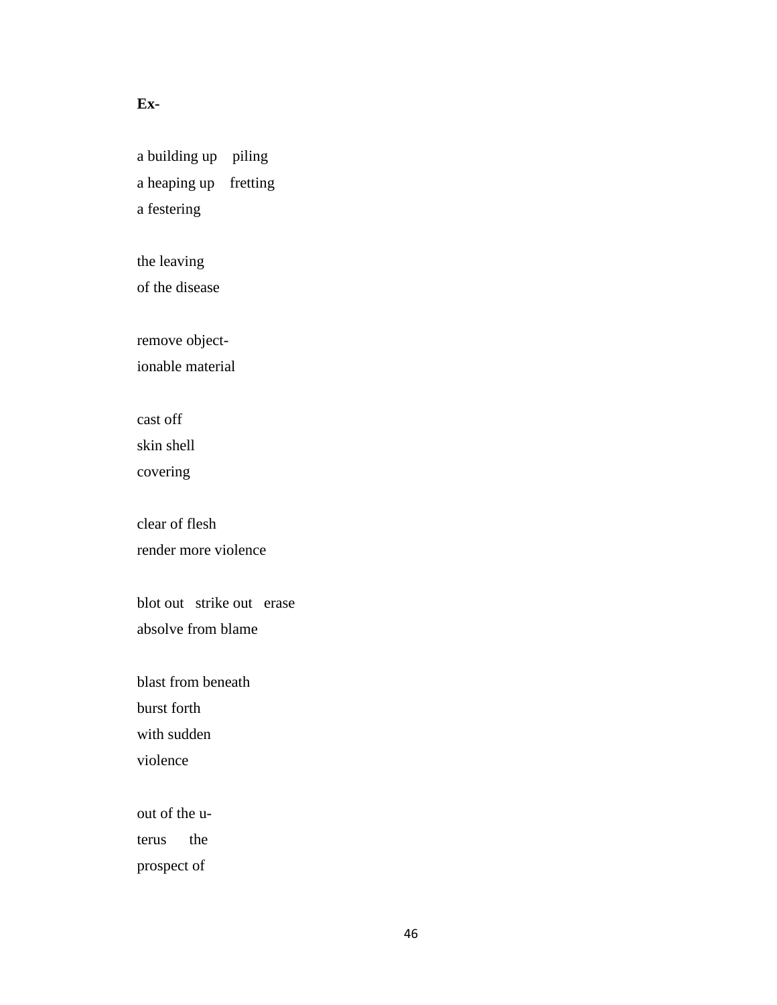### **Ex-**

a building up piling a heaping up fretting a festering

the leaving of the disease

remove object-

ionable material

cast off

skin shell

covering

clear of flesh render more violence

blot out strike out erase absolve from blame

blast from beneath burst forth with sudden violence

out of the u-

terus the

prospect of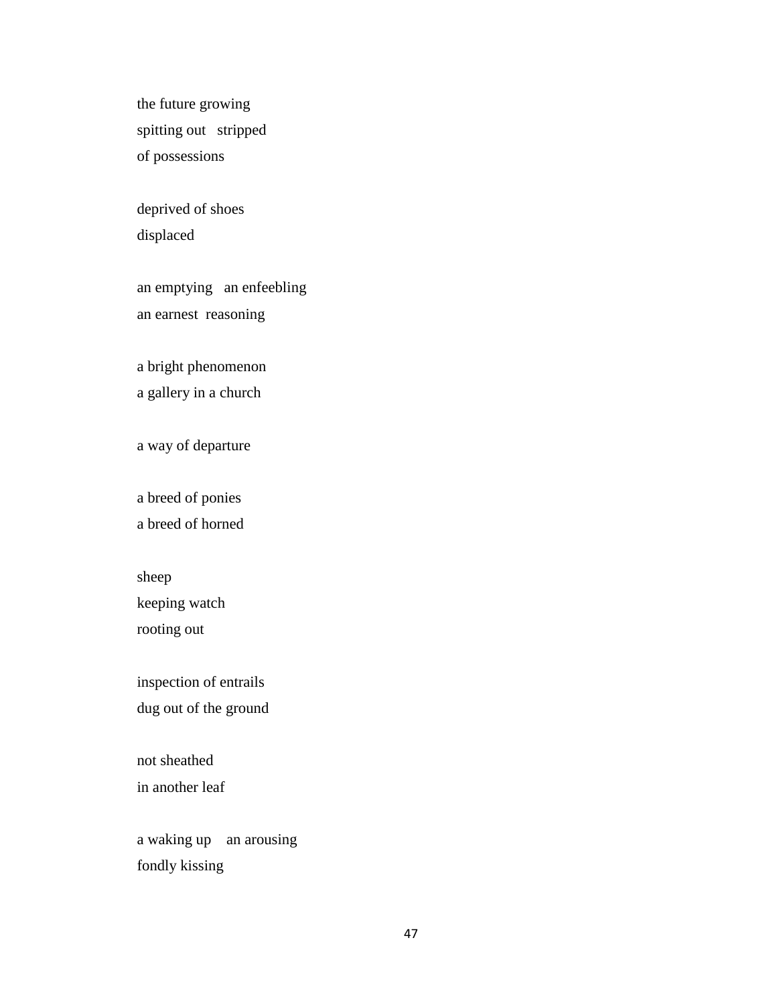the future growing spitting out stripped of possessions

deprived of shoes displaced

an emptying an enfeebling an earnest reasoning

a bright phenomenon a gallery in a church

a way of departure

a breed of ponies a breed of horned

sheep keeping watch rooting out

inspection of entrails dug out of the ground

not sheathed in another leaf

a waking up an arousing fondly kissing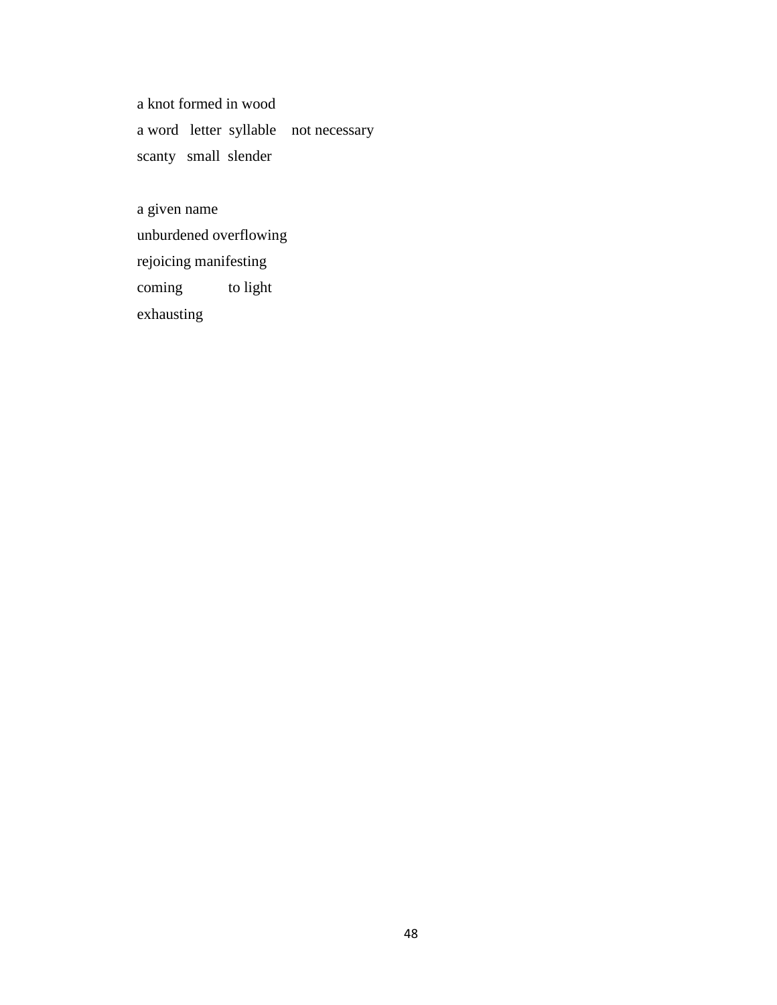a knot formed in wood a word letter syllable not necessary scanty small slender

a given name unburdened overflowing rejoicing manifesting coming to light exhausting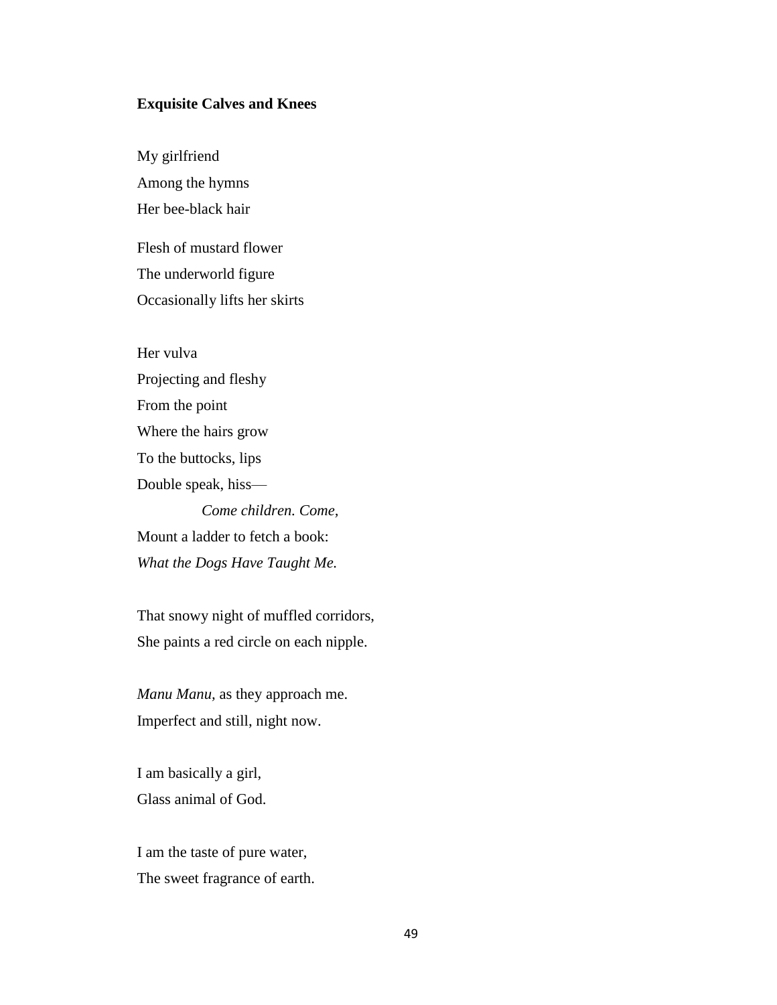#### **Exquisite Calves and Knees**

My girlfriend Among the hymns Her bee-black hair

Flesh of mustard flower The underworld figure Occasionally lifts her skirts

Her vulva

Projecting and fleshy From the point Where the hairs grow To the buttocks, lips Double speak, hiss— *Come children. Come,* Mount a ladder to fetch a book: *What the Dogs Have Taught Me.*

That snowy night of muffled corridors, She paints a red circle on each nipple.

*Manu Manu,* as they approach me. Imperfect and still, night now.

I am basically a girl, Glass animal of God.

I am the taste of pure water, The sweet fragrance of earth.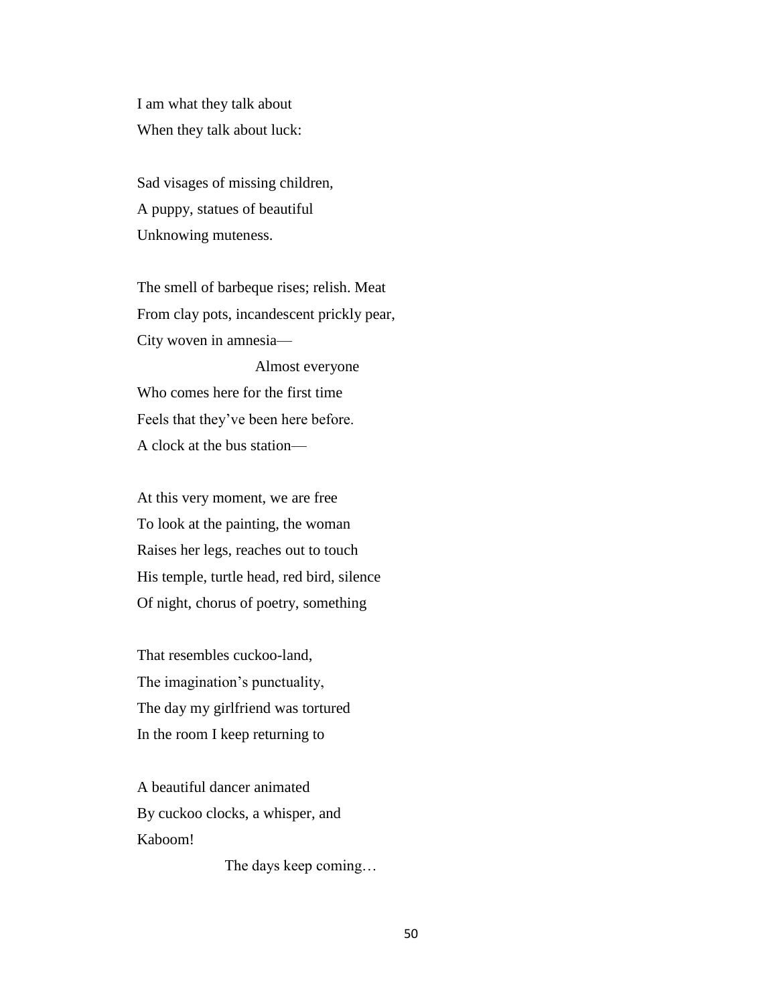I am what they talk about When they talk about luck:

Sad visages of missing children, A puppy, statues of beautiful Unknowing muteness.

The smell of barbeque rises; relish. Meat From clay pots, incandescent prickly pear, City woven in amnesia—

 Almost everyone Who comes here for the first time Feels that they've been here before. A clock at the bus station—

At this very moment, we are free To look at the painting, the woman Raises her legs, reaches out to touch His temple, turtle head, red bird, silence Of night, chorus of poetry, something

That resembles cuckoo-land, The imagination's punctuality, The day my girlfriend was tortured In the room I keep returning to

A beautiful dancer animated By cuckoo clocks, a whisper, and Kaboom!

The days keep coming…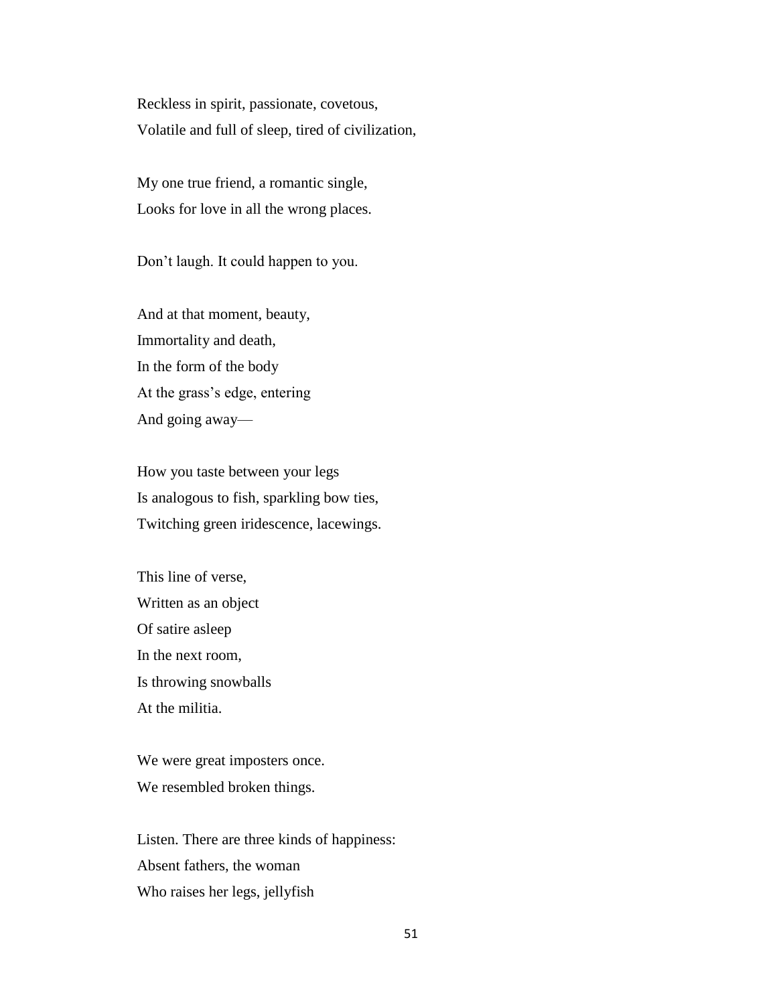Reckless in spirit, passionate, covetous, Volatile and full of sleep, tired of civilization,

My one true friend, a romantic single, Looks for love in all the wrong places.

Don't laugh. It could happen to you.

And at that moment, beauty, Immortality and death, In the form of the body At the grass's edge, entering And going away—

How you taste between your legs Is analogous to fish, sparkling bow ties, Twitching green iridescence, lacewings.

This line of verse, Written as an object Of satire asleep In the next room, Is throwing snowballs At the militia.

We were great imposters once. We resembled broken things.

Listen. There are three kinds of happiness: Absent fathers, the woman Who raises her legs, jellyfish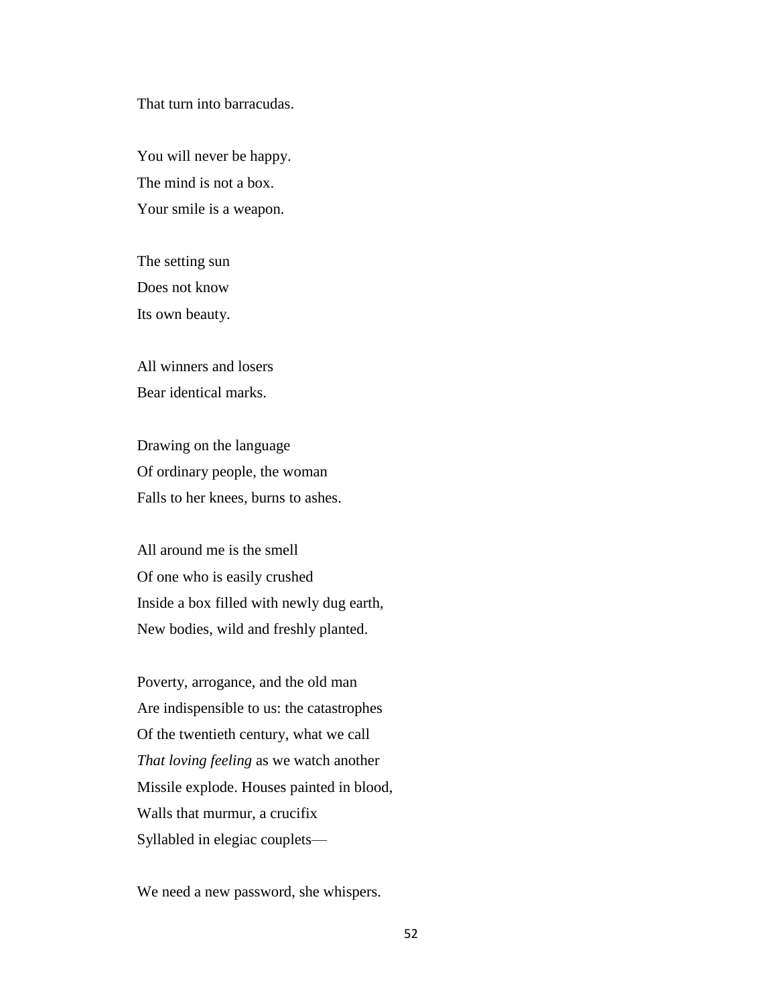That turn into barracudas.

You will never be happy. The mind is not a box. Your smile is a weapon.

The setting sun Does not know Its own beauty.

All winners and losers Bear identical marks.

Drawing on the language Of ordinary people, the woman Falls to her knees, burns to ashes.

All around me is the smell Of one who is easily crushed Inside a box filled with newly dug earth, New bodies, wild and freshly planted.

Poverty, arrogance, and the old man Are indispensible to us: the catastrophes Of the twentieth century, what we call *That loving feeling* as we watch another Missile explode. Houses painted in blood, Walls that murmur, a crucifix Syllabled in elegiac couplets—

We need a new password, she whispers.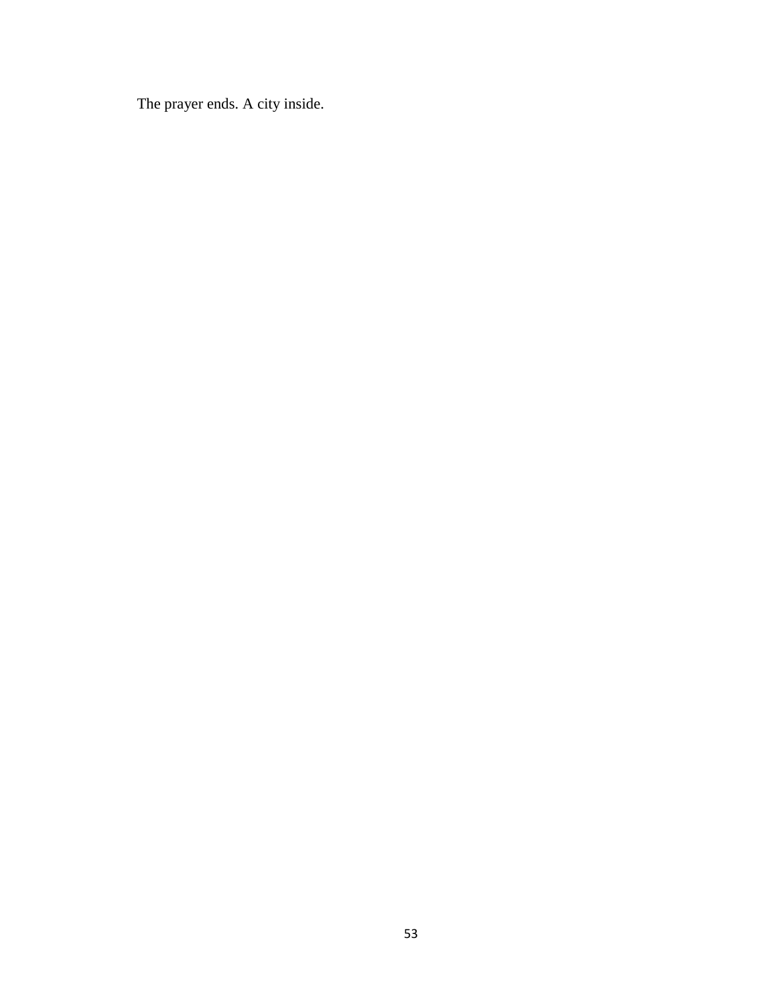The prayer ends. A city inside.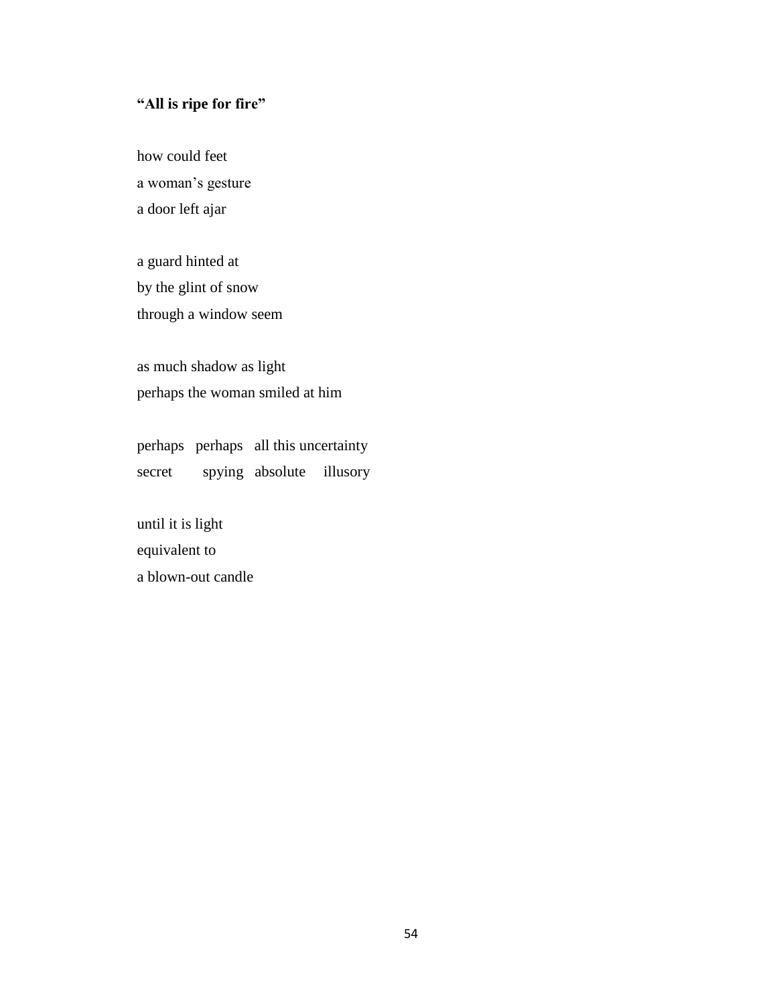# **"All is ripe for fire"**

how could feet a woman's gesture a door left ajar

a guard hinted at by the glint of snow through a window seem

as much shadow as light perhaps the woman smiled at him

perhaps perhaps all this uncertainty secret spying absolute illusory

until it is light equivalent to a blown-out candle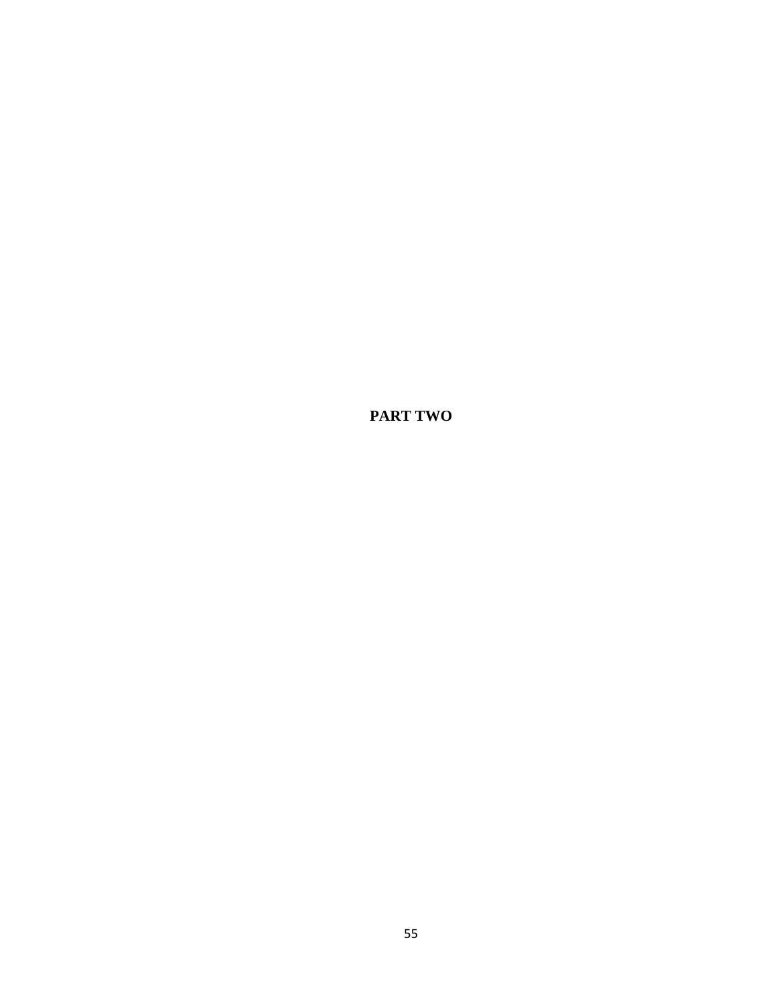**PART TWO**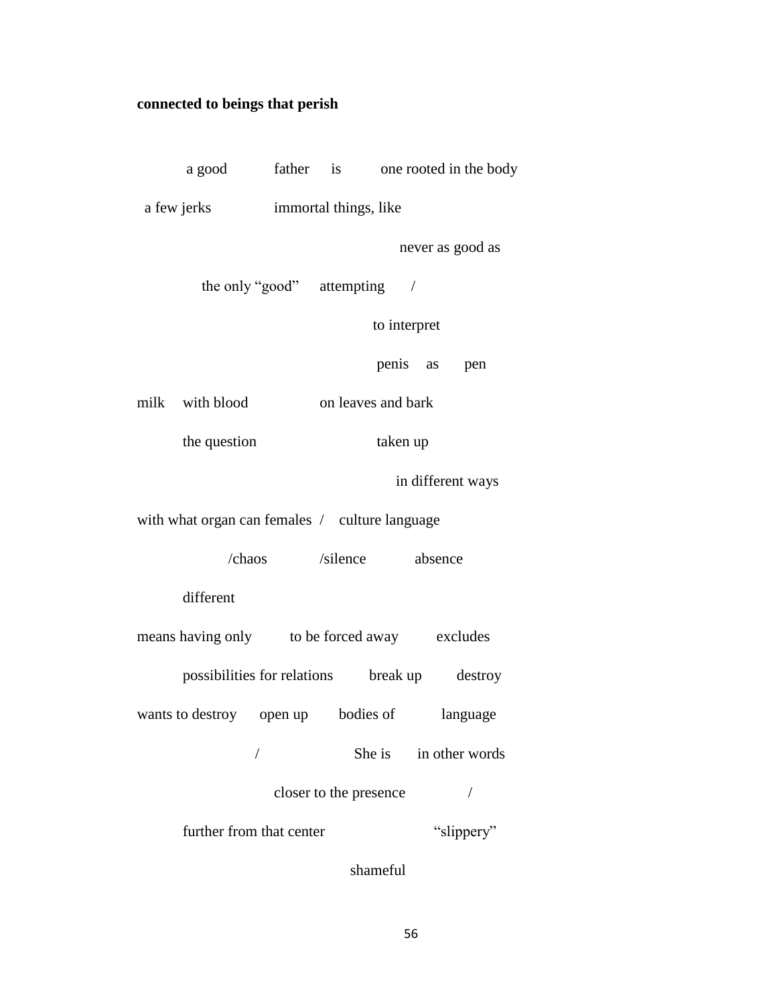# **connected to beings that perish**

|                                                | a good father is one rooted in the body |                    |  |                         |                   |                |
|------------------------------------------------|-----------------------------------------|--------------------|--|-------------------------|-------------------|----------------|
|                                                | a few jerks immortal things, like       |                    |  |                         |                   |                |
|                                                |                                         |                    |  |                         | never as good as  |                |
| the only "good" attempting /                   |                                         |                    |  |                         |                   |                |
| to interpret                                   |                                         |                    |  |                         |                   |                |
|                                                |                                         |                    |  |                         | penis as pen      |                |
|                                                | milk with blood                         | on leaves and bark |  |                         |                   |                |
|                                                | the question                            | taken up           |  |                         |                   |                |
|                                                |                                         |                    |  |                         | in different ways |                |
| with what organ can females / culture language |                                         |                    |  |                         |                   |                |
|                                                |                                         |                    |  | /chaos /silence absence |                   |                |
| different                                      |                                         |                    |  |                         |                   |                |
| means having only to be forced away excludes   |                                         |                    |  |                         |                   |                |
| possibilities for relations break up destroy   |                                         |                    |  |                         |                   |                |
|                                                | wants to destroy open up bodies of      |                    |  |                         |                   | language       |
|                                                |                                         |                    |  | She is                  |                   | in other words |
| closer to the presence                         |                                         |                    |  |                         |                   |                |
| further from that center                       |                                         |                    |  | "slippery"              |                   |                |
|                                                |                                         |                    |  |                         |                   |                |

shameful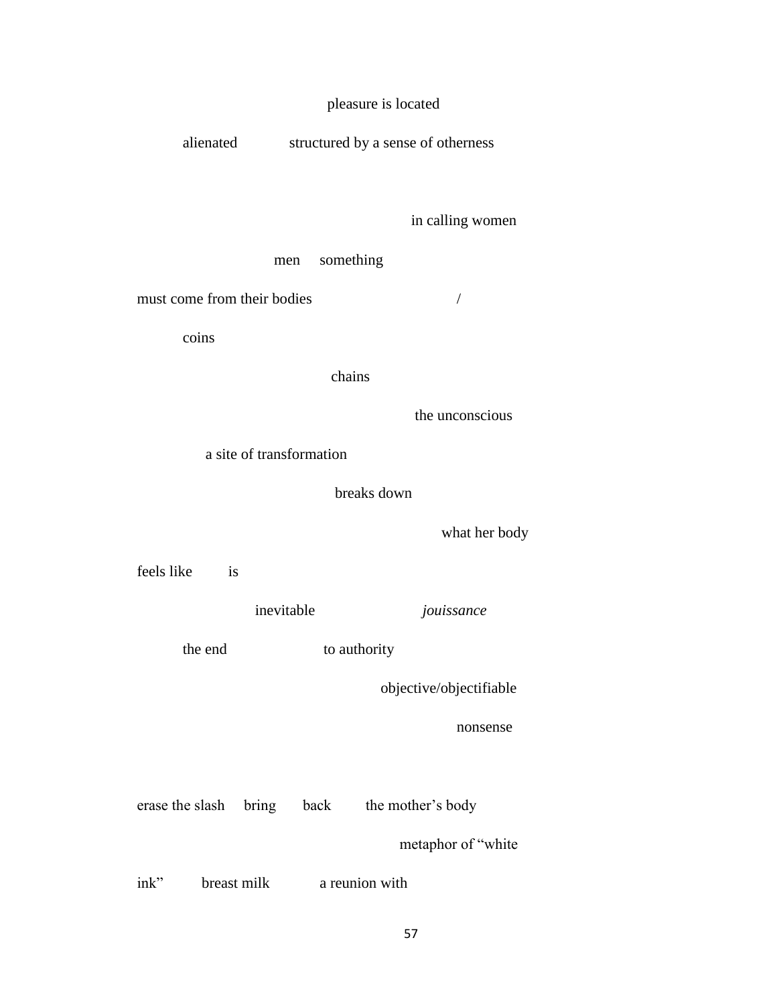# pleasure is located

alienated structured by a sense of otherness

### in calling women

men something

must come from their bodies /

coins

#### chains

the unconscious

a site of transformation

#### breaks down

what her body

feels like is

inevitable *jouissance*

the end to authority

objective/objectifiable

nonsense

erase the slash bring back the mother's body

metaphor of "white

ink" breast milk a reunion with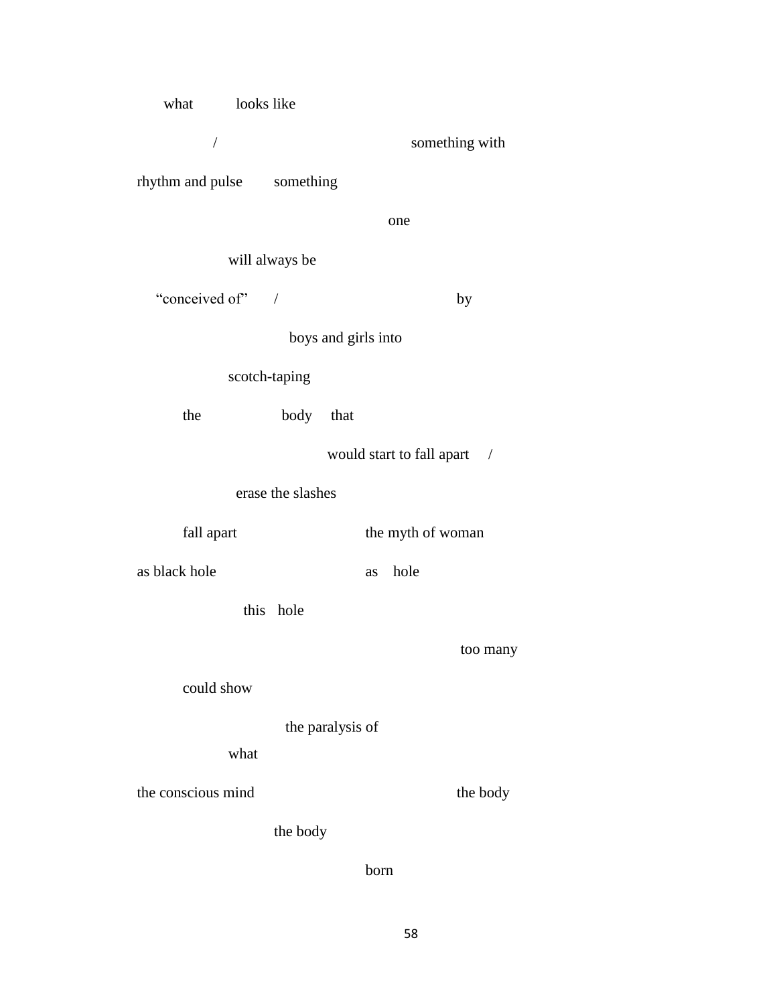| what looks like                 |                |                     |                             |  |  |
|---------------------------------|----------------|---------------------|-----------------------------|--|--|
| $\sqrt{2}$                      |                |                     | something with              |  |  |
| rhythm and pulse something      |                |                     |                             |  |  |
|                                 |                |                     | one                         |  |  |
|                                 | will always be |                     |                             |  |  |
| "conceived of" /                |                |                     | by                          |  |  |
|                                 |                | boys and girls into |                             |  |  |
| scotch-taping                   |                |                     |                             |  |  |
| the                             | body that      |                     |                             |  |  |
|                                 |                |                     | would start to fall apart / |  |  |
| erase the slashes               |                |                     |                             |  |  |
| the myth of woman<br>fall apart |                |                     |                             |  |  |
| as black hole                   |                | as                  | hole                        |  |  |
|                                 | this hole      |                     |                             |  |  |
|                                 |                |                     |                             |  |  |
|                                 |                |                     | too many                    |  |  |
| could show                      |                |                     |                             |  |  |
| the paralysis of<br>what        |                |                     |                             |  |  |
|                                 |                |                     |                             |  |  |
| the conscious mind              |                |                     | the body                    |  |  |
|                                 | the body       |                     |                             |  |  |

born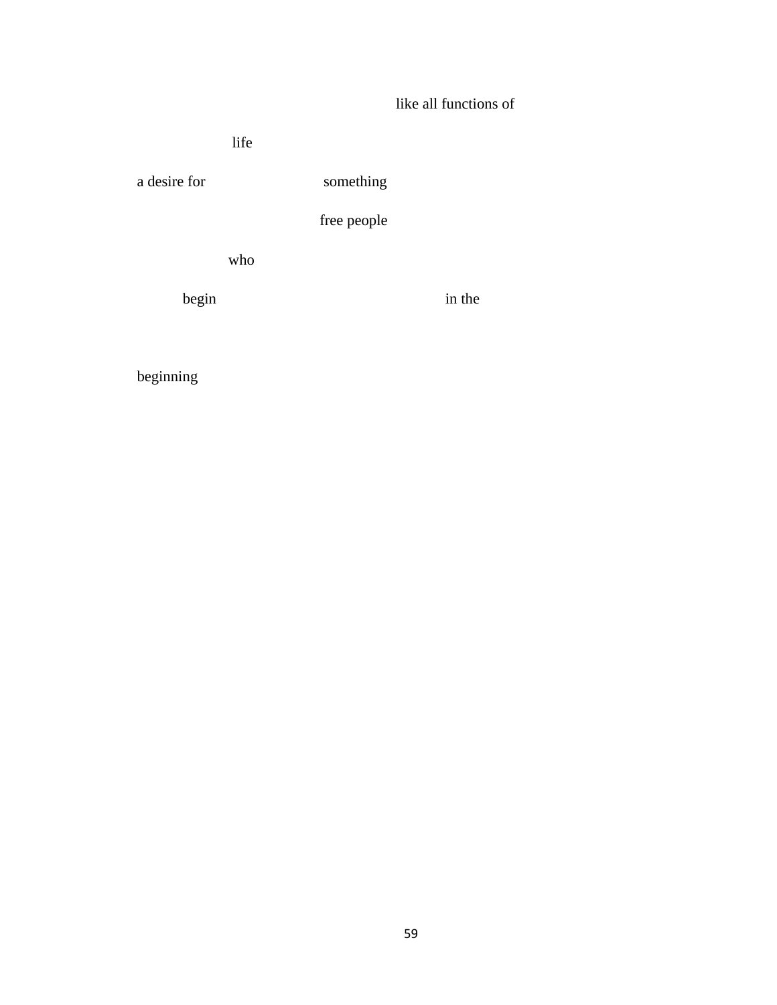# like all functions of

life

a desire for something

free people

who

begin in the set of  $\alpha$ 

beginning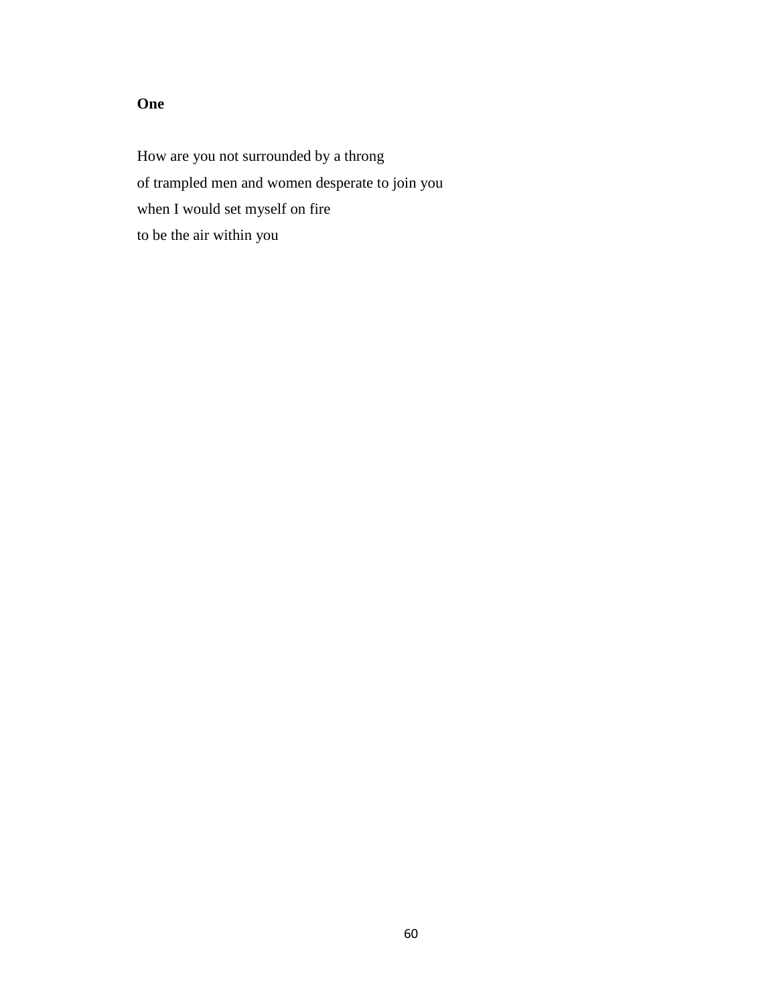# **One**

How are you not surrounded by a throng of trampled men and women desperate to join you when I would set myself on fire to be the air within you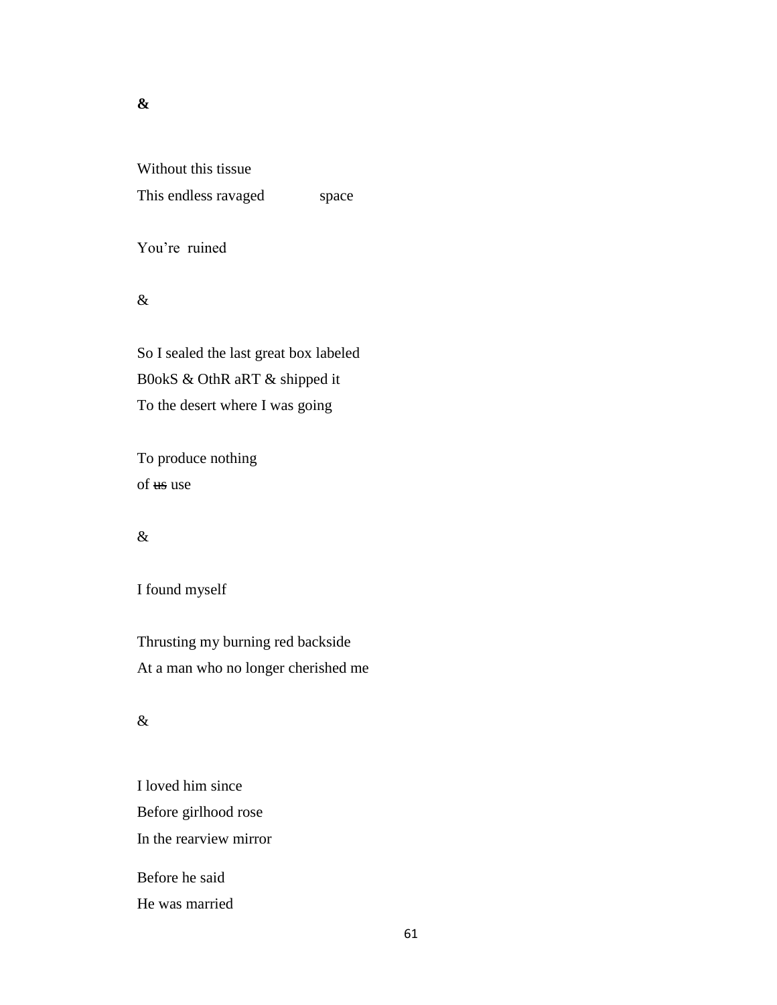### **&**

Without this tissue This endless ravaged space

You're ruined

## &

So I sealed the last great box labeled B0okS & OthR aRT & shipped it To the desert where I was going

To produce nothing of use use

### &

# I found myself

Thrusting my burning red backside At a man who no longer cherished me

# &

I loved him since Before girlhood rose In the rearview mirror Before he said He was married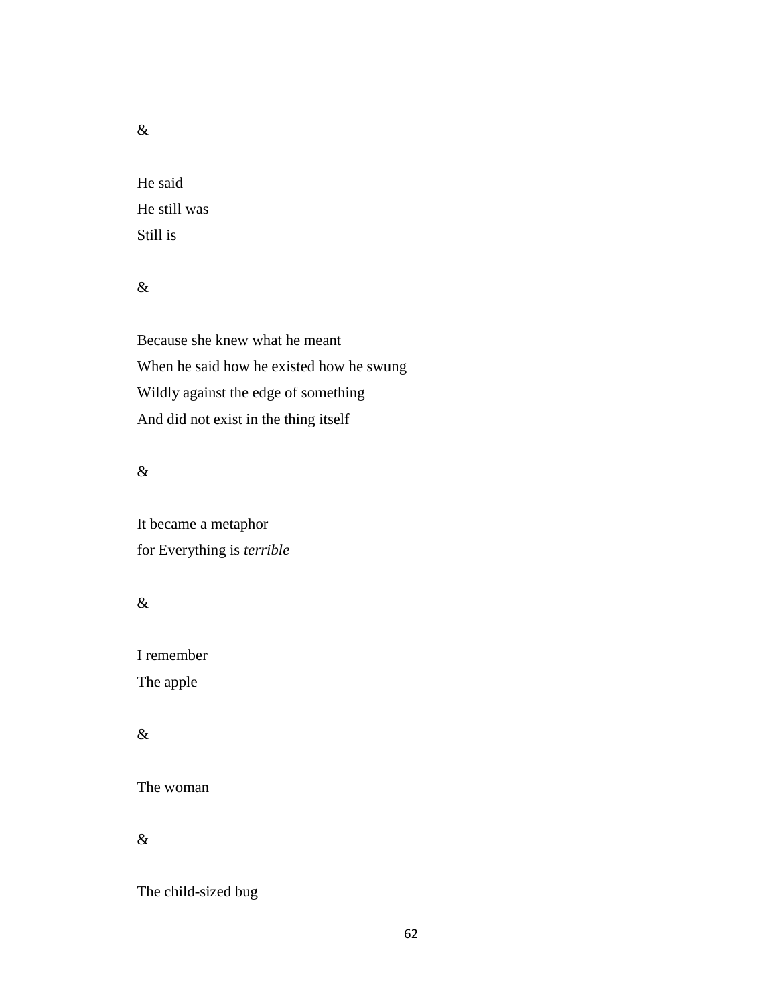&

He said He still was Still is

# &

Because she knew what he meant When he said how he existed how he swung Wildly against the edge of something And did not exist in the thing itself

# &

It became a metaphor for Everything is *terrible*

# $\&$

I remember The apple

# &

The woman

&

The child-sized bug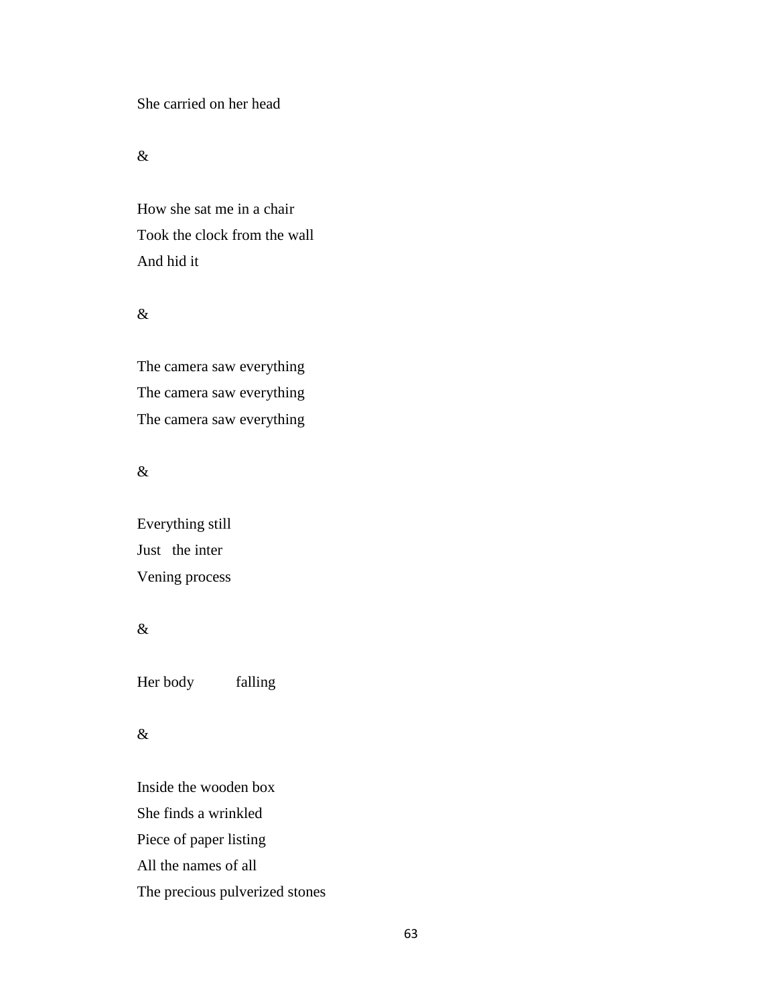She carried on her head

&

How she sat me in a chair Took the clock from the wall And hid it

#### &

The camera saw everything The camera saw everything The camera saw everything

# &

Everything still Just the inter Vening process

# &

Her body falling

# &

Inside the wooden box She finds a wrinkled Piece of paper listing All the names of all The precious pulverized stones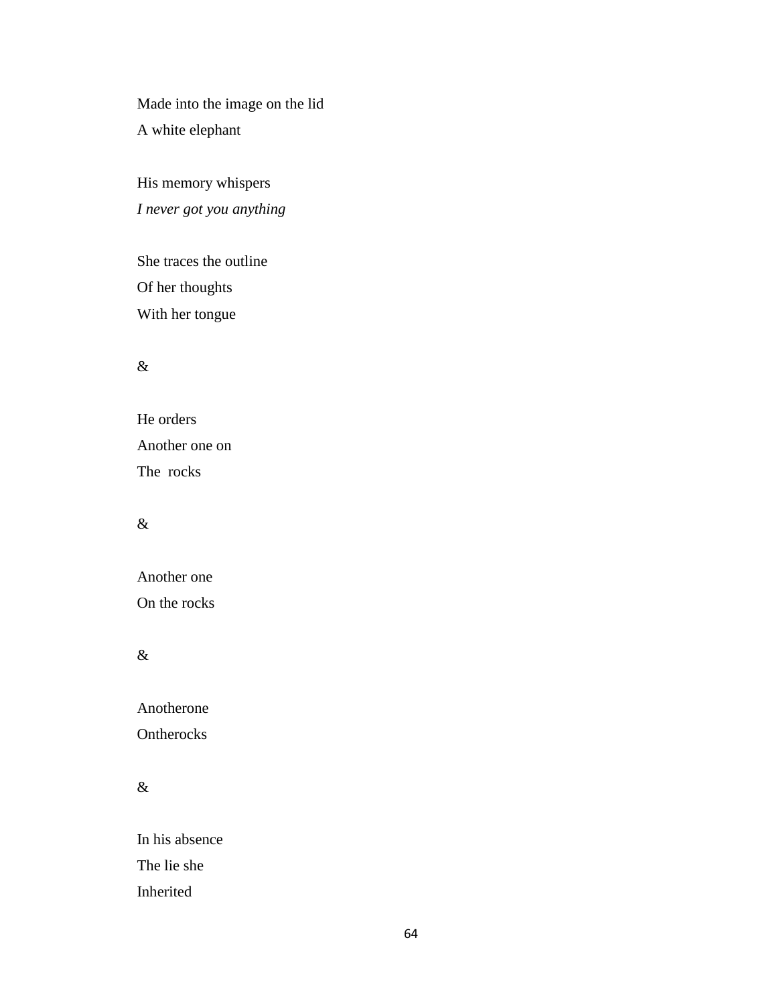Made into the image on the lid A white elephant

His memory whispers *I never got you anything* 

She traces the outline Of her thoughts With her tongue

### &

He orders Another one on The rocks

### &

Another one On the rocks

# &

Anotherone

**Ontherocks** 

# &

In his absence The lie she Inherited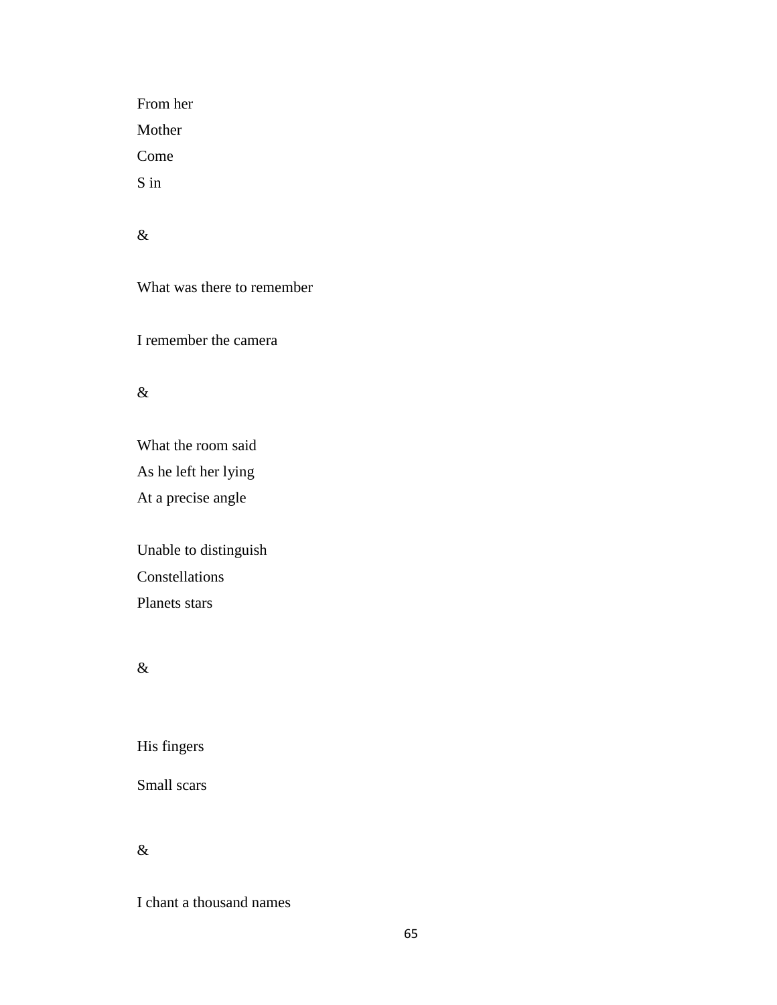From her Mother Come S in

# &

What was there to remember

I remember the camera

# &

What the room said As he left her lying At a precise angle

Unable to distinguish Constellations Planets stars

# &

His fingers

Small scars

# $\&$

I chant a thousand names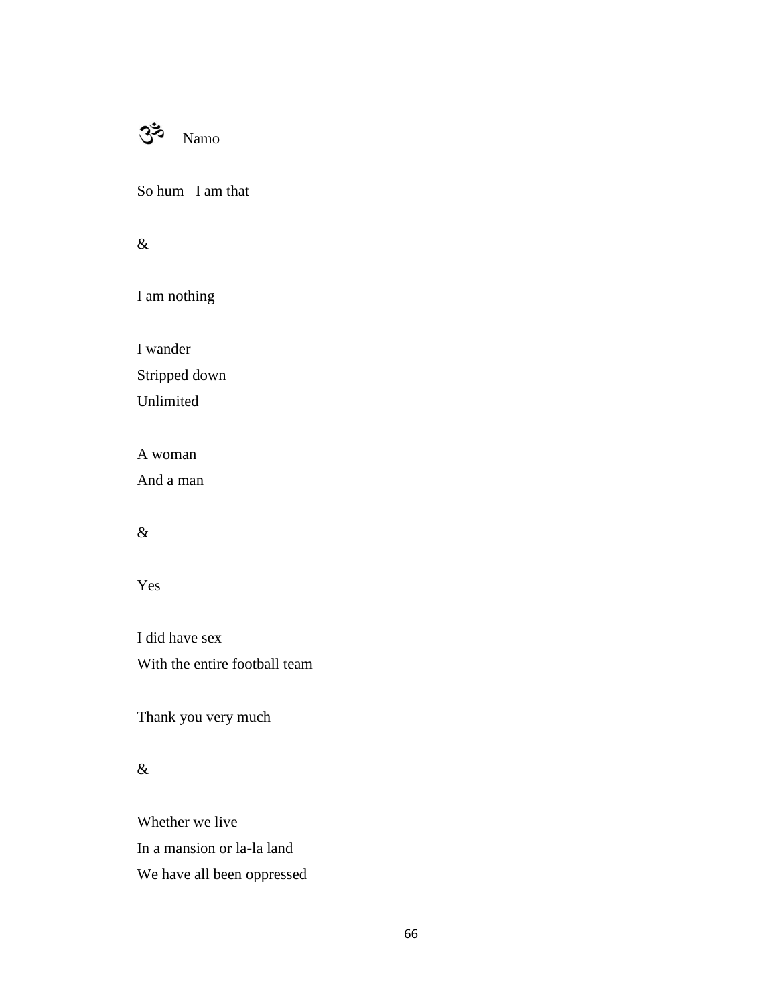

So hum I am that

&

I am nothing

I wander Stripped down Unlimited

A woman

And a man

# &

Yes

I did have sex With the entire football team

Thank you very much

# &

Whether we live In a mansion or la-la land We have all been oppressed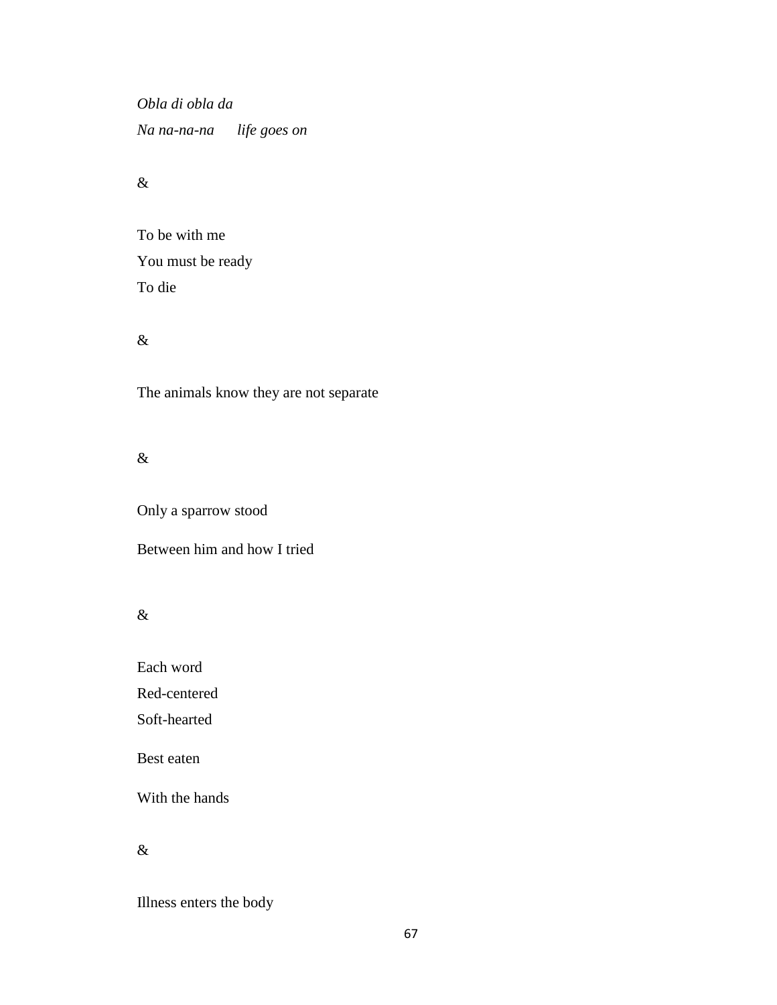*Obla di obla da Na na-na-na life goes on*

## &

To be with me You must be ready To die

### &

The animals know they are not separate

## &

Only a sparrow stood

## Between him and how I tried

### &

Each word

Red-centered

Soft-hearted

Best eaten

With the hands

### &

Illness enters the body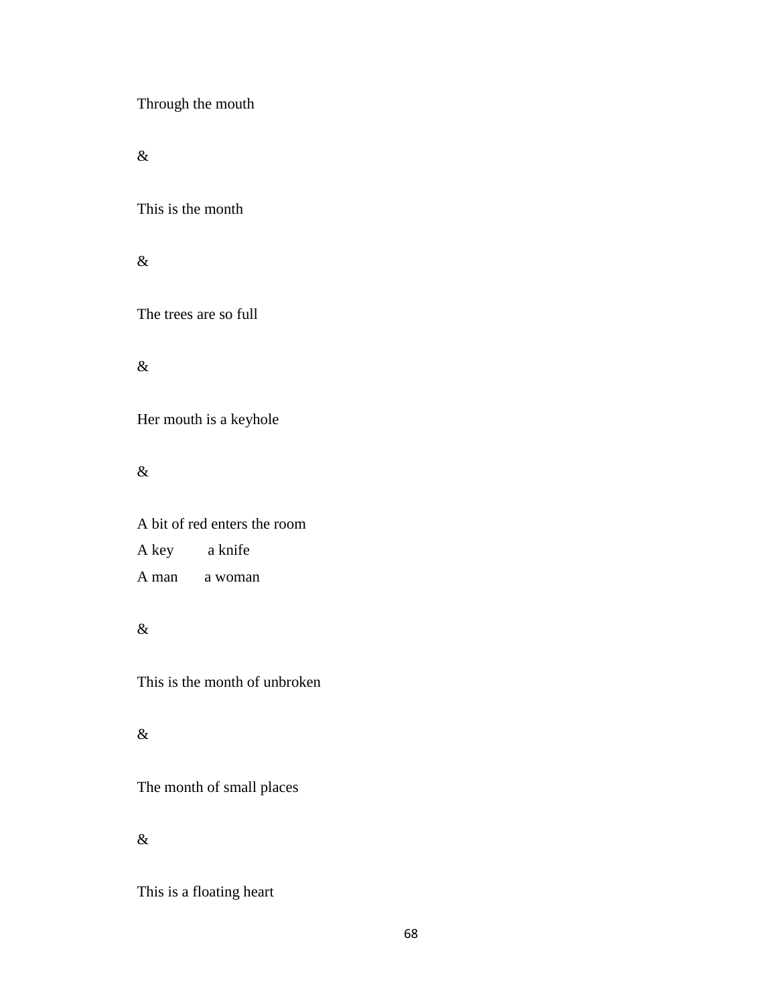Through the mouth

 $\&$ 

This is the month

 $\&$ 

The trees are so full

 $\&$ 

Her mouth is a keyhole

&

A bit of red enters the room A key a knife A man a woman

&

This is the month of unbroken

 $\&$ 

The month of small places

&

This is a floating heart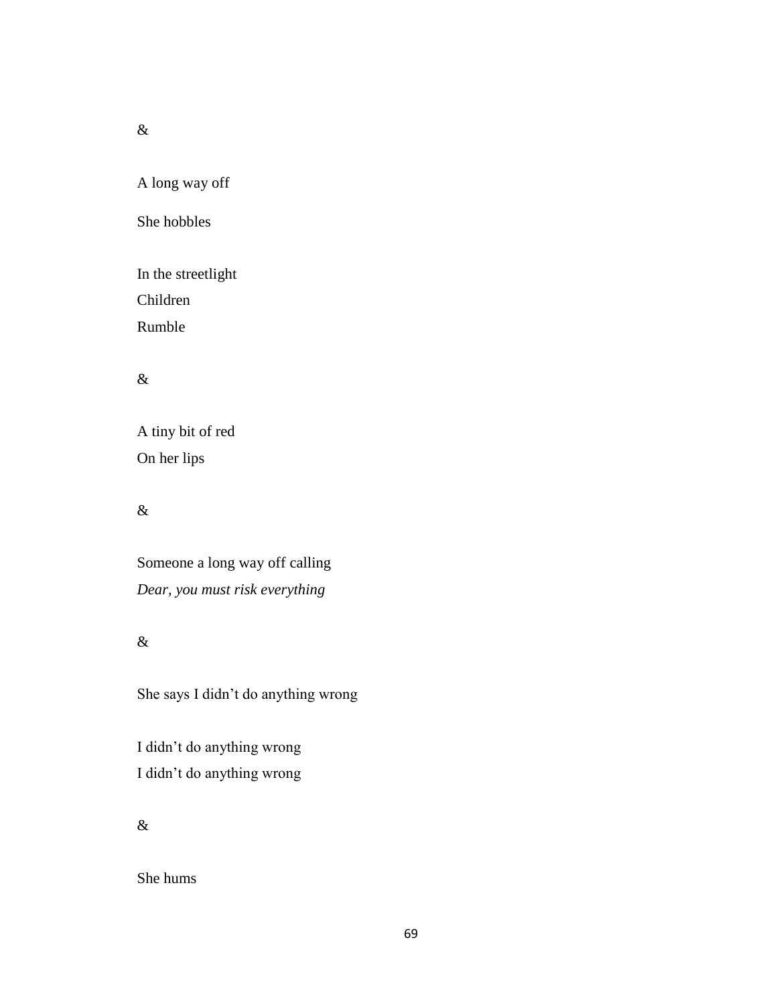&

A long way off

She hobbles

In the streetlight Children

Rumble

# $\&$

A tiny bit of red On her lips

# &

Someone a long way off calling *Dear, you must risk everything*

# $\&$

She says I didn't do anything wrong

I didn't do anything wrong I didn't do anything wrong

## &

She hums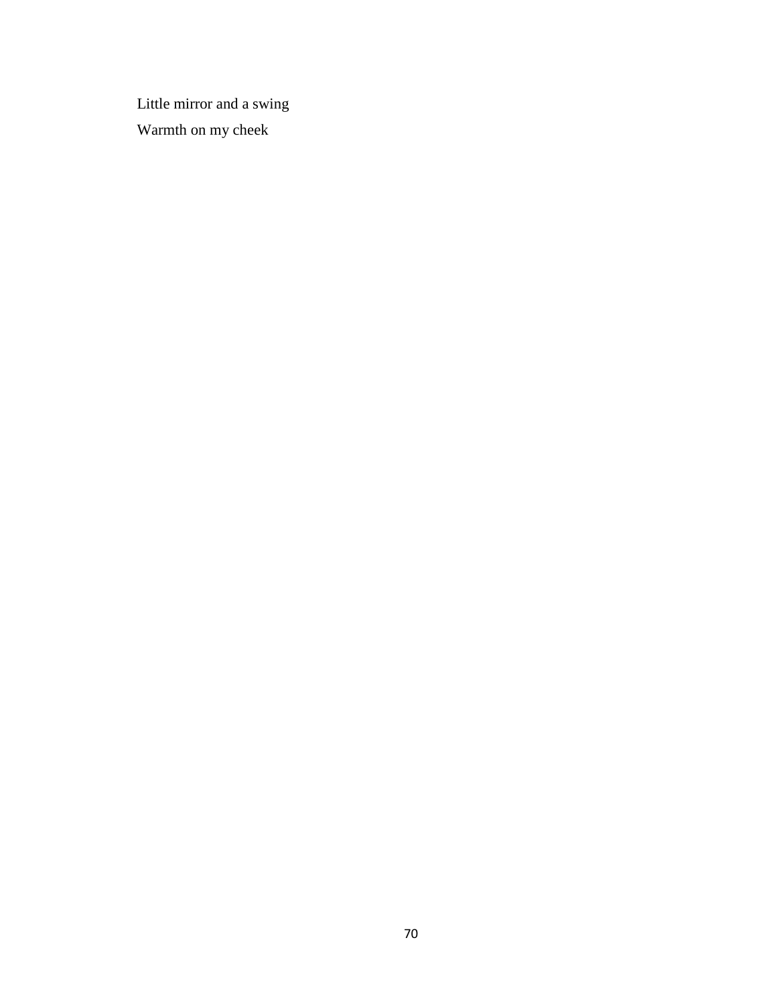Little mirror and a swing Warmth on my cheek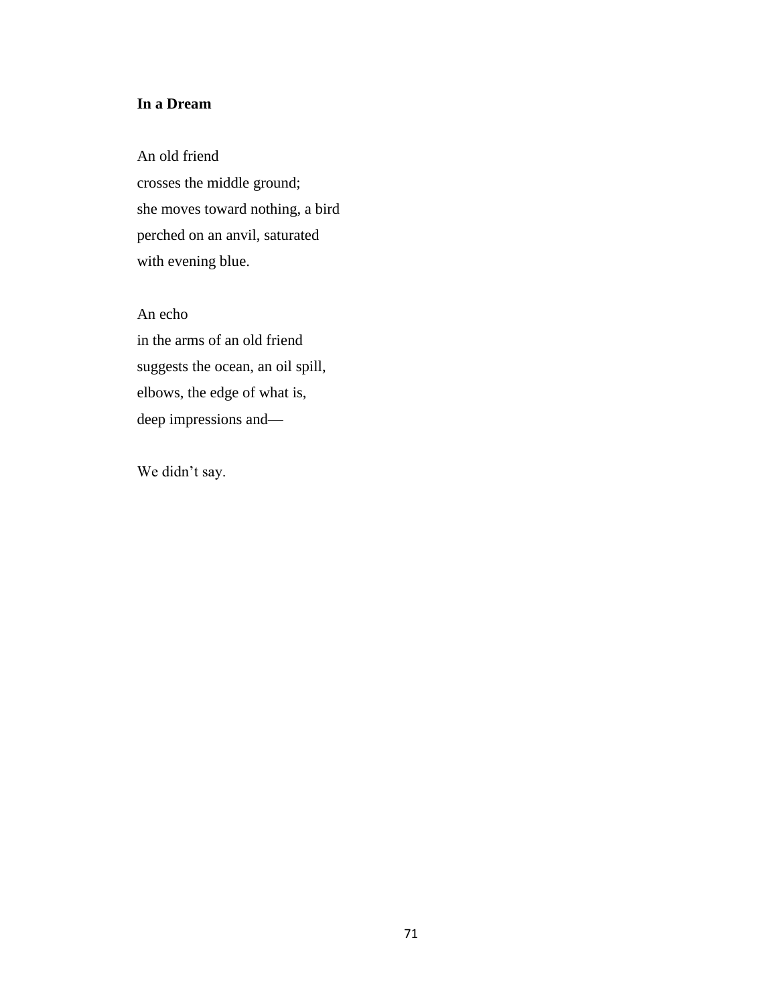## **In a Dream**

An old friend crosses the middle ground; she moves toward nothing, a bird perched on an anvil, saturated with evening blue.

An echo in the arms of an old friend suggests the ocean, an oil spill, elbows, the edge of what is, deep impressions and—

We didn't say.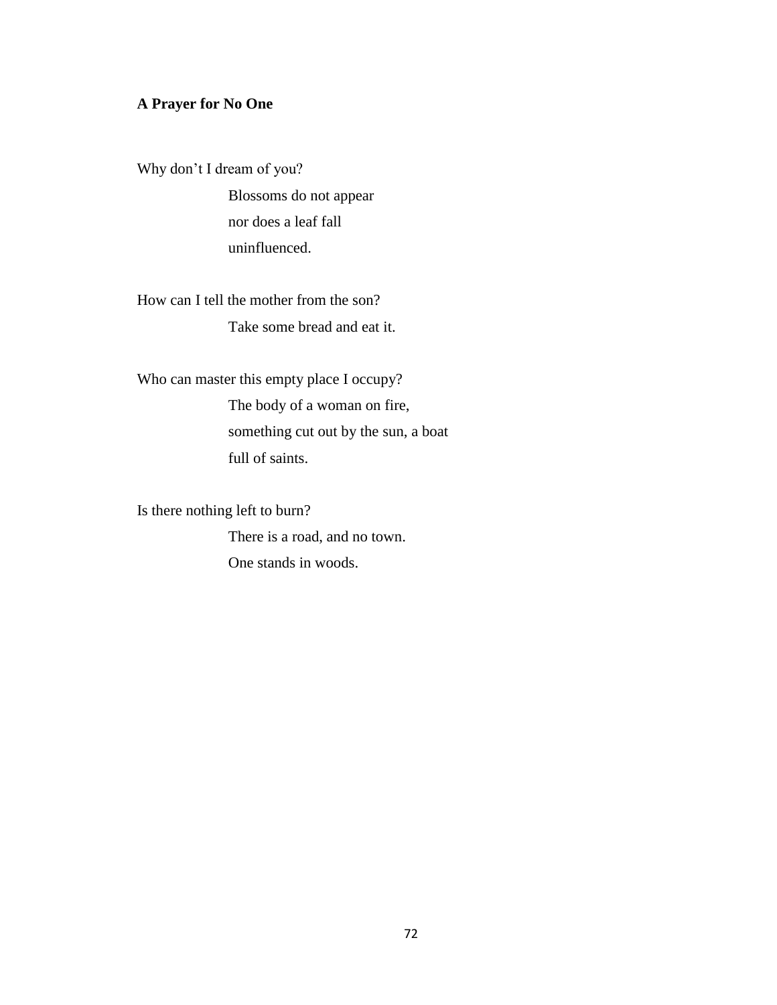## **A Prayer for No One**

Why don't I dream of you? Blossoms do not appear

nor does a leaf fall uninfluenced.

How can I tell the mother from the son? Take some bread and eat it.

Who can master this empty place I occupy? The body of a woman on fire, something cut out by the sun, a boat full of saints.

Is there nothing left to burn?

There is a road, and no town. One stands in woods.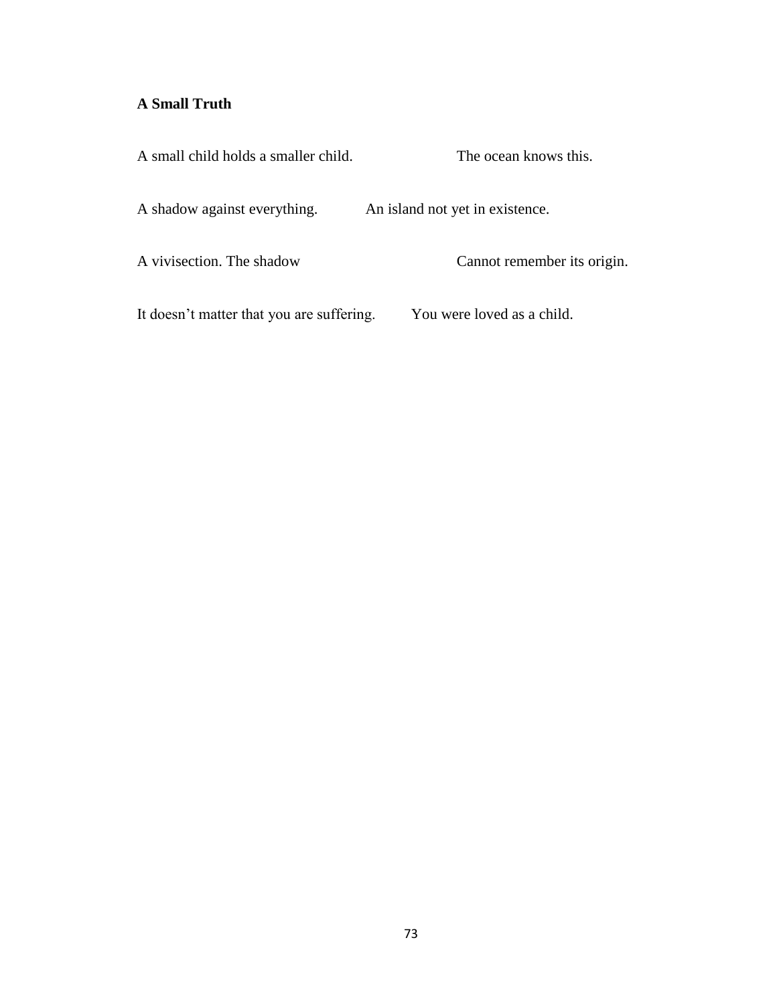# **A Small Truth**

| A small child holds a smaller child.      | The ocean knows this.           |
|-------------------------------------------|---------------------------------|
| A shadow against everything.              | An island not yet in existence. |
| A vivisection. The shadow                 | Cannot remember its origin.     |
| It doesn't matter that you are suffering. | You were loved as a child.      |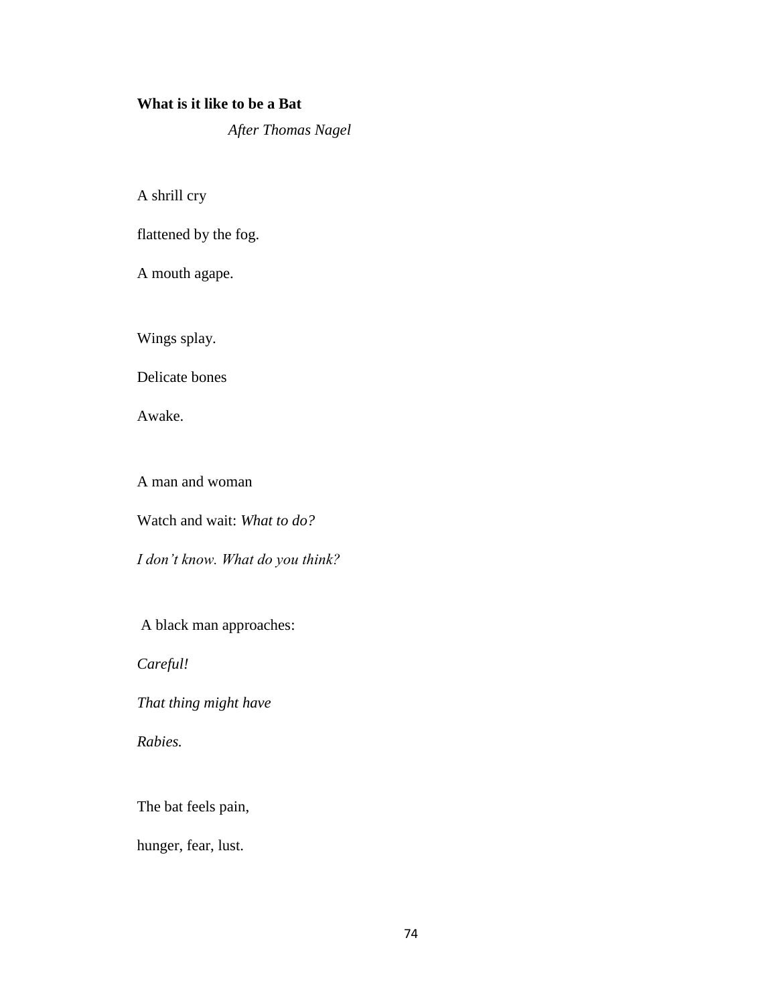#### **What is it like to be a Bat**

*After Thomas Nagel*

A shrill cry

flattened by the fog.

A mouth agape.

Wings splay.

Delicate bones

Awake.

A man and woman

Watch and wait: *What to do?*

*I don't know. What do you think?*

A black man approaches:

*Careful!*

*That thing might have* 

*Rabies.*

The bat feels pain,

hunger, fear, lust.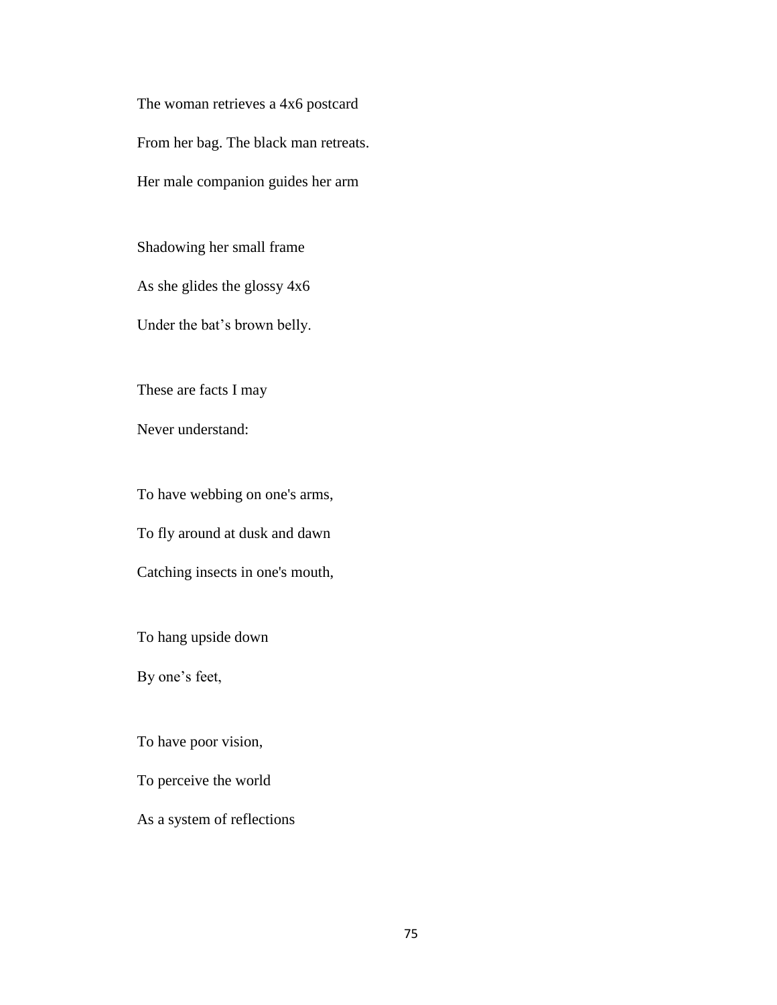The woman retrieves a 4x6 postcard From her bag. The black man retreats. Her male companion guides her arm

Shadowing her small frame

As she glides the glossy 4x6

Under the bat's brown belly.

These are facts I may

Never understand:

To have webbing on one's arms,

To fly around at dusk and dawn

Catching insects in one's mouth,

To hang upside down

By one's feet,

To have poor vision,

To perceive the world

As a system of reflections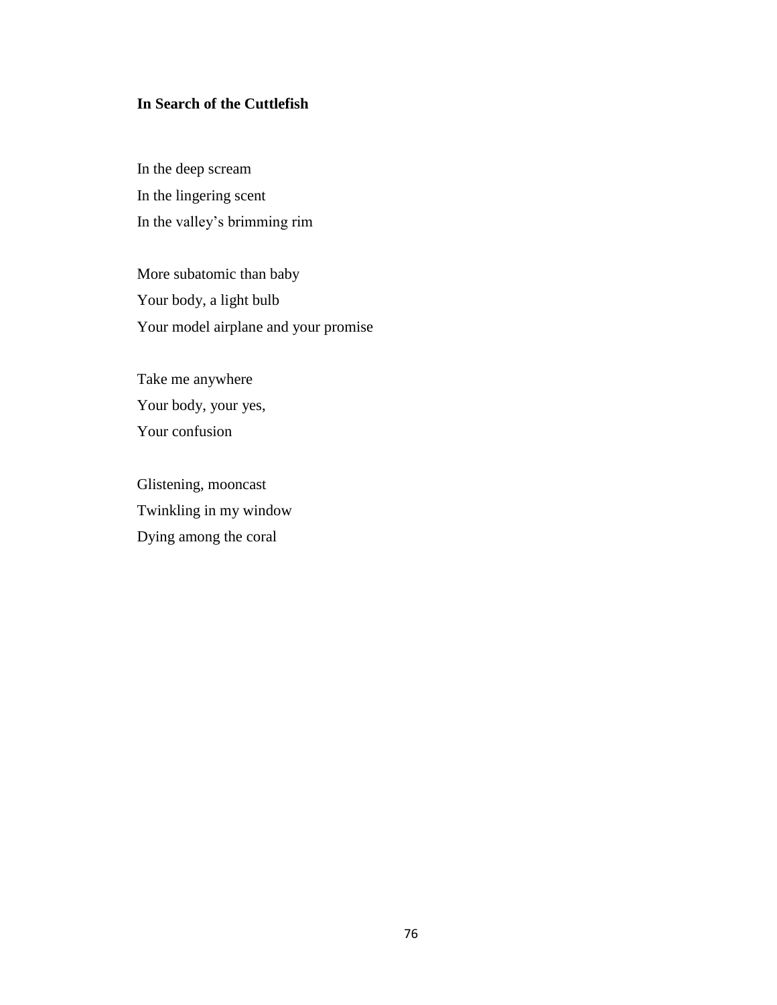## **In Search of the Cuttlefish**

In the deep scream In the lingering scent In the valley's brimming rim

More subatomic than baby Your body, a light bulb Your model airplane and your promise

Take me anywhere Your body, your yes, Your confusion

Glistening, mooncast Twinkling in my window Dying among the coral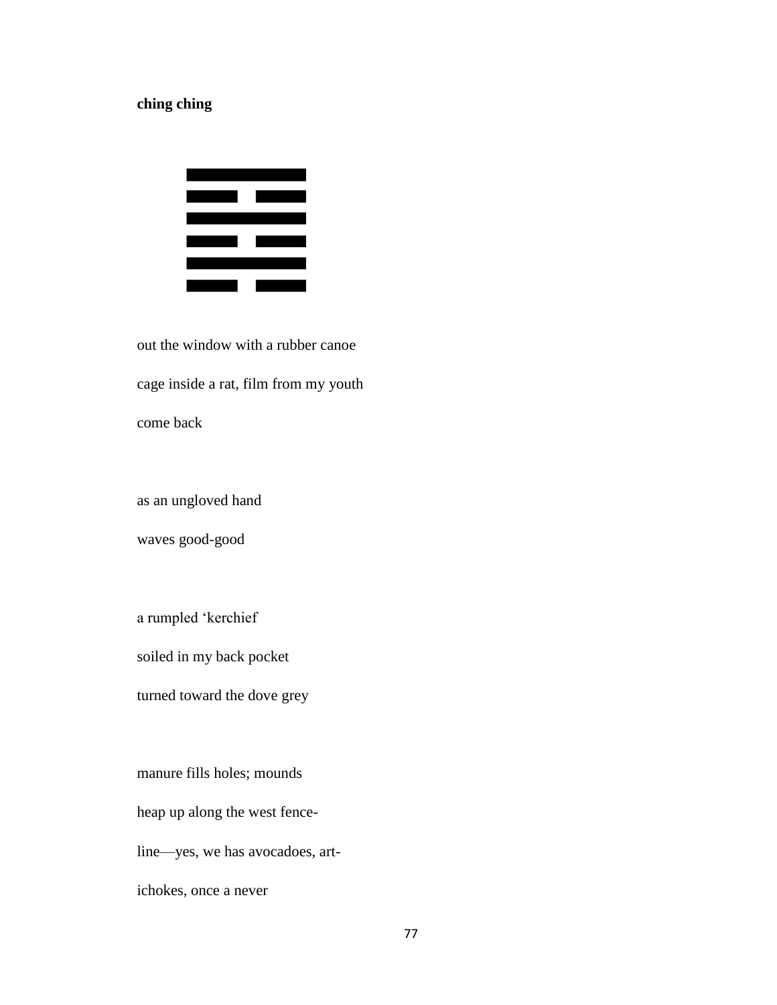## **ching ching**



out the window with a rubber canoe cage inside a rat, film from my youth come back

as an ungloved hand

waves good-good

a rumpled 'kerchief

soiled in my back pocket

turned toward the dove grey

manure fills holes; mounds

heap up along the west fence-

line—yes, we has avocadoes, art-

ichokes, once a never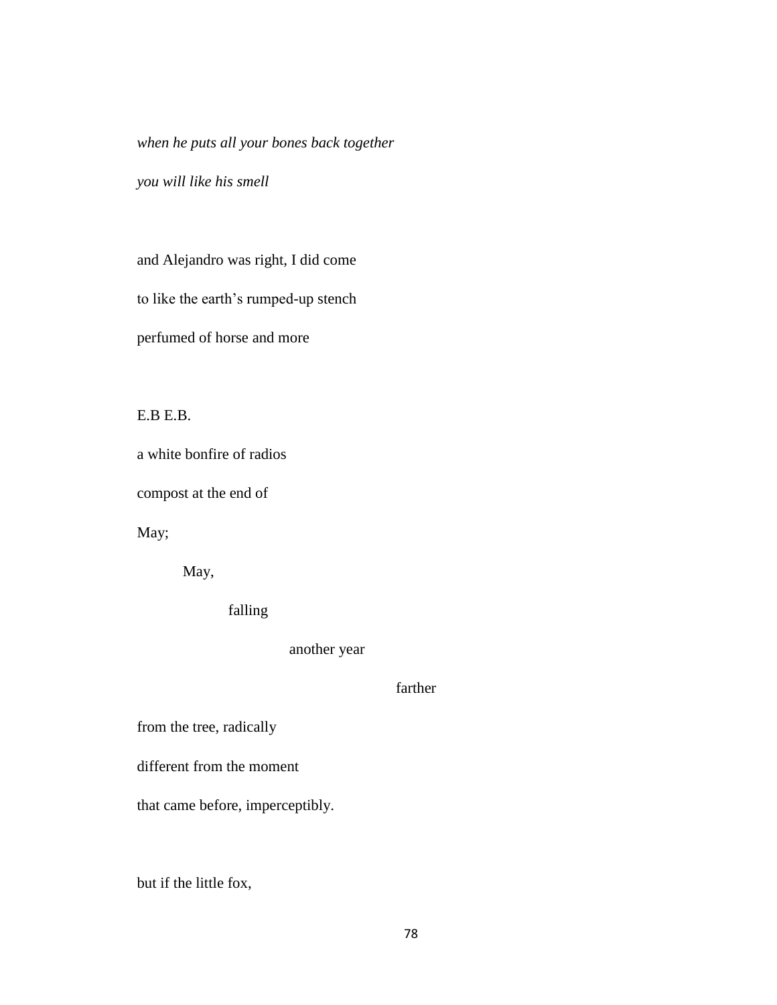*when he puts all your bones back together* 

*you will like his smell*

and Alejandro was right, I did come

to like the earth's rumped-up stench

perfumed of horse and more

E.B E.B.

a white bonfire of radios

compost at the end of

May;

May,

falling

another year

farther

from the tree, radically

different from the moment

that came before, imperceptibly.

but if the little fox,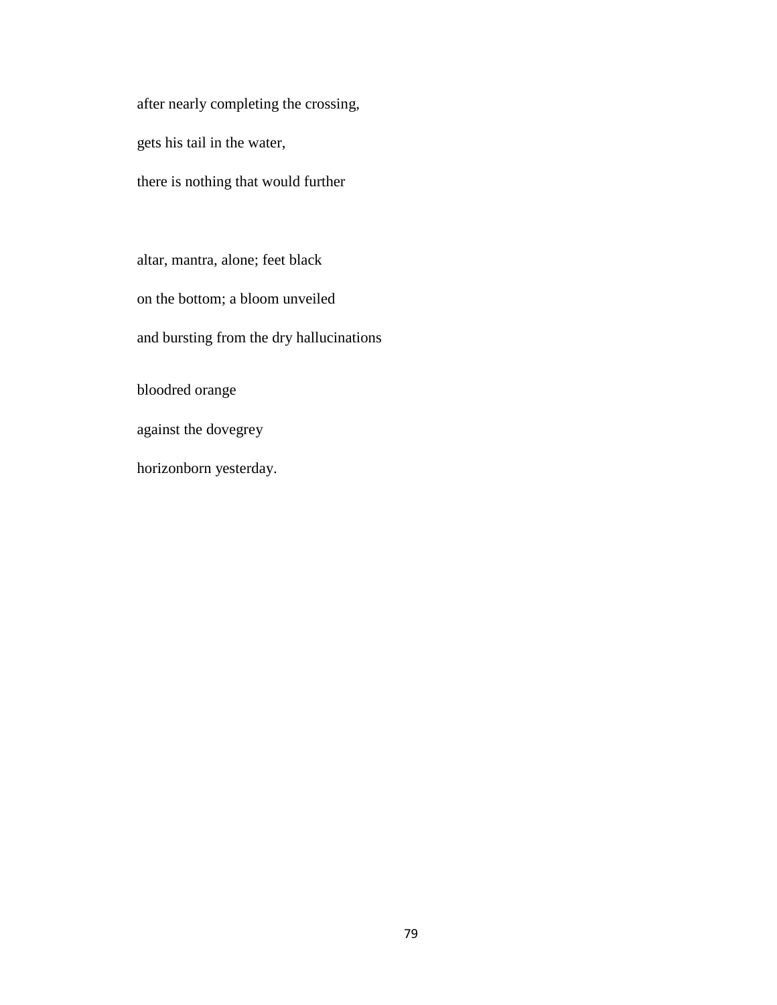after nearly completing the crossing, gets his tail in the water, there is nothing that would further

altar, mantra, alone; feet black on the bottom; a bloom unveiled and bursting from the dry hallucinations bloodred orange against the dovegrey

horizonborn yesterday.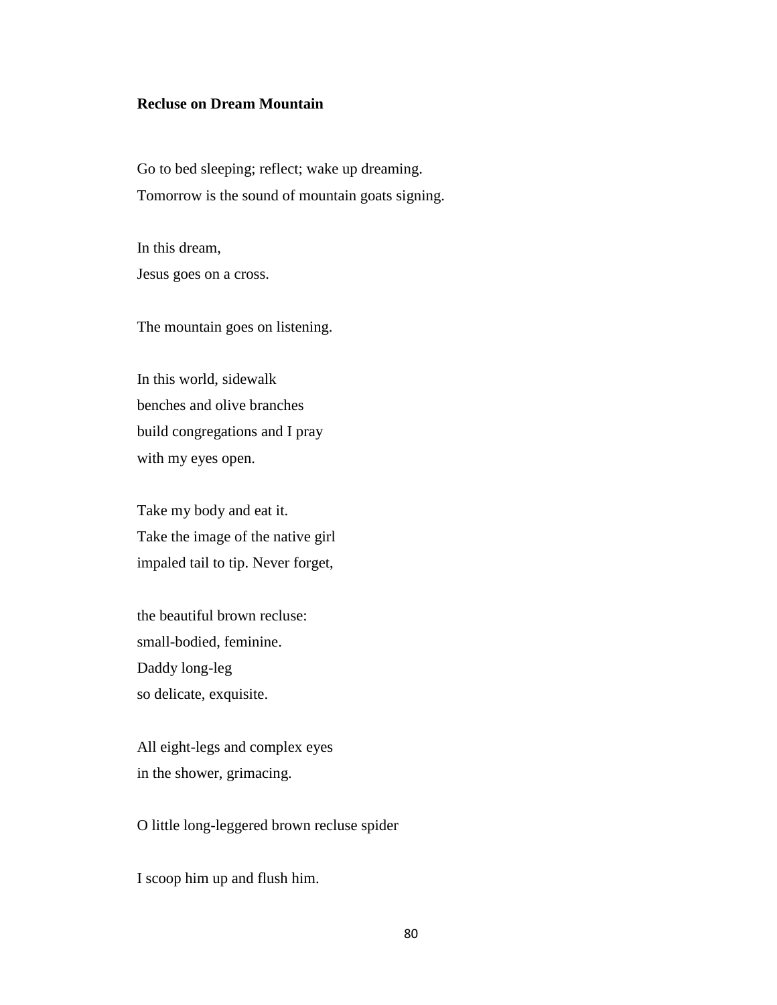### **Recluse on Dream Mountain**

Go to bed sleeping; reflect; wake up dreaming. Tomorrow is the sound of mountain goats signing.

In this dream, Jesus goes on a cross.

The mountain goes on listening.

In this world, sidewalk benches and olive branches build congregations and I pray with my eyes open.

Take my body and eat it. Take the image of the native girl impaled tail to tip. Never forget,

the beautiful brown recluse: small-bodied, feminine. Daddy long-leg so delicate, exquisite.

All eight-legs and complex eyes in the shower, grimacing.

O little long-leggered brown recluse spider

I scoop him up and flush him.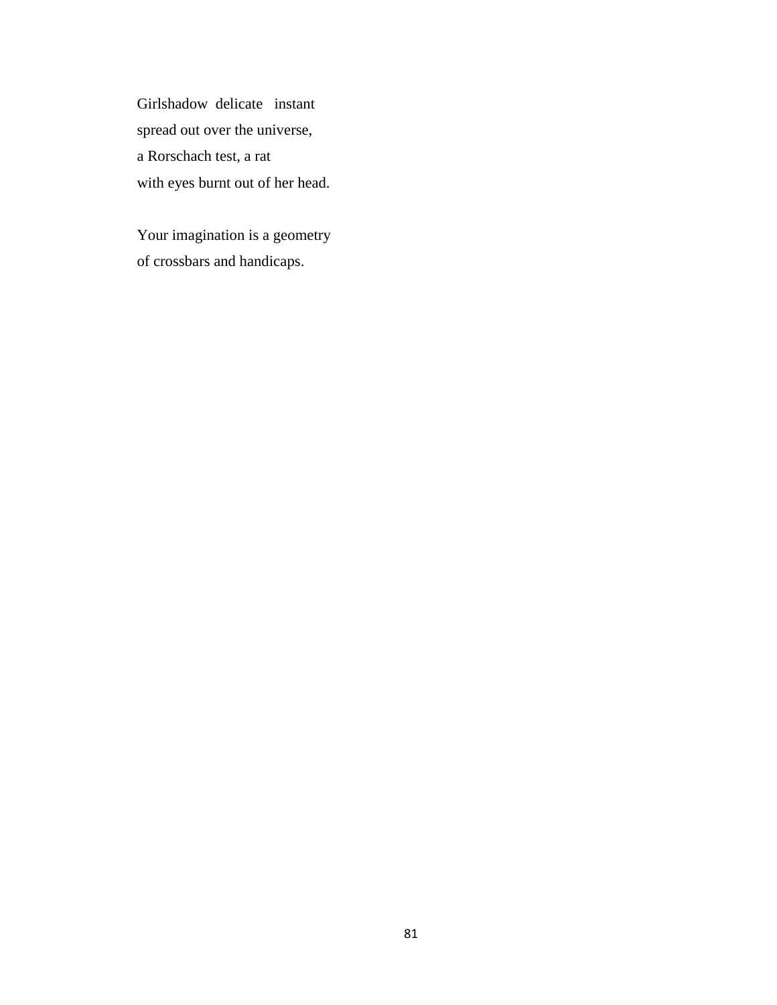Girlshadow delicate instant spread out over the universe, a Rorschach test, a rat with eyes burnt out of her head.

Your imagination is a geometry of crossbars and handicaps.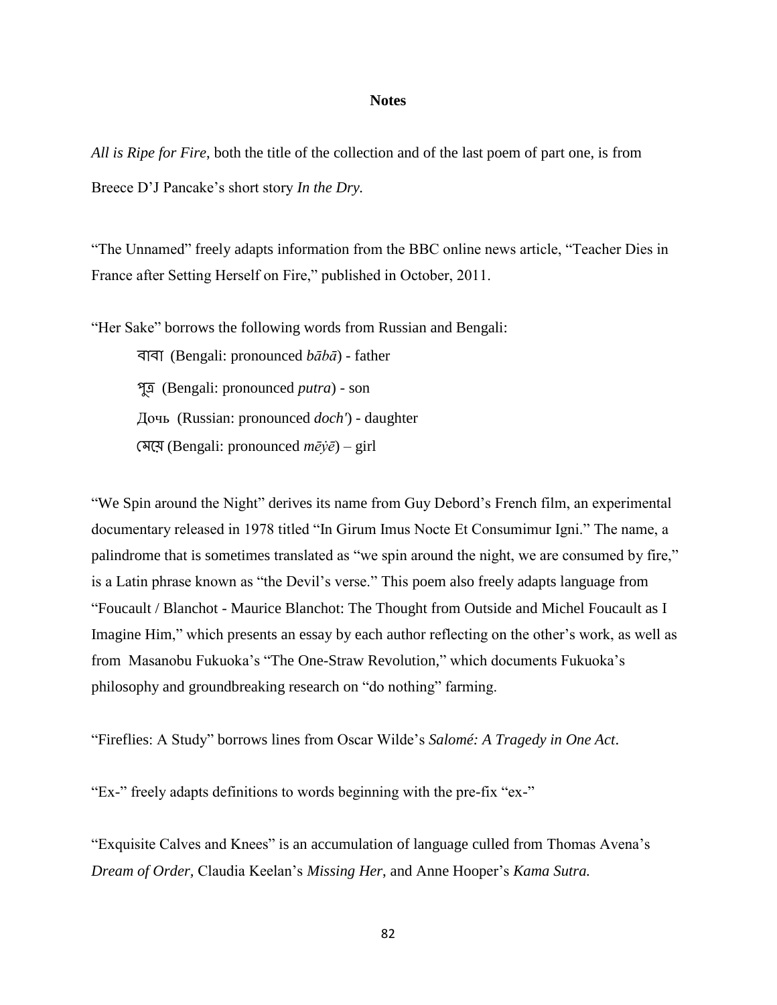#### **Notes**

*All is Ripe for Fire*, both the title of the collection and of the last poem of part one, is from Breece D'J Pancake's short story *In the Dry.* 

"The Unnamed" freely adapts information from the BBC online news article, "Teacher Dies in France after Setting Herself on Fire," published in October, 2011.

"Her Sake" borrows the following words from Russian and Bengali:

 (Bengali: pronounced *bābā*) - father (Bengali: pronounced *putra*) - son Дочь (Russian: pronounced *doch'*) - daughter (Bengali: pronounced *mēẏē*) – girl

"We Spin around the Night" derives its name from Guy Debord's French film, an experimental documentary released in 1978 titled "In Girum Imus Nocte Et Consumimur Igni." The name, a palindrome that is sometimes translated as "we spin around the night, we are consumed by fire," is a Latin phrase known as "the Devil's verse." This poem also freely adapts language from "Foucault / Blanchot - Maurice Blanchot: The Thought from Outside and Michel Foucault as I Imagine Him," which presents an essay by each author reflecting on the other's work, as well as from Masanobu Fukuoka's "The One-Straw Revolution," which documents Fukuoka's philosophy and groundbreaking research on "do nothing" farming.

"Fireflies: A Study" borrows lines from Oscar Wilde's *Salomé: A Tragedy in One Act*.

"Ex-" freely adapts definitions to words beginning with the pre-fix "ex-"

"Exquisite Calves and Knees" is an accumulation of language culled from Thomas Avena's *Dream of Order,* Claudia Keelan's *Missing Her*, and Anne Hooper's *Kama Sutra.*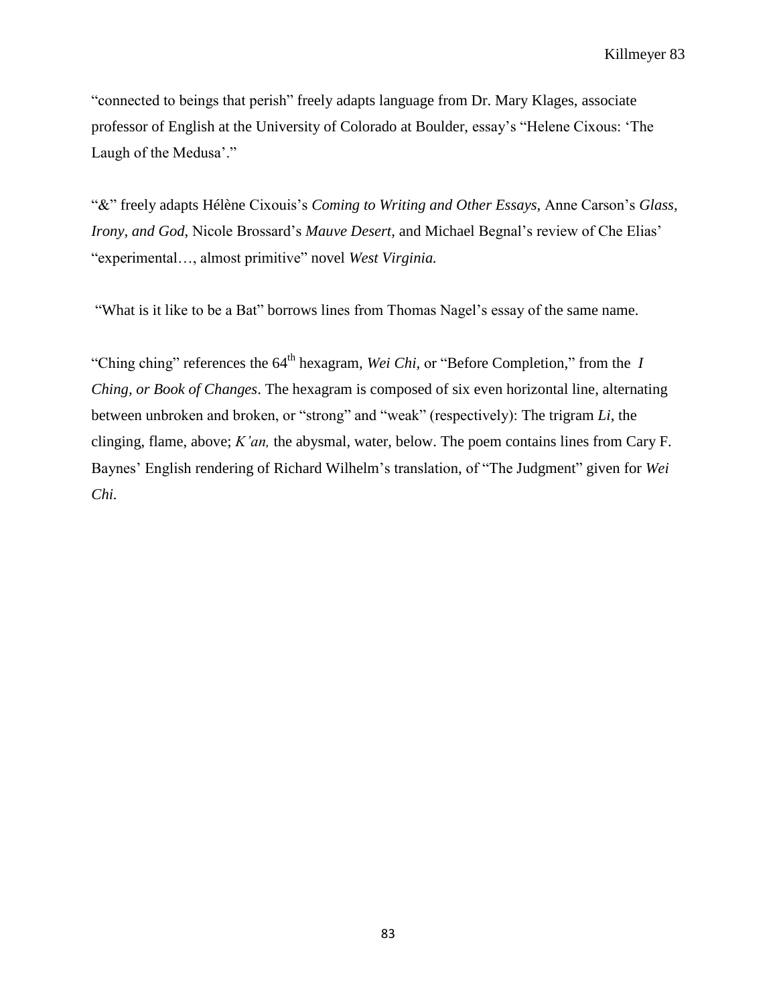"connected to beings that perish" freely adapts language from Dr. Mary Klages, associate professor of English at the University of Colorado at Boulder, essay's "Helene Cixous: 'The Laugh of the Medusa'."

"&" freely adapts Hélène Cixouis's *Coming to Writing and Other Essays*, Anne Carson's *Glass, Irony, and God*, Nicole Brossard's *Mauve Desert*, and Michael Begnal's review of Che Elias' "experimental…, almost primitive" novel *West Virginia.* 

"What is it like to be a Bat" borrows lines from Thomas Nagel's essay of the same name.

"Ching ching" references the 64th hexagram, *Wei Chi,* or "Before Completion," from the *I Ching, or Book of Changes*. The hexagram is composed of six even horizontal line, alternating between unbroken and broken, or "strong" and "weak" (respectively): The trigram *Li*, the clinging, flame, above; *K'an,* the abysmal, water, below. The poem contains lines from Cary F. Baynes' English rendering of Richard Wilhelm's translation, of "The Judgment" given for *Wei Chi.*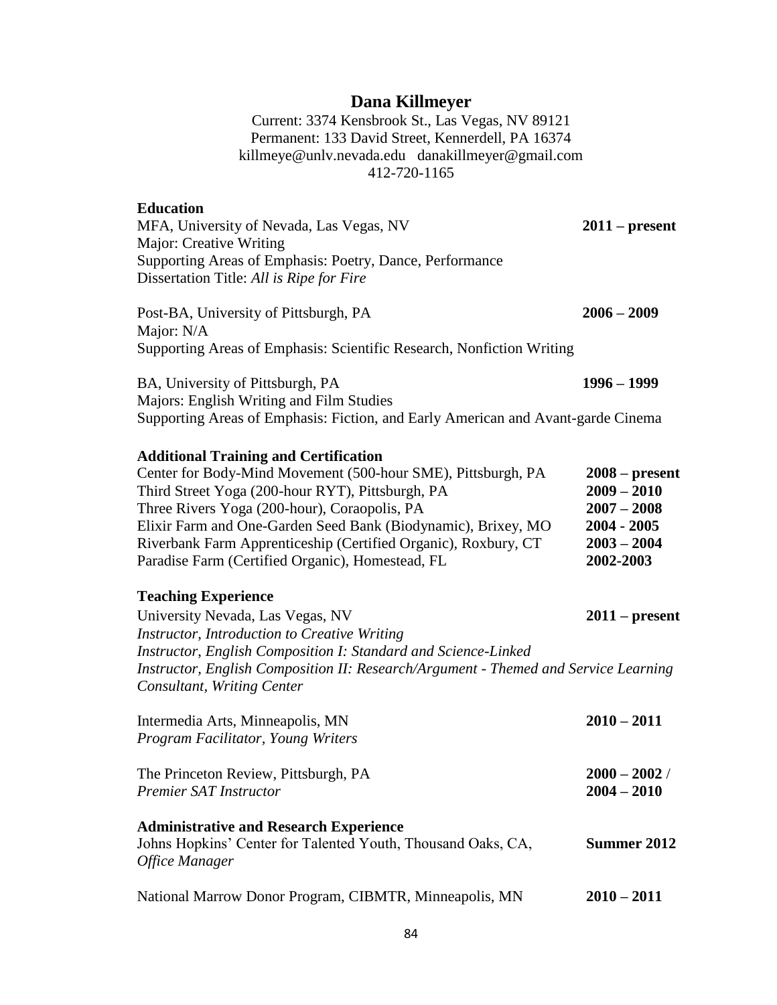## **Dana Killmeyer**

Current: 3374 Kensbrook St., Las Vegas, NV 89121 Permanent: 133 David Street, Kennerdell, PA 16374 killmeye@unlv.nevada.edu danakillmeyer@gmail.com 412-720-1165

### **Education**

| MFA, University of Nevada, Las Vegas, NV                 | $2011 - present$ |
|----------------------------------------------------------|------------------|
| Major: Creative Writing                                  |                  |
| Supporting Areas of Emphasis: Poetry, Dance, Performance |                  |
| Dissertation Title: All is Ripe for Fire                 |                  |
|                                                          |                  |

Post-BA, University of Pittsburgh, PA **2006 – 2009** Major: N/A Supporting Areas of Emphasis: Scientific Research, Nonfiction Writing

BA, University of Pittsburgh, PA **1996 – 1999** Majors: English Writing and Film Studies Supporting Areas of Emphasis: Fiction, and Early American and Avant-garde Cinema

#### **Additional Training and Certification**

| Center for Body-Mind Movement (500-hour SME), Pittsburgh, PA   | $2008 - present$ |
|----------------------------------------------------------------|------------------|
| Third Street Yoga (200-hour RYT), Pittsburgh, PA               | $2009 - 2010$    |
| Three Rivers Yoga (200-hour), Coraopolis, PA                   | $2007 - 2008$    |
| Elixir Farm and One-Garden Seed Bank (Biodynamic), Brixey, MO  | $2004 - 2005$    |
| Riverbank Farm Apprenticeship (Certified Organic), Roxbury, CT | $2003 - 2004$    |
| Paradise Farm (Certified Organic), Homestead, FL               | 2002-2003        |

# **Teaching Experience**

| University Nevada, Las Vegas, NV                                                    | $2011$ – present |
|-------------------------------------------------------------------------------------|------------------|
| Instructor, Introduction to Creative Writing                                        |                  |
| Instructor, English Composition I: Standard and Science-Linked                      |                  |
| Instructor, English Composition II: Research/Argument - Themed and Service Learning |                  |
| Consultant, Writing Center                                                          |                  |

| Intermedia Arts, Minneapolis, MN<br>Program Facilitator, Young Writers                                                          | $2010 - 2011$                    |  |
|---------------------------------------------------------------------------------------------------------------------------------|----------------------------------|--|
| The Princeton Review, Pittsburgh, PA<br><b>Premier SAT Instructor</b>                                                           | $2000 - 2002$ /<br>$2004 - 2010$ |  |
| <b>Administrative and Research Experience</b><br>Johns Hopkins' Center for Talented Youth, Thousand Oaks, CA,<br>Office Manager | Summer 2012                      |  |
| National Marrow Donor Program, CIBMTR, Minneapolis, MN                                                                          | $2010 - 2011$                    |  |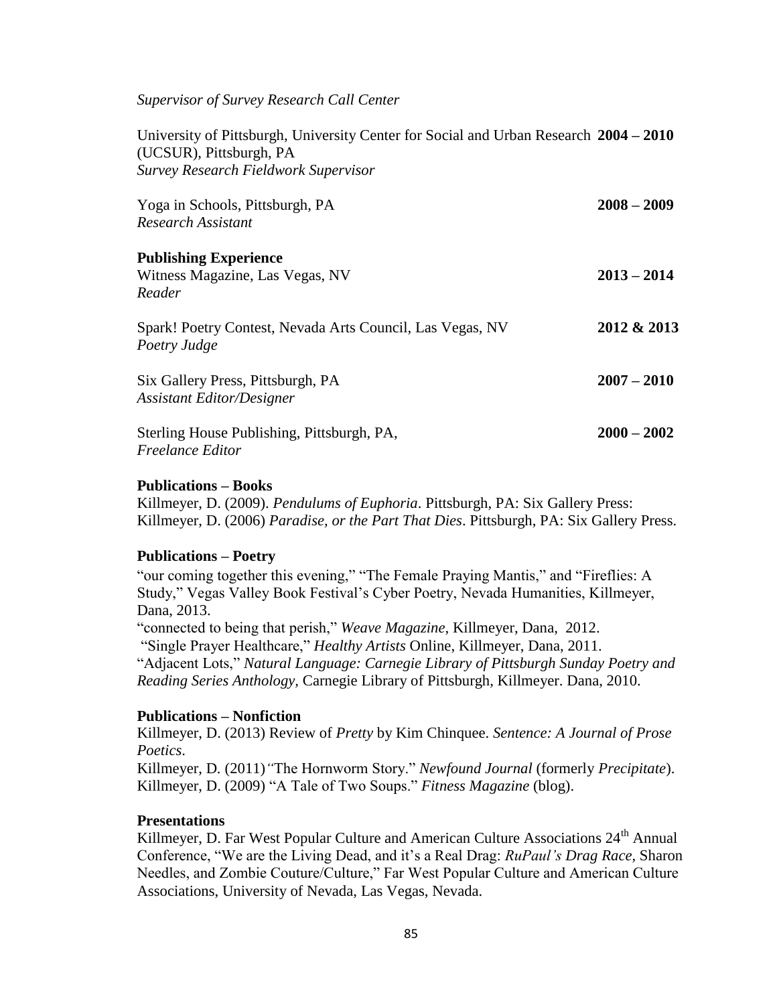*Supervisor of Survey Research Call Center*

University of Pittsburgh, University Center for Social and Urban Research **2004 – 2010** (UCSUR), Pittsburgh, PA *Survey Research Fieldwork Supervisor*

| Yoga in Schools, Pittsburgh, PA                           | $2008 - 2009$ |
|-----------------------------------------------------------|---------------|
| <b>Research Assistant</b>                                 |               |
| <b>Publishing Experience</b>                              |               |
| Witness Magazine, Las Vegas, NV                           | $2013 - 2014$ |
| Reader                                                    |               |
| Spark! Poetry Contest, Nevada Arts Council, Las Vegas, NV | 2012 & 2013   |
| Poetry Judge                                              |               |
| Six Gallery Press, Pittsburgh, PA                         | $2007 - 2010$ |
| <b>Assistant Editor/Designer</b>                          |               |
| Sterling House Publishing, Pittsburgh, PA,                | $2000 - 2002$ |
| <i>Freelance Editor</i>                                   |               |

#### **Publications – Books**

Killmeyer, D. (2009). *Pendulums of Euphoria*. Pittsburgh, PA: Six Gallery Press: Killmeyer, D. (2006) *Paradise, or the Part That Dies*. Pittsburgh, PA: Six Gallery Press.

#### **Publications – Poetry**

"our coming together this evening," "The Female Praying Mantis," and "Fireflies: A Study," Vegas Valley Book Festival's Cyber Poetry, Nevada Humanities, Killmeyer, Dana, 2013. "connected to being that perish," *Weave Magazine*, Killmeyer, Dana, 2012. "Single Prayer Healthcare," *Healthy Artists* Online, Killmeyer, Dana, 2011. "Adjacent Lots," *Natural Language: Carnegie Library of Pittsburgh Sunday Poetry and* 

*Reading Series Anthology,* Carnegie Library of Pittsburgh, Killmeyer. Dana, 2010.

#### **Publications – Nonfiction**

Killmeyer, D. (2013) Review of *Pretty* by Kim Chinquee. *Sentence: A Journal of Prose Poetics*.

Killmeyer, D*.* (2011)*"*The Hornworm Story." *Newfound Journal* (formerly *Precipitate*). Killmeyer, D. (2009) "A Tale of Two Soups." *Fitness Magazine* (blog).

#### **Presentations**

Killmeyer, D. Far West Popular Culture and American Culture Associations 24<sup>th</sup> Annual Conference, "We are the Living Dead, and it's a Real Drag: *RuPaul's Drag Race,* Sharon Needles, and Zombie Couture/Culture," Far West Popular Culture and American Culture Associations, University of Nevada, Las Vegas, Nevada.